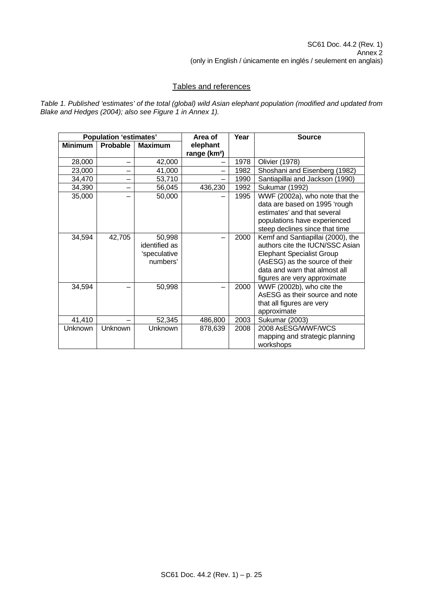## Tables and references

*Table 1. Published 'estimates' of the total (global) wild Asian elephant population (modified and updated from Blake and Hedges (2004); also see Figure 1 in Annex 1).* 

|                | <b>Population 'estimates'</b> |                                                     | Area of                              | Year | <b>Source</b>                                                                                                                                                                                               |
|----------------|-------------------------------|-----------------------------------------------------|--------------------------------------|------|-------------------------------------------------------------------------------------------------------------------------------------------------------------------------------------------------------------|
| <b>Minimum</b> | Probable                      | <b>Maximum</b>                                      | elephant<br>range (km <sup>2</sup> ) |      |                                                                                                                                                                                                             |
| 28,000         | -                             | 42,000                                              |                                      | 1978 | <b>Olivier (1978)</b>                                                                                                                                                                                       |
| 23,000         |                               | 41,000                                              |                                      | 1982 | Shoshani and Eisenberg (1982)                                                                                                                                                                               |
| 34,470         |                               | 53,710                                              | —                                    | 1990 | Santiapillai and Jackson (1990)                                                                                                                                                                             |
| 34,390         |                               | 56,045                                              | 436,230                              | 1992 | Sukumar (1992)                                                                                                                                                                                              |
| 35,000         |                               | 50,000                                              |                                      | 1995 | WWF (2002a), who note that the<br>data are based on 1995 'rough<br>estimates' and that several<br>populations have experienced<br>steep declines since that time                                            |
| 34,594         | 42,705                        | 50,998<br>identified as<br>'speculative<br>numbers' |                                      | 2000 | Kemf and Santiapillai (2000), the<br>authors cite the IUCN/SSC Asian<br><b>Elephant Specialist Group</b><br>(AsESG) as the source of their<br>data and warn that almost all<br>figures are very approximate |
| 34,594         |                               | 50,998                                              |                                      | 2000 | WWF (2002b), who cite the<br>AsESG as their source and note<br>that all figures are very<br>approximate                                                                                                     |
| 41,410         |                               | 52,345                                              | 486,800                              | 2003 | <b>Sukumar (2003)</b>                                                                                                                                                                                       |
| Unknown        | Unknown                       | Unknown                                             | 878,639                              | 2008 | 2008 AsESG/WWF/WCS<br>mapping and strategic planning<br>workshops                                                                                                                                           |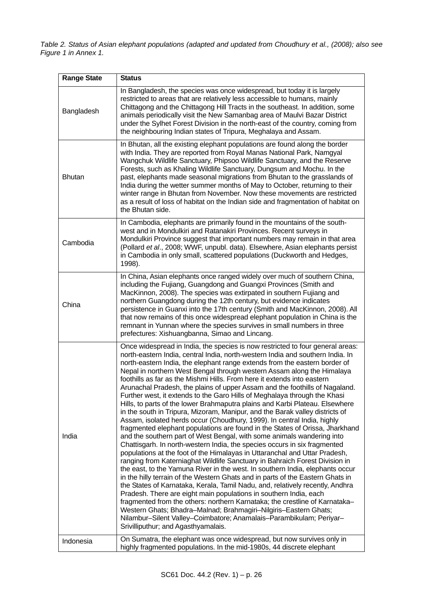*Table 2. Status of Asian elephant populations (adapted and updated from Choudhury et al., (2008); also see Figure 1 in Annex 1.* 

| <b>Range State</b> | <b>Status</b>                                                                                                                                                                                                                                                                                                                                                                                                                                                                                                                                                                                                                                                                                                                                                                                                                                                                                                                                                                                                                                                                                                                                                                                                                                                                                                                                                                                                                                                                                                                                                                                                                                                                                                                                                                                            |
|--------------------|----------------------------------------------------------------------------------------------------------------------------------------------------------------------------------------------------------------------------------------------------------------------------------------------------------------------------------------------------------------------------------------------------------------------------------------------------------------------------------------------------------------------------------------------------------------------------------------------------------------------------------------------------------------------------------------------------------------------------------------------------------------------------------------------------------------------------------------------------------------------------------------------------------------------------------------------------------------------------------------------------------------------------------------------------------------------------------------------------------------------------------------------------------------------------------------------------------------------------------------------------------------------------------------------------------------------------------------------------------------------------------------------------------------------------------------------------------------------------------------------------------------------------------------------------------------------------------------------------------------------------------------------------------------------------------------------------------------------------------------------------------------------------------------------------------|
| Bangladesh         | In Bangladesh, the species was once widespread, but today it is largely<br>restricted to areas that are relatively less accessible to humans, mainly<br>Chittagong and the Chittagong Hill Tracts in the southeast. In addition, some<br>animals periodically visit the New Samanbag area of Maulvi Bazar District<br>under the Sylhet Forest Division in the north-east of the country, coming from<br>the neighbouring Indian states of Tripura, Meghalaya and Assam.                                                                                                                                                                                                                                                                                                                                                                                                                                                                                                                                                                                                                                                                                                                                                                                                                                                                                                                                                                                                                                                                                                                                                                                                                                                                                                                                  |
| <b>Bhutan</b>      | In Bhutan, all the existing elephant populations are found along the border<br>with India. They are reported from Royal Manas National Park, Namgyal<br>Wangchuk Wildlife Sanctuary, Phipsoo Wildlife Sanctuary, and the Reserve<br>Forests, such as Khaling Wildlife Sanctuary, Dungsum and Mochu. In the<br>past, elephants made seasonal migrations from Bhutan to the grasslands of<br>India during the wetter summer months of May to October, returning to their<br>winter range in Bhutan from November. Now these movements are restricted<br>as a result of loss of habitat on the Indian side and fragmentation of habitat on<br>the Bhutan side.                                                                                                                                                                                                                                                                                                                                                                                                                                                                                                                                                                                                                                                                                                                                                                                                                                                                                                                                                                                                                                                                                                                                              |
| Cambodia           | In Cambodia, elephants are primarily found in the mountains of the south-<br>west and in Mondulkiri and Ratanakiri Provinces. Recent surveys in<br>Mondulkiri Province suggest that important numbers may remain in that area<br>(Pollard et al., 2008; WWF, unpubl. data). Elsewhere, Asian elephants persist<br>in Cambodia in only small, scattered populations (Duckworth and Hedges,<br>1998).                                                                                                                                                                                                                                                                                                                                                                                                                                                                                                                                                                                                                                                                                                                                                                                                                                                                                                                                                                                                                                                                                                                                                                                                                                                                                                                                                                                                      |
| China              | In China, Asian elephants once ranged widely over much of southern China,<br>including the Fujiang, Guangdong and Guangxi Provinces (Smith and<br>MacKinnon, 2008). The species was extirpated in southern Fujiang and<br>northern Guangdong during the 12th century, but evidence indicates<br>persistence in Guanxi into the 17th century (Smith and MacKinnon, 2008). All<br>that now remains of this once widespread elephant population in China is the<br>remnant in Yunnan where the species survives in small numbers in three<br>prefectures: Xishuangbanna, Simao and Lincang.                                                                                                                                                                                                                                                                                                                                                                                                                                                                                                                                                                                                                                                                                                                                                                                                                                                                                                                                                                                                                                                                                                                                                                                                                 |
| India              | Once widespread in India, the species is now restricted to four general areas:<br>north-eastern India, central India, north-western India and southern India. In<br>north-eastern India, the elephant range extends from the eastern border of<br>Nepal in northern West Bengal through western Assam along the Himalaya<br>foothills as far as the Mishmi Hills. From here it extends into eastern<br>Arunachal Pradesh, the plains of upper Assam and the foothills of Nagaland.<br>Further west, it extends to the Garo Hills of Meghalaya through the Khasi<br>Hills, to parts of the lower Brahmaputra plains and Karbi Plateau. Elsewhere<br>in the south in Tripura, Mizoram, Manipur, and the Barak valley districts of<br>Assam, isolated herds occur (Choudhury, 1999). In central India, highly<br>fragmented elephant populations are found in the States of Orissa, Jharkhand<br>and the southern part of West Bengal, with some animals wandering into<br>Chattisgarh. In north-western India, the species occurs in six fragmented<br>populations at the foot of the Himalayas in Uttaranchal and Uttar Pradesh,<br>ranging from Katerniaghat Wildlife Sanctuary in Bahraich Forest Division in<br>the east, to the Yamuna River in the west. In southern India, elephants occur<br>in the hilly terrain of the Western Ghats and in parts of the Eastern Ghats in<br>the States of Karnataka, Kerala, Tamil Nadu, and, relatively recently, Andhra<br>Pradesh. There are eight main populations in southern India, each<br>fragmented from the others: northern Karnataka; the crestline of Karnataka-<br>Western Ghats; Bhadra-Malnad; Brahmagiri-Nilgiris-Eastern Ghats;<br>Nilambur-Silent Valley-Coimbatore; Anamalais-Parambikulam; Periyar-<br>Srivilliputhur; and Agasthyamalais. |
| Indonesia          | On Sumatra, the elephant was once widespread, but now survives only in<br>highly fragmented populations. In the mid-1980s, 44 discrete elephant                                                                                                                                                                                                                                                                                                                                                                                                                                                                                                                                                                                                                                                                                                                                                                                                                                                                                                                                                                                                                                                                                                                                                                                                                                                                                                                                                                                                                                                                                                                                                                                                                                                          |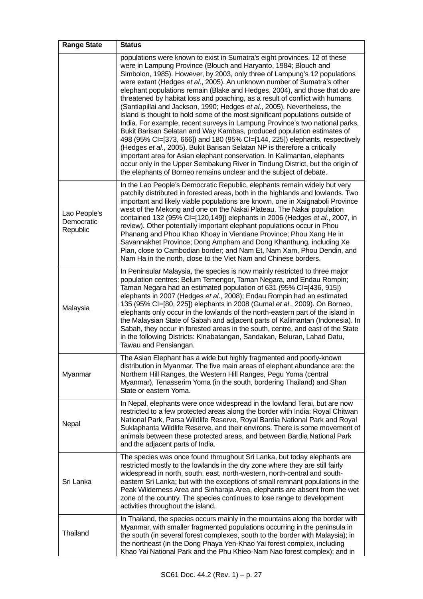| <b>Range State</b>                     | <b>Status</b>                                                                                                                                                                                                                                                                                                                                                                                                                                                                                                                                                                                                                                                                                                                                                                                                                                                                                                                                                                                                                                                                                                                                                                              |
|----------------------------------------|--------------------------------------------------------------------------------------------------------------------------------------------------------------------------------------------------------------------------------------------------------------------------------------------------------------------------------------------------------------------------------------------------------------------------------------------------------------------------------------------------------------------------------------------------------------------------------------------------------------------------------------------------------------------------------------------------------------------------------------------------------------------------------------------------------------------------------------------------------------------------------------------------------------------------------------------------------------------------------------------------------------------------------------------------------------------------------------------------------------------------------------------------------------------------------------------|
|                                        | populations were known to exist in Sumatra's eight provinces, 12 of these<br>were in Lampung Province (Blouch and Haryanto, 1984; Blouch and<br>Simbolon, 1985). However, by 2003, only three of Lampung's 12 populations<br>were extant (Hedges et al., 2005). An unknown number of Sumatra's other<br>elephant populations remain (Blake and Hedges, 2004), and those that do are<br>threatened by habitat loss and poaching, as a result of conflict with humans<br>(Santiapillai and Jackson, 1990; Hedges et al., 2005). Nevertheless, the<br>island is thought to hold some of the most significant populations outside of<br>India. For example, recent surveys in Lampung Province's two national parks,<br>Bukit Barisan Selatan and Way Kambas, produced population estimates of<br>498 (95% CI=[373, 666]) and 180 (95% CI=[144, 225]) elephants, respectively<br>(Hedges et al., 2005). Bukit Barisan Selatan NP is therefore a critically<br>important area for Asian elephant conservation. In Kalimantan, elephants<br>occur only in the Upper Sembakung River in Tindung District, but the origin of<br>the elephants of Borneo remains unclear and the subject of debate. |
| Lao People's<br>Democratic<br>Republic | In the Lao People's Democratic Republic, elephants remain widely but very<br>patchily distributed in forested areas, both in the highlands and lowlands. Two<br>important and likely viable populations are known, one in Xaignaboli Province<br>west of the Mekong and one on the Nakai Plateau. The Nakai population<br>contained 132 (95% CI=[120,149]) elephants in 2006 (Hedges et al., 2007, in<br>review). Other potentially important elephant populations occur in Phou<br>Phanang and Phou Khao Khoay in Vientiane Province; Phou Xang He in<br>Savannakhet Province; Dong Ampham and Dong Khanthung, including Xe<br>Pian, close to Cambodian border; and Nam Et, Nam Xam, Phou Dendin, and<br>Nam Ha in the north, close to the Viet Nam and Chinese borders.                                                                                                                                                                                                                                                                                                                                                                                                                  |
| Malaysia                               | In Peninsular Malaysia, the species is now mainly restricted to three major<br>population centres: Belum Temengor, Taman Negara, and Endau Rompin;<br>Taman Negara had an estimated population of 631 (95% CI=[436, 915])<br>elephants in 2007 (Hedges et al., 2008); Endau Rompin had an estimated<br>135 (95% CI=[80, 225]) elephants in 2008 (Gumal et al., 2009). On Borneo,<br>elephants only occur in the lowlands of the north-eastern part of the island in<br>the Malaysian State of Sabah and adjacent parts of Kalimantan (Indonesia). In<br>Sabah, they occur in forested areas in the south, centre, and east of the State<br>in the following Districts: Kinabatangan, Sandakan, Beluran, Lahad Datu,<br>Tawau and Pensiangan.                                                                                                                                                                                                                                                                                                                                                                                                                                               |
| Myanmar                                | The Asian Elephant has a wide but highly fragmented and poorly-known<br>distribution in Myanmar. The five main areas of elephant abundance are: the<br>Northern Hill Ranges, the Western Hill Ranges, Pegu Yoma (central<br>Myanmar), Tenasserim Yoma (in the south, bordering Thailand) and Shan<br>State or eastern Yoma.                                                                                                                                                                                                                                                                                                                                                                                                                                                                                                                                                                                                                                                                                                                                                                                                                                                                |
| Nepal                                  | In Nepal, elephants were once widespread in the lowland Terai, but are now<br>restricted to a few protected areas along the border with India: Royal Chitwan<br>National Park, Parsa Wildlife Reserve, Royal Bardia National Park and Royal<br>Suklaphanta Wildlife Reserve, and their environs. There is some movement of<br>animals between these protected areas, and between Bardia National Park<br>and the adjacent parts of India.                                                                                                                                                                                                                                                                                                                                                                                                                                                                                                                                                                                                                                                                                                                                                  |
| Sri Lanka                              | The species was once found throughout Sri Lanka, but today elephants are<br>restricted mostly to the lowlands in the dry zone where they are still fairly<br>widespread in north, south, east, north-western, north-central and south-<br>eastern Sri Lanka; but with the exceptions of small remnant populations in the<br>Peak Wilderness Area and Sinharaja Area, elephants are absent from the wet<br>zone of the country. The species continues to lose range to development<br>activities throughout the island.                                                                                                                                                                                                                                                                                                                                                                                                                                                                                                                                                                                                                                                                     |
| Thailand                               | In Thailand, the species occurs mainly in the mountains along the border with<br>Myanmar, with smaller fragmented populations occurring in the peninsula in<br>the south (in several forest complexes, south to the border with Malaysia); in<br>the northeast (in the Dong Phaya Yen-Khao Yai forest complex, including<br>Khao Yai National Park and the Phu Khieo-Nam Nao forest complex); and in                                                                                                                                                                                                                                                                                                                                                                                                                                                                                                                                                                                                                                                                                                                                                                                       |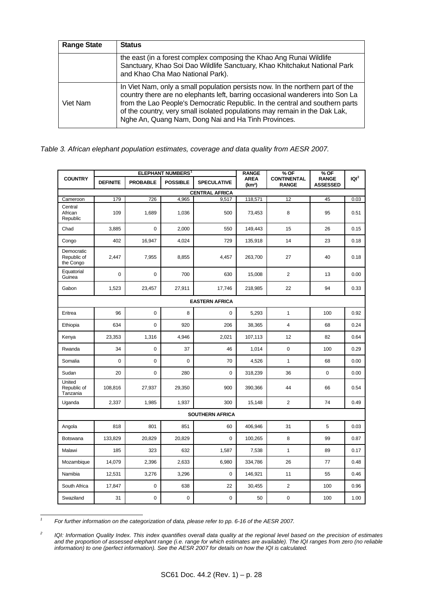| <b>Range State</b> | <b>Status</b>                                                                                                                                                                                                                                                                                                                                                                        |
|--------------------|--------------------------------------------------------------------------------------------------------------------------------------------------------------------------------------------------------------------------------------------------------------------------------------------------------------------------------------------------------------------------------------|
|                    | the east (in a forest complex composing the Khao Ang Runai Wildlife<br>Sanctuary, Khao Soi Dao Wildlife Sanctuary, Khao Khitchakut National Park<br>and Khao Cha Mao National Park).                                                                                                                                                                                                 |
| Viet Nam           | In Viet Nam, only a small population persists now. In the northern part of the<br>country there are no elephants left, barring occasional wanderers into Son La<br>from the Lao People's Democratic Republic. In the central and southern parts<br>of the country, very small isolated populations may remain in the Dak Lak,<br>Nghe An, Quang Nam, Dong Nai and Ha Tinh Provinces. |

*Table 3. African elephant population estimates, coverage and data quality from AESR 2007.* 

|                                        | <b>ELEPHANT NUMBERS</b> <sup>1</sup> |                 |                 | <b>RANGE</b>           | % OF                              | % OF                               |                                 |         |
|----------------------------------------|--------------------------------------|-----------------|-----------------|------------------------|-----------------------------------|------------------------------------|---------------------------------|---------|
| <b>COUNTRY</b>                         | <b>DEFINITE</b>                      | <b>PROBABLE</b> | <b>POSSIBLE</b> | <b>SPECULATIVE</b>     | <b>AREA</b><br>(km <sup>2</sup> ) | <b>CONTINENTAL</b><br><b>RANGE</b> | <b>RANGE</b><br><b>ASSESSED</b> | $ Q ^2$ |
|                                        |                                      |                 |                 | <b>CENTRAL AFRICA</b>  |                                   |                                    |                                 |         |
| Cameroon                               | 179                                  | 726             | 4,965           | 9,517                  | 118,571                           | 12                                 | 45                              | 0.03    |
| Central<br>African<br>Republic         | 109                                  | 1,689           | 1,036           | 500                    | 73,453                            | 8                                  | 95                              | 0.51    |
| Chad                                   | 3,885                                | $\pmb{0}$       | 2,000           | 550                    | 149,443                           | 15                                 | 26                              | 0.15    |
| Congo                                  | 402                                  | 16,947          | 4,024           | 729                    | 135,918                           | 14                                 | 23                              | 0.18    |
| Democratic<br>Republic of<br>the Congo | 2,447                                | 7,955           | 8,855           | 4,457                  | 263,700                           | 27                                 | 40                              | 0.18    |
| Equatorial<br>Guinea                   | $\Omega$                             | 0               | 700             | 630                    | 15,008                            | $\overline{2}$                     | 13                              | 0.00    |
| Gabon                                  | 1,523                                | 23,457          | 27,911          | 17,746                 | 218,985                           | 22                                 | 94                              | 0.33    |
| <b>EASTERN AFRICA</b>                  |                                      |                 |                 |                        |                                   |                                    |                                 |         |
| Eritrea                                | 96                                   | 0               | 8               | 0                      | 5,293                             | $\mathbf{1}$                       | 100                             | 0.92    |
| Ethiopia                               | 634                                  | 0               | 920             | 206                    | 38,365                            | 4                                  | 68                              | 0.24    |
| Kenya                                  | 23,353                               | 1,316           | 4,946           | 2,021                  | 107,113                           | 12                                 | 82                              | 0.64    |
| Rwanda                                 | 34                                   | 0               | 37              | 46                     | 1,014                             | 0                                  | 100                             | 0.29    |
| Somalia                                | $\mathbf 0$                          | 0               | 0               | 70                     | 4,526                             | 1                                  | 68                              | 0.00    |
| Sudan                                  | 20                                   | 0               | 280             | 0                      | 318,239                           | 36                                 | 0                               | 0.00    |
| United<br>Republic of<br>Tanzania      | 108,816                              | 27,937          | 29,350          | 900                    | 390,366                           | 44                                 | 66                              | 0.54    |
| Uganda                                 | 2,337                                | 1,985           | 1,937           | 300                    | 15,148                            | $\overline{2}$                     | 74                              | 0.49    |
|                                        |                                      |                 |                 | <b>SOUTHERN AFRICA</b> |                                   |                                    |                                 |         |
| Angola                                 | 818                                  | 801             | 851             | 60                     | 406,946                           | 31                                 | 5                               | 0.03    |
| Botswana                               | 133,829                              | 20,829          | 20,829          | 0                      | 100,265                           | 8                                  | 99                              | 0.87    |
| Malawi                                 | 185                                  | 323             | 632             | 1,587                  | 7,538                             | $\mathbf{1}$                       | 89                              | 0.17    |
| Mozambique                             | 14,079                               | 2,396           | 2,633           | 6,980                  | 334,786                           | 26                                 | 77                              | 0.48    |
| Namibia                                | 12,531                               | 3,276           | 3,296           | 0                      | 146,921                           | 11                                 | 55                              | 0.46    |
| South Africa                           | 17,847                               | 0               | 638             | 22                     | 30,455                            | $\overline{2}$                     | 100                             | 0.96    |
| Swaziland                              | 31                                   | $\pmb{0}$       | 0               | 0                      | 50                                | 0                                  | 100                             | 1.00    |

<span id="page-3-0"></span> *1 For further information on the categorization of data, please refer to pp. 6-16 of the AESR 2007.* 

<span id="page-3-1"></span>*<sup>2</sup> IQI: Information Quality Index. This index quantifies overall data quality at the regional level based on the precision of estimates*  and the proportion of assessed elephant range (i.e. range for which estimates are available). The IQI ranges from zero (no reliable *information) to one (perfect information). See the AESR 2007 for details on how the IQI is calculated.*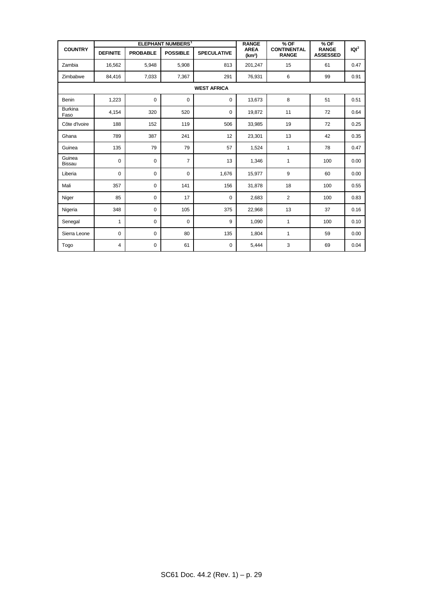|                         |                 |                 | <b>ELEPHANT NUMBERS<sup>1</sup></b> |                    | <b>RANGE</b>                      | $%$ OF                             | $%$ OF                          |                  |
|-------------------------|-----------------|-----------------|-------------------------------------|--------------------|-----------------------------------|------------------------------------|---------------------------------|------------------|
| <b>COUNTRY</b>          | <b>DEFINITE</b> | <b>PROBABLE</b> | <b>POSSIBLE</b>                     | <b>SPECULATIVE</b> | <b>AREA</b><br>(km <sup>2</sup> ) | <b>CONTINENTAL</b><br><b>RANGE</b> | <b>RANGE</b><br><b>ASSESSED</b> | IQI <sup>2</sup> |
| Zambia                  | 16,562          | 5,948           | 5,908                               | 813                | 201,247                           | 15                                 | 61                              | 0.47             |
| Zimbabwe                | 84,416          | 7,033           | 7,367                               | 291                | 76,931                            | 6                                  | 99                              | 0.91             |
|                         |                 |                 |                                     | <b>WEST AFRICA</b> |                                   |                                    |                                 |                  |
| Benin                   | 1,223           | $\mathbf 0$     | 0                                   | $\mathbf 0$        | 13,673                            | 8                                  | 51                              | 0.51             |
| <b>Burkina</b><br>Faso  | 4,154           | 320             | 520                                 | 0                  | 19,872                            | 11                                 | 72                              | 0.64             |
| Côte d'Ivoire           | 188             | 152             | 119                                 | 506                | 33,985                            | 19                                 | 72                              | 0.25             |
| Ghana                   | 789             | 387             | 241                                 | 12                 | 23,301                            | 13                                 | 42                              | 0.35             |
| Guinea                  | 135             | 79              | 79                                  | 57                 | 1,524                             | $\mathbf{1}$                       | 78                              | 0.47             |
| Guinea<br><b>Bissau</b> | 0               | $\mathbf 0$     | $\overline{7}$                      | 13                 | 1,346                             | $\mathbf{1}$                       | 100                             | 0.00             |
| Liberia                 | $\mathbf 0$     | $\mathbf 0$     | $\mathbf 0$                         | 1,676              | 15,977                            | 9                                  | 60                              | 0.00             |
| Mali                    | 357             | $\mathbf 0$     | 141                                 | 156                | 31,878                            | 18                                 | 100                             | 0.55             |
| Niger                   | 85              | $\mathbf 0$     | 17                                  | $\mathsf 0$        | 2,683                             | 2                                  | 100                             | 0.83             |
| Nigeria                 | 348             | $\mathbf 0$     | 105                                 | 375                | 22,968                            | 13                                 | 37                              | 0.16             |
| Senegal                 | 1               | $\mathbf 0$     | $\mathbf 0$                         | 9                  | 1,090                             | $\mathbf{1}$                       | 100                             | 0.10             |
| Sierra Leone            | $\mathbf 0$     | 0               | 80                                  | 135                | 1,804                             | $\mathbf{1}$                       | 59                              | 0.00             |
| Togo                    | 4               | $\mathbf 0$     | 61                                  | 0                  | 5,444                             | 3                                  | 69                              | 0.04             |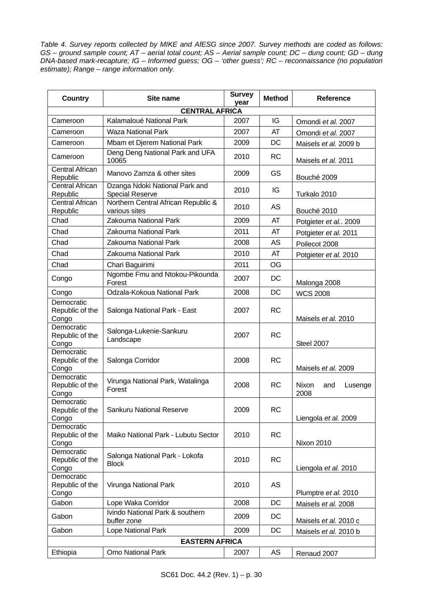*Table 4. Survey reports collected by MIKE and AfESG since 2007. Survey methods are coded as follows: GS – ground sample count; AT – aerial total count; AS – Aerial sample count; DC – dung count; GD – dung DNA-based mark-recapture; IG – Informed guess; OG – 'other guess'; RC – reconnaissance (no population estimate); Range – range information only.* 

| Country                                | Site name                                            | <b>Survey</b><br>year | <b>Method</b> | <b>Reference</b>                |  |  |
|----------------------------------------|------------------------------------------------------|-----------------------|---------------|---------------------------------|--|--|
|                                        | <b>CENTRAL AFRICA</b>                                |                       |               |                                 |  |  |
| Cameroon                               | Kalamaloué National Park                             | 2007                  | IG            | Omondi et al. 2007              |  |  |
| Cameroon                               | <b>Waza National Park</b>                            | 2007                  | AT            | Omondi et al. 2007              |  |  |
| Cameroon                               | Mbam et Djerem National Park                         | 2009                  | DC            | Maisels et al. 2009 b           |  |  |
| Cameroon                               | Deng Deng National Park and UFA<br>10065             | 2010                  | <b>RC</b>     | Maisels et al. 2011             |  |  |
| <b>Central African</b><br>Republic     | Manovo Zamza & other sites                           | 2009                  | GS            | Bouché 2009                     |  |  |
| <b>Central African</b><br>Republic     | Dzanga Ndoki National Park and<br>Special Reserve    | 2010                  | IG            | Turkalo 2010                    |  |  |
| <b>Central African</b><br>Republic     | Northern Central African Republic &<br>various sites | 2010                  | AS            | Bouché 2010                     |  |  |
| Chad                                   | Zakouma National Park                                | 2009                  | AT            | Potgieter et al., 2009          |  |  |
| Chad                                   | Zakouma National Park                                | 2011                  | AT            | Potgieter et al. 2011           |  |  |
| Chad                                   | Zakouma National Park                                | 2008                  | AS            | Poilecot 2008                   |  |  |
| Chad                                   | Zakouma National Park                                | 2010                  | AT            | Potgieter et al. 2010           |  |  |
| Chad                                   | Chari Baguirimi                                      | 2011                  | OG            |                                 |  |  |
| Congo                                  | Ngombe Fmu and Ntokou-Pikounda<br>Forest             | 2007                  | DC            | Malonga 2008                    |  |  |
| Congo                                  | Odzala-Kokoua National Park                          | 2008                  | <b>DC</b>     | <b>WCS 2008</b>                 |  |  |
| Democratic<br>Republic of the<br>Congo | Salonga National Park - East                         | 2007                  | <b>RC</b>     | Maisels et al. 2010             |  |  |
| Democratic<br>Republic of the<br>Congo | Salonga-Lukenie-Sankuru<br>Landscape                 | 2007                  | <b>RC</b>     | Steel 2007                      |  |  |
| Democratic<br>Republic of the<br>Congo | Salonga Corridor                                     | 2008                  | <b>RC</b>     | Maisels et al. 2009             |  |  |
| Democratic<br>Republic of the<br>Congo | Virunga National Park, Watalinga<br>Forest           | 2008                  | RC            | Nixon<br>and<br>Lusenge<br>2008 |  |  |
| Democratic<br>Republic of the<br>Congo | Sankuru National Reserve                             | 2009                  | <b>RC</b>     | Liengola et al. 2009            |  |  |
| Democratic<br>Republic of the<br>Congo | Maiko National Park - Lubutu Sector                  | 2010                  | <b>RC</b>     | Nixon 2010                      |  |  |
| Democratic<br>Republic of the<br>Congo | Salonga National Park - Lokofa<br><b>Block</b>       | 2010                  | <b>RC</b>     | Liengola et al. 2010            |  |  |
| Democratic<br>Republic of the<br>Congo | Virunga National Park                                | 2010                  | AS            | Plumptre et al. 2010            |  |  |
| Gabon                                  | Lope Waka Corridor                                   | 2008                  | DC            | Maisels et al. 2008             |  |  |
| Gabon                                  | Ivindo National Park & southern<br>buffer zone       | 2009                  | DC            | Maisels et al. 2010 c           |  |  |
| Gabon                                  | Lope National Park                                   | 2009                  | DC            | Maisels et al. 2010 b           |  |  |
|                                        | <b>EASTERN AFRICA</b>                                |                       |               |                                 |  |  |
| Ethiopia                               | Omo National Park                                    | 2007                  | AS            | Renaud 2007                     |  |  |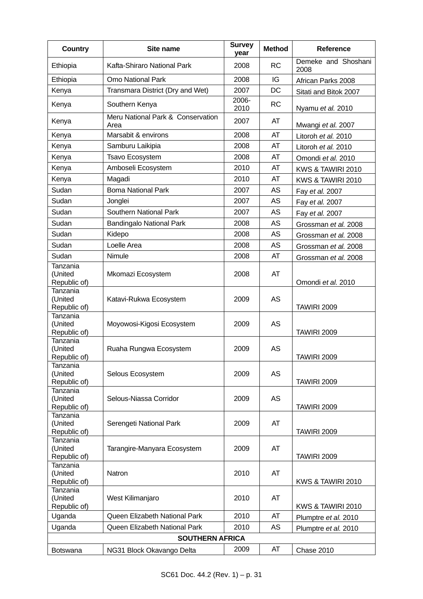| <b>Country</b>                                      | Site name                                 | <b>Survey</b><br>vear | <b>Method</b> | <b>Reference</b>                         |
|-----------------------------------------------------|-------------------------------------------|-----------------------|---------------|------------------------------------------|
| Ethiopia                                            | Kafta-Shiraro National Park               | 2008                  | <b>RC</b>     | Demeke and Shoshani<br>2008              |
| Ethiopia                                            | <b>Omo National Park</b>                  | 2008                  | IG            | African Parks 2008                       |
| Kenya                                               | Transmara District (Dry and Wet)          | 2007                  | DC            | Sitati and Bitok 2007                    |
| Kenya                                               | Southern Kenya                            | 2006-<br>2010         | <b>RC</b>     | Nyamu et al. 2010                        |
| Kenya                                               | Meru National Park & Conservation<br>Area | 2007                  | AT            | Mwangi et al. 2007                       |
| Kenya                                               | Marsabit & environs                       | 2008                  | AT            | Litoroh et al. 2010                      |
| Kenya                                               | Samburu Laikipia                          | 2008                  | AT            | Litoroh et al. 2010                      |
| Kenya                                               | <b>Tsavo Ecosystem</b>                    | 2008                  | AT            | Omondi et al. 2010                       |
| Kenya                                               | Amboseli Ecosystem                        | 2010                  | AT            | KWS & TAWIRI 2010                        |
| Kenya                                               | Magadi                                    | 2010                  | AT            | KWS & TAWIRI 2010                        |
| Sudan                                               | <b>Boma National Park</b>                 | 2007                  | AS            | Fay et al. 2007                          |
| Sudan                                               | Jonglei                                   | 2007                  | AS            | Fay et al. 2007                          |
| Sudan                                               | Southern National Park                    | 2007                  | AS            | Fay et al. 2007                          |
| Sudan                                               | <b>Bandingalo National Park</b>           | 2008                  | AS            | Grossman et al. 2008                     |
| Sudan                                               | Kidepo                                    | 2008                  | <b>AS</b>     | Grossman et al. 2008                     |
| Sudan                                               | Loelle Area                               | 2008                  | AS            | Grossman et al. 2008                     |
| Sudan                                               | Nimule                                    | 2008                  | AT            | Grossman et al. 2008                     |
| Tanzania<br>(United                                 | Mkomazi Ecosystem                         | 2008                  | AT            |                                          |
| Republic of)<br>Tanzania<br>(United<br>Republic of) | Katavi-Rukwa Ecosystem                    | 2009                  | <b>AS</b>     | Omondi et al. 2010<br><b>TAWIRI 2009</b> |
| <b>Tanzania</b><br>(United<br>Republic of)          | Moyowosi-Kigosi Ecosystem                 | 2009                  | <b>AS</b>     | <b>TAWIRI 2009</b>                       |
| Tanzania<br>(United<br>Republic of)                 | Ruaha Rungwa Ecosystem                    | 2009                  | AS            | <b>TAWIRI 2009</b>                       |
| Tanzania<br>(United<br>Republic of)                 | Selous Ecosystem                          | 2009                  | AS            | <b>TAWIRI 2009</b>                       |
| Tanzania<br>(United<br>Republic of)                 | Selous-Niassa Corridor                    | 2009                  | AS            | <b>TAWIRI 2009</b>                       |
| Tanzania<br>(United<br>Republic of)                 | Serengeti National Park                   | 2009                  | AT            | <b>TAWIRI 2009</b>                       |
| Tanzania<br>(United<br>Republic of)                 | Tarangire-Manyara Ecosystem               | 2009                  | AT            | <b>TAWIRI 2009</b>                       |
| Tanzania<br>(United<br>Republic of)                 | Natron                                    | 2010                  | AT            | KWS & TAWIRI 2010                        |
| Tanzania<br>(United<br>Republic of)                 | West Kilimanjaro                          | 2010                  | AT            | KWS & TAWIRI 2010                        |
| Uganda                                              | Queen Elizabeth National Park             | 2010                  | AT            | Plumptre et al. 2010                     |
| Uganda                                              | Queen Elizabeth National Park             | 2010                  | AS            | Plumptre et al. 2010                     |
|                                                     | <b>SOUTHERN AFRICA</b>                    |                       |               |                                          |
| <b>Botswana</b>                                     | NG31 Block Okavango Delta                 | 2009                  | AT            | Chase 2010                               |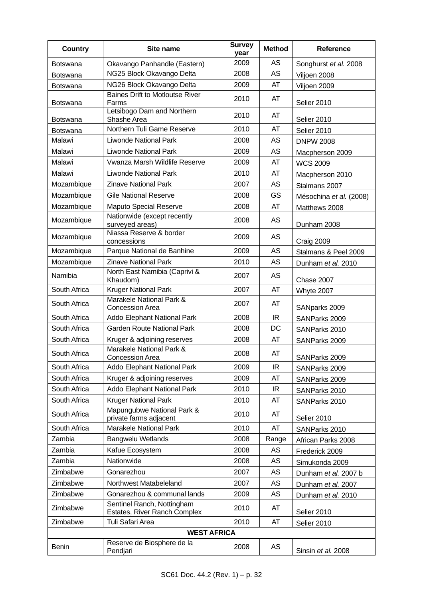| <b>Country</b>  | Site name                                                  | <b>Survey</b><br>year | <b>Method</b> | <b>Reference</b>        |  |
|-----------------|------------------------------------------------------------|-----------------------|---------------|-------------------------|--|
| <b>Botswana</b> | Okavango Panhandle (Eastern)                               | 2009                  | <b>AS</b>     | Songhurst et al. 2008   |  |
| <b>Botswana</b> | NG25 Block Okavango Delta                                  | 2008                  | AS            | Viljoen 2008            |  |
| <b>Botswana</b> | NG26 Block Okavango Delta                                  | 2009                  | AT            | Viljoen 2009            |  |
| <b>Botswana</b> | <b>Baines Drift to Motloutse River</b><br>Farms            | 2010                  | AT            | Selier 2010             |  |
| <b>Botswana</b> | Letsibogo Dam and Northern<br>Shashe Area                  | 2010                  | AT            | Selier 2010             |  |
| <b>Botswana</b> | Northern Tuli Game Reserve                                 | 2010                  | AT            | Selier 2010             |  |
| Malawi          | <b>Liwonde National Park</b>                               | 2008                  | AS            | <b>DNPW 2008</b>        |  |
| Malawi          | <b>Liwonde National Park</b>                               | 2009                  | AS            | Macpherson 2009         |  |
| Malawi          | Vwanza Marsh Wildlife Reserve                              | 2009                  | AT            | <b>WCS 2009</b>         |  |
| Malawi          | <b>Liwonde National Park</b>                               | 2010                  | AT            | Macpherson 2010         |  |
| Mozambique      | <b>Zinave National Park</b>                                | 2007                  | AS            | Stalmans 2007           |  |
| Mozambique      | <b>Gile National Reserve</b>                               | 2008                  | GS            | Mésochina et al. (2008) |  |
| Mozambique      | <b>Maputo Special Reserve</b>                              | 2008                  | AT            | Matthews 2008           |  |
| Mozambique      | Nationwide (except recently<br>surveyed areas)             | 2008                  | AS            | Dunham 2008             |  |
| Mozambique      | Niassa Reserve & border<br>concessions                     | 2009                  | AS            | Craig 2009              |  |
| Mozambique      | Parque National de Banhine                                 | 2009                  | AS            | Stalmans & Peel 2009    |  |
| Mozambique      | <b>Zinave National Park</b>                                | 2010                  | AS            | Dunham et al. 2010      |  |
| Namibia         | North East Namibia (Caprivi &<br>Khaudom)                  | 2007                  | <b>AS</b>     | Chase 2007              |  |
| South Africa    | <b>Kruger National Park</b>                                | 2007                  | AT            | Whyte 2007              |  |
| South Africa    | Marakele National Park &<br>Concession Area                | 2007                  | AT            | SANparks 2009           |  |
| South Africa    | Addo Elephant National Park                                | 2008                  | <b>IR</b>     | SANParks 2009           |  |
| South Africa    | <b>Garden Route National Park</b>                          | 2008                  | <b>DC</b>     | SANParks 2010           |  |
| South Africa    | Kruger & adjoining reserves                                | 2008                  | AT            | SANParks 2009           |  |
| South Africa    | Marakele National Park &<br><b>Concession Area</b>         | 2008                  | AT            | SANParks 2009           |  |
| South Africa    | Addo Elephant National Park                                | 2009                  | IR            | SANParks 2009           |  |
| South Africa    | Kruger & adjoining reserves                                | 2009                  | AT            | SANParks 2009           |  |
| South Africa    | <b>Addo Elephant National Park</b>                         | 2010                  | IR            | SANParks 2010           |  |
| South Africa    | <b>Kruger National Park</b>                                | 2010                  | AT            | SANParks 2010           |  |
| South Africa    | Mapungubwe National Park &<br>private farms adjacent       | 2010                  | AT            | Selier 2010             |  |
| South Africa    | <b>Marakele National Park</b>                              | 2010                  | AT            | SANParks 2010           |  |
| Zambia          | <b>Bangwelu Wetlands</b>                                   | 2008                  | Range         | African Parks 2008      |  |
| Zambia          | Kafue Ecosystem                                            | 2008                  | AS            | Frederick 2009          |  |
| Zambia          | Nationwide                                                 | 2008                  | AS            | Simukonda 2009          |  |
| Zimbabwe        | Gonarezhou                                                 | 2007                  | AS            | Dunham et al. 2007 b    |  |
| Zimbabwe        | Northwest Matabeleland                                     | 2007                  | AS            | Dunham et al. 2007      |  |
| Zimbabwe        | Gonarezhou & communal lands                                | 2009                  | AS            | Dunham et al. 2010      |  |
| Zimbabwe        | Sentinel Ranch, Nottingham<br>Estates, River Ranch Complex | 2010                  | AT            | Selier 2010             |  |
| Zimbabwe        | Tuli Safari Area                                           | 2010                  | AT            | Selier 2010             |  |
|                 | <b>WEST AFRICA</b>                                         |                       |               |                         |  |
| <b>Benin</b>    | Reserve de Biosphere de la<br>Pendjari                     | 2008                  | AS            | Sinsin et al. 2008      |  |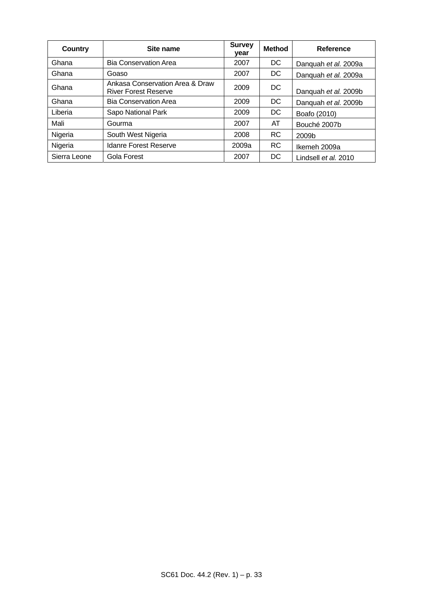| Country      | Site name                                                      | <b>Survey</b><br>year | <b>Method</b> | Reference            |
|--------------|----------------------------------------------------------------|-----------------------|---------------|----------------------|
| Ghana        | <b>Bia Conservation Area</b>                                   | 2007                  | DC.           | Danquah et al. 2009a |
| Ghana        | Goaso                                                          | 2007                  | DC.           | Danguah et al. 2009a |
| Ghana        | Ankasa Conservation Area & Draw<br><b>River Forest Reserve</b> | 2009                  | DC            | Danquah et al. 2009b |
| Ghana        | <b>Bia Conservation Area</b>                                   | 2009                  | DC.           | Danguah et al. 2009b |
| Liberia      | Sapo National Park                                             | 2009                  | DC.           | Boafo (2010)         |
| Mali         | Gourma                                                         | 2007                  | AT            | Bouché 2007b         |
| Nigeria      | South West Nigeria                                             | 2008                  | RC.           | 2009b                |
| Nigeria      | <b>Idanre Forest Reserve</b>                                   | 2009a                 | <b>RC</b>     | Ikemeh 2009a         |
| Sierra Leone | Gola Forest                                                    | 2007                  | DC            | Lindsell et al. 2010 |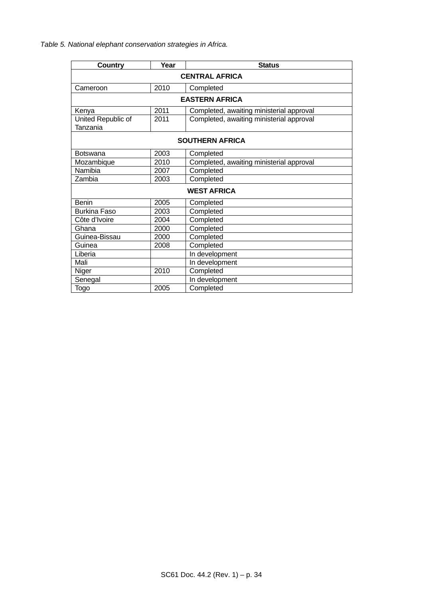*Table 5. National elephant conservation strategies in Africa.* 

| Country                        | Year                  | <b>Status</b>                            |  |  |  |
|--------------------------------|-----------------------|------------------------------------------|--|--|--|
|                                | <b>CENTRAL AFRICA</b> |                                          |  |  |  |
| Cameroon                       | 2010                  | Completed                                |  |  |  |
| <b>EASTERN AFRICA</b>          |                       |                                          |  |  |  |
| Kenya                          | 2011                  | Completed, awaiting ministerial approval |  |  |  |
| United Republic of<br>Tanzania | 2011                  | Completed, awaiting ministerial approval |  |  |  |
|                                |                       | <b>SOUTHERN AFRICA</b>                   |  |  |  |
| <b>Botswana</b>                | 2003                  | Completed                                |  |  |  |
| Mozambique                     | 2010                  | Completed, awaiting ministerial approval |  |  |  |
| Namibia                        | 2007                  | Completed                                |  |  |  |
| Zambia                         | 2003                  | Completed                                |  |  |  |
|                                | <b>WEST AFRICA</b>    |                                          |  |  |  |
| <b>Benin</b>                   | 2005                  | Completed                                |  |  |  |
| <b>Burkina Faso</b>            | 2003                  | Completed                                |  |  |  |
| Côte d'Ivoire                  | 2004                  | Completed                                |  |  |  |
| Ghana                          | 2000                  | Completed                                |  |  |  |
| Guinea-Bissau                  | 2000                  | Completed                                |  |  |  |
| Guinea                         | 2008                  | Completed                                |  |  |  |
| Liberia                        |                       | In development                           |  |  |  |
| Mali                           |                       | In development                           |  |  |  |
| Niger                          | 2010                  | Completed                                |  |  |  |
| Senegal                        |                       | In development                           |  |  |  |
| Togo                           | 2005                  | Completed                                |  |  |  |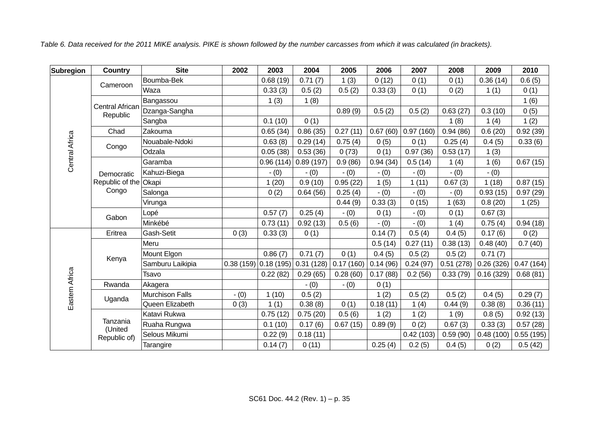| Table 6. Data received for the 2011 MIKE analysis. PIKE is shown followed by the number carcasses from which it was calculated (in brackets). |
|-----------------------------------------------------------------------------------------------------------------------------------------------|
|-----------------------------------------------------------------------------------------------------------------------------------------------|

| Subregion             | Country                                 | <b>Site</b>            | 2002      | 2003      | 2004      | 2005      | 2006     | 2007      | 2008      | 2009      | 2010      |
|-----------------------|-----------------------------------------|------------------------|-----------|-----------|-----------|-----------|----------|-----------|-----------|-----------|-----------|
|                       |                                         | Boumba-Bek             |           | 0.68(19)  | 0.71(7)   | 1(3)      | 0(12)    | 0(1)      | 0(1)      | 0.36(14)  | 0.6(5)    |
|                       | Cameroon                                | Waza                   |           | 0.33(3)   | 0.5(2)    | 0.5(2)    | 0.33(3)  | 0(1)      | 0(2)      | 1(1)      | 0(1)      |
|                       |                                         | Bangassou              |           | 1(3)      | 1(8)      |           |          |           |           |           | 1(6)      |
|                       | Central African<br>Republic             | Dzanga-Sangha          |           |           |           | 0.89(9)   | 0.5(2)   | 0.5(2)    | 0.63(27)  | 0.3(10)   | 0(5)      |
|                       |                                         | Sangba                 |           | 0.1(10)   | 0(1)      |           |          |           | 1(8)      | 1(4)      | 1(2)      |
|                       | Chad                                    | Zakouma                |           | 0.65(34)  | 0.86(35)  | 0.27(11)  | 0.67(60) | 0.97(160) | 0.94(86)  | 0.6(20)   | 0.92(39)  |
| <b>Central Africa</b> | Congo                                   | Nouabale-Ndoki         |           | 0.63(8)   | 0.29(14)  | 0.75(4)   | 0(5)     | 0(1)      | 0.25(4)   | 0.4(5)    | 0.33(6)   |
|                       |                                         | Odzala                 |           | 0.05(38)  | 0.53(36)  | 0(73)     | 0(1)     | 0.97(36)  | 0.53(17)  | 1(3)      |           |
|                       |                                         | Garamba                |           | 0.96(114) | 0.89(197) | 0.9(86)   | 0.94(34) | 0.5(14)   | 1(4)      | 1(6)      | 0.67(15)  |
|                       | Democratic                              | Kahuzi-Biega           |           | $- (0)$   | $- (0)$   | $- (0)$   | $- (0)$  | $- (0)$   | $- (0)$   | $- (0)$   |           |
|                       | Republic of the Okapi<br>Congo<br>Gabon |                        |           | 1(20)     | 0.9(10)   | 0.95(22)  | 1(5)     | 1(11)     | 0.67(3)   | 1(18)     | 0.87(15)  |
|                       |                                         | Salonga                |           | 0(2)      | 0.64(56)  | 0.25(4)   | $- (0)$  | $- (0)$   | $- (0)$   | 0.93(15)  | 0.97(29)  |
|                       |                                         | Virunga                |           |           |           | 0.44(9)   | 0.33(3)  | 0(15)     | 1(63)     | 0.8(20)   | 1(25)     |
|                       |                                         | Lopé                   |           | 0.57(7)   | 0.25(4)   | $- (0)$   | 0(1)     | $- (0)$   | 0(1)      | 0.67(3)   |           |
|                       |                                         | Minkébé                |           | 0.73(11)  | 0.92(13)  | 0.5(6)    | $- (0)$  | $- (0)$   | 1(4)      | 0.75(4)   | 0.94(18)  |
|                       | Eritrea                                 | Gash-Setit             | 0(3)      | 0.33(3)   | 0(1)      |           | 0.14(7)  | 0.5(4)    | 0.4(5)    | 0.17(6)   | 0(2)      |
|                       |                                         | Meru                   |           |           |           |           | 0.5(14)  | 0.27(11)  | 0.38(13)  | 0.48(40)  | 0.7(40)   |
|                       | Kenya                                   | Mount Elgon            |           | 0.86(7)   | 0.71(7)   | 0(1)      | 0.4(5)   | 0.5(2)    | 0.5(2)    | 0.71(7)   |           |
|                       |                                         | Samburu Laikipia       | 0.38(159) | 0.18(195) | 0.31(128) | 0.17(160) | 0.14(96) | 0.24(97)  | 0.51(278) | 0.26(326) | 0.47(164) |
|                       |                                         | Tsavo                  |           | 0.22(82)  | 0.29(65)  | 0.28(60)  | 0.17(88) | 0.2(56)   | 0.33(79)  | 0.16(329) | 0.68(81)  |
|                       | Rwanda                                  | Akagera                |           |           | $- (0)$   | $- (0)$   | 0(1)     |           |           |           |           |
|                       |                                         | <b>Murchison Falls</b> | $- (0)$   | 1(10)     | 0.5(2)    |           | 1(2)     | 0.5(2)    | 0.5(2)    | 0.4(5)    | 0.29(7)   |
|                       | Eastern Africa<br>Uganda                | Queen Elizabeth        | 0(3)      | 1(1)      | 0.38(8)   | 0(1)      | 0.18(11) | 1(4)      | 0.44(9)   | 0.38(8)   | 0.36(11)  |
|                       |                                         | Katavi Rukwa           |           | 0.75(12)  | 0.75(20)  | 0.5(6)    | 1(2)     | 1(2)      | 1(9)      | 0.8(5)    | 0.92(13)  |
|                       | Tanzania<br>(United                     | Ruaha Rungwa           |           | 0.1(10)   | 0.17(6)   | 0.67(15)  | 0.89(9)  | 0(2)      | 0.67(3)   | 0.33(3)   | 0.57(28)  |
|                       | Republic of)                            | Selous Mikumi          |           | 0.22(9)   | 0.18(11)  |           |          | 0.42(103) | 0.59(90)  | 0.48(100) | 0.55(195) |
|                       |                                         | Tarangire              |           | 0.14(7)   | 0(11)     |           | 0.25(4)  | 0.2(5)    | 0.4(5)    | 0(2)      | 0.5(42)   |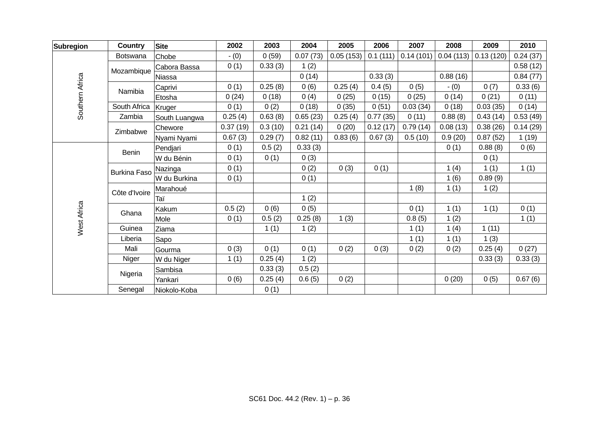| <b>Subregion</b> | <b>Country</b>      | <b>Site</b>   | 2002     | 2003    | 2004     | 2005      | 2006     | 2007      | 2008      | 2009      | 2010     |
|------------------|---------------------|---------------|----------|---------|----------|-----------|----------|-----------|-----------|-----------|----------|
|                  | Botswana            | Chobe         | $- (0)$  | 0(59)   | 0.07(73) | 0.05(153) | 0.1(111) | 0.14(101) | 0.04(113) | 0.13(120) | 0.24(37) |
|                  |                     | Cabora Bassa  | 0(1)     | 0.33(3) | 1(2)     |           |          |           |           |           | 0.58(12) |
|                  | Mozambique          | Niassa        |          |         | 0(14)    |           | 0.33(3)  |           | 0.88(16)  |           | 0.84(77) |
| Southern Africa  | Namibia             | Caprivi       | 0(1)     | 0.25(8) | 0(6)     | 0.25(4)   | 0.4(5)   | 0(5)      | $- (0)$   | 0(7)      | 0.33(6)  |
|                  |                     | Etosha        | 0(24)    | 0(18)   | 0(4)     | 0(25)     | 0(15)    | 0(25)     | 0(14)     | 0(21)     | 0(11)    |
|                  | South Africa        | Kruger        | 0(1)     | 0(2)    | 0(18)    | 0(35)     | 0(51)    | 0.03(34)  | 0(18)     | 0.03(35)  | 0(14)    |
|                  | Zambia              | South Luangwa | 0.25(4)  | 0.63(8) | 0.65(23) | 0.25(4)   | 0.77(35) | 0(11)     | 0.88(8)   | 0.43(14)  | 0.53(49) |
|                  | Zimbabwe            | Chewore       | 0.37(19) | 0.3(10) | 0.21(14) | 0(20)     | 0.12(17) | 0.79(14)  | 0.08(13)  | 0.38(26)  | 0.14(29) |
|                  |                     | Nyami Nyami   | 0.67(3)  | 0.29(7) | 0.82(11) | 0.83(6)   | 0.67(3)  | 0.5(10)   | 0.9(20)   | 0.87(52)  | 1(19)    |
|                  | <b>Benin</b>        | Pendjari      | 0(1)     | 0.5(2)  | 0.33(3)  |           |          |           | 0(1)      | 0.88(8)   | 0(6)     |
|                  |                     | W du Bénin    | 0(1)     | 0(1)    | 0(3)     |           |          |           |           | 0(1)      |          |
|                  | <b>Burkina Faso</b> | Nazinga       | 0(1)     |         | 0(2)     | 0(3)      | 0(1)     |           | 1(4)      | 1(1)      | 1(1)     |
|                  |                     | W du Burkina  | 0(1)     |         | 0(1)     |           |          |           | 1(6)      | 0.89(9)   |          |
|                  | Côte d'Ivoire       | Marahoué      |          |         |          |           |          | 1(8)      | 1(1)      | 1(2)      |          |
|                  |                     | Taï           |          |         | 1(2)     |           |          |           |           |           |          |
| West Africa      | Ghana               | Kakum         | 0.5(2)   | 0(6)    | 0(5)     |           |          | 0(1)      | 1(1)      | 1(1)      | 0(1)     |
|                  |                     | Mole          | 0(1)     | 0.5(2)  | 0.25(8)  | 1(3)      |          | 0.8(5)    | 1(2)      |           | 1(1)     |
|                  | Guinea              | Ziama         |          | 1(1)    | 1(2)     |           |          | 1(1)      | 1(4)      | 1(11)     |          |
|                  | Liberia             | Sapo          |          |         |          |           |          | 1(1)      | 1(1)      | 1(3)      |          |
|                  | Mali                | Gourma        | 0(3)     | 0(1)    | 0(1)     | 0(2)      | 0(3)     | 0(2)      | 0(2)      | 0.25(4)   | 0(27)    |
|                  | Niger               | W du Niger    | 1(1)     | 0.25(4) | 1(2)     |           |          |           |           | 0.33(3)   | 0.33(3)  |
|                  | Nigeria             | Sambisa       |          | 0.33(3) | 0.5(2)   |           |          |           |           |           |          |
|                  |                     | Yankari       | 0(6)     | 0.25(4) | 0.6(5)   | 0(2)      |          |           | 0(20)     | 0(5)      | 0.67(6)  |
|                  | Senegal             | Niokolo-Koba  |          | 0(1)    |          |           |          |           |           |           |          |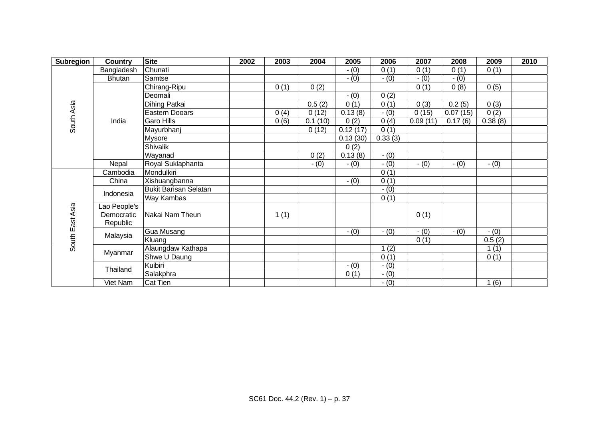| Subregion       | <b>Country</b> | <b>Site</b>                  | 2002 | 2003 | 2004    | 2005     | 2006    | 2007     | 2008     | 2009    | 2010 |
|-----------------|----------------|------------------------------|------|------|---------|----------|---------|----------|----------|---------|------|
|                 | Bangladesh     | Chunati                      |      |      |         | $- (0)$  | 0(1)    | 0(1)     | 0(1)     | 0(1)    |      |
|                 | <b>Bhutan</b>  | Samtse                       |      |      |         | $- (0)$  | $- (0)$ | $- (0)$  | $- (0)$  |         |      |
|                 |                | Chirang-Ripu                 |      | 0(1) | 0(2)    |          |         | 0(1)     | 0(8)     | 0(5)    |      |
|                 |                | Deomali                      |      |      |         | $- (0)$  | 0(2)    |          |          |         |      |
| South Asia      |                | Dihing Patkai                |      |      | 0.5(2)  | 0(1)     | 0(1)    | 0(3)     | 0.2(5)   | 0(3)    |      |
|                 |                | Eastern Dooars               |      | 0(4) | 0(12)   | 0.13(8)  | $- (0)$ | 0(15)    | 0.07(15) | 0(2)    |      |
|                 | India          | <b>Garo Hills</b>            |      | 0(6) | 0.1(10) | 0(2)     | 0(4)    | 0.09(11) | 0.17(6)  | 0.38(8) |      |
|                 |                | Mayurbhanj                   |      |      | 0(12)   | 0.12(17) | 0(1)    |          |          |         |      |
|                 |                | Mysore                       |      |      |         | 0.13(30) | 0.33(3) |          |          |         |      |
|                 |                | Shivalik                     |      |      |         | 0(2)     |         |          |          |         |      |
|                 |                | Wayanad                      |      |      | 0(2)    | 0.13(8)  | $- (0)$ |          |          |         |      |
|                 | Nepal          | Royal Suklaphanta            |      |      | $- (0)$ | $- (0)$  | $- (0)$ | $- (0)$  | $- (0)$  | $- (0)$ |      |
|                 | Cambodia       | Mondulkiri                   |      |      |         |          | 0(1)    |          |          |         |      |
|                 | China          | Xishuangbanna                |      |      |         | $- (0)$  | 0(1)    |          |          |         |      |
|                 | Indonesia      | <b>Bukit Barisan Selatan</b> |      |      |         |          | $- (0)$ |          |          |         |      |
|                 |                | Way Kambas                   |      |      |         |          | 0(1)    |          |          |         |      |
|                 | Lao People's   |                              |      |      |         |          |         |          |          |         |      |
| South East Asia | Democratic     | Nakai Nam Theun              |      | 1(1) |         |          |         | 0(1)     |          |         |      |
|                 | Republic       |                              |      |      |         |          |         |          |          |         |      |
|                 | Malaysia       | Gua Musang                   |      |      |         | $- (0)$  | $- (0)$ | $- (0)$  | $- (0)$  | $- (0)$ |      |
|                 |                | Kluang                       |      |      |         |          |         | 0(1)     |          | 0.5(2)  |      |
|                 | Myanmar        | Alaungdaw Kathapa            |      |      |         |          | 1(2)    |          |          | 1(1)    |      |
|                 |                | Shwe U Daung                 |      |      |         |          | 0(1)    |          |          | 0(1)    |      |
|                 | Thailand       | Kuibiri                      |      |      |         | $- (0)$  | $- (0)$ |          |          |         |      |
|                 |                | Salakphra                    |      |      |         | 0(1)     | $- (0)$ |          |          |         |      |
|                 | Viet Nam       | Cat Tien                     |      |      |         |          | $- (0)$ |          |          | 1(6)    |      |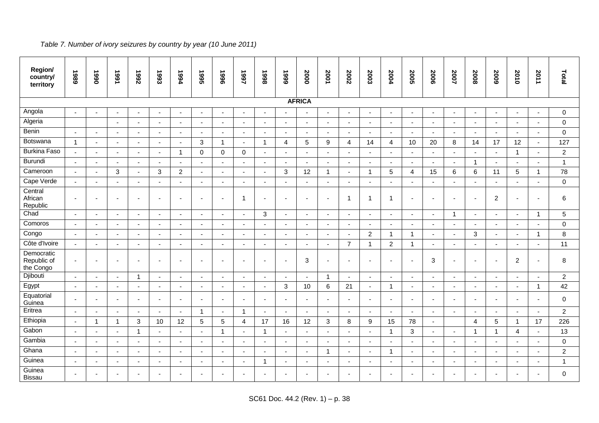| Region/<br>country/<br>territory       | 1989                     | 1990           | 1991                     | <b>7992</b>              | 1993                     | 1994                     | 5661                     | 9661                     | 1997                     | 8661                     | 6661                     | 2000                     | 2001                     | 2002                     | 2003                     | 2004                     | <b>2005</b>              | 2006                     | 2007                     | 2008                     | 5009                     | 2010                     | 2011           | Total          |
|----------------------------------------|--------------------------|----------------|--------------------------|--------------------------|--------------------------|--------------------------|--------------------------|--------------------------|--------------------------|--------------------------|--------------------------|--------------------------|--------------------------|--------------------------|--------------------------|--------------------------|--------------------------|--------------------------|--------------------------|--------------------------|--------------------------|--------------------------|----------------|----------------|
|                                        |                          |                |                          |                          |                          |                          |                          |                          |                          |                          |                          | <b>AFRICA</b>            |                          |                          |                          |                          |                          |                          |                          |                          |                          |                          |                |                |
| Angola                                 | $\sim$                   |                | $\blacksquare$           |                          |                          | $\blacksquare$           | $\overline{\phantom{a}}$ |                          |                          | $\overline{\phantom{a}}$ |                          | $\sim$                   | $\sim$                   | ä,                       |                          | $\blacksquare$           | $\sim$                   | $\overline{\phantom{a}}$ | ä,                       |                          |                          | $\sim$                   |                | $\mathbf 0$    |
| Algeria                                |                          |                | $\sim$                   | $\sim$                   | $\overline{\phantom{a}}$ | $\sim$                   | $\sim$                   | $\blacksquare$           | $\sim$                   | $\overline{\phantom{a}}$ | $\overline{\phantom{a}}$ | $\sim$                   | $\sim$                   | $\sim$                   | $\blacksquare$           | $\overline{\phantom{a}}$ | $\sim$                   | $\sim$                   | $\blacksquare$           | $\overline{\phantom{a}}$ | $\sim$                   | $\mathbf{r}$             | $\blacksquare$ | $\mathbf 0$    |
| Benin                                  | $\blacksquare$           | $\blacksquare$ | $\sim$                   | $\overline{\phantom{a}}$ | $\overline{\phantom{a}}$ | $\blacksquare$           | $\blacksquare$           | $\overline{\phantom{a}}$ | $\overline{\phantom{a}}$ | $\overline{\phantom{a}}$ | $\blacksquare$           | $\blacksquare$           | $\sim$                   | $\blacksquare$           | $\overline{\phantom{a}}$ | $\blacksquare$           | $\sim$                   | $\overline{\phantom{a}}$ | $\blacksquare$           | $\blacksquare$           | $\overline{\phantom{a}}$ | $\blacksquare$           | $\blacksquare$ | $\mathbf 0$    |
| Botswana                               | $\mathbf{1}$             | $\mathbf{r}$   | $\overline{a}$           | $\sim$                   | $\sim$                   | $\sim$                   | $\mathbf{3}$             | $\mathbf{1}$             | $\overline{\phantom{a}}$ | $\mathbf{1}$             | $\overline{4}$           | $\sqrt{5}$               | $\boldsymbol{9}$         | $\overline{4}$           | 14                       | $\overline{4}$           | 10                       | 20                       | 8                        | 14                       | 17                       | 12                       | $\sim$         | 127            |
| <b>Burkina Faso</b>                    | $\sim$                   | $\sim$         | $\sim$                   |                          |                          | -1                       | $\mathbf 0$              | $\mathbf 0$              | $\mathbf 0$              | $\blacksquare$           | ÷,                       | $\sim$                   | $\overline{\phantom{a}}$ | $\blacksquare$           | $\blacksquare$           | $\blacksquare$           | $\overline{\phantom{a}}$ | $\overline{\phantom{a}}$ | $\blacksquare$           |                          | $\blacksquare$           | $\overline{1}$           | $\blacksquare$ | $\overline{c}$ |
| Burundi                                | $\sim$                   | $\mathbf{r}$   | $\sim$                   | $\blacksquare$           | $\overline{\phantom{a}}$ | ÷,                       | $\sim$                   | $\sim$                   |                          | $\blacksquare$           | $\overline{\phantom{a}}$ | $\blacksquare$           | $\sim$                   | $\sim$                   | $\blacksquare$           | $\overline{\phantom{a}}$ | $\sim$                   | $\mathbf{r}$             | ä,                       | $\overline{\mathbf{1}}$  | $\blacksquare$           | $\mathbf{u}$             | $\sim$         | $\mathbf{1}$   |
| Cameroon                               | $\blacksquare$           | $\blacksquare$ | $\mathbf{3}$             | $\blacksquare$           | 3                        | 2                        | $\blacksquare$           | $\blacksquare$           | $\sim$                   | $\sim$                   | $\mathbf{3}$             | 12                       | $\mathbf{1}$             | $\overline{\phantom{a}}$ | $\overline{1}$           | 5                        | $\overline{4}$           | 15                       | $\,6\,$                  | 6                        | 11                       | $5\phantom{.0}$          | $\mathbf{1}$   | 78             |
| Cape Verde                             | $\blacksquare$           | ä,             | $\blacksquare$           |                          |                          | $\overline{\phantom{a}}$ | $\blacksquare$           | $\blacksquare$           | $\blacksquare$           | $\overline{\phantom{a}}$ | $\blacksquare$           | $\blacksquare$           | $\overline{\phantom{a}}$ | $\overline{\phantom{a}}$ |                          | $\overline{\phantom{a}}$ | $\overline{\phantom{a}}$ |                          | $\blacksquare$           |                          |                          | $\sim$                   |                | $\mathbf 0$    |
| Central<br>African<br>Republic         | $\blacksquare$           | $\blacksquare$ | $\overline{\phantom{a}}$ |                          |                          | $\blacksquare$           | $\blacksquare$           |                          | -1                       | $\blacksquare$           | $\blacksquare$           | $\blacksquare$           |                          | $\mathbf 1$              | $\overline{1}$           | -1                       | $\overline{\phantom{a}}$ | $\overline{\phantom{a}}$ | $\blacksquare$           | $\overline{\phantom{a}}$ | $\overline{c}$           | $\sim$                   |                | 6              |
| Chad                                   | $\sim$                   | $\sim$         | $\sim$                   | $\sim$                   | $\overline{\phantom{a}}$ | $\overline{a}$           | $\sim$                   | $\sim$                   | $\sim$                   | 3                        | $\overline{\phantom{a}}$ | $\sim$                   | $\sim$                   | $\sim$                   | $\overline{\phantom{a}}$ | $\overline{\phantom{a}}$ | $\sim$                   | $\sim$                   | $\overline{1}$           | $\sim$                   | $\overline{\phantom{a}}$ | $\sim$                   | $\mathbf{1}$   | $\overline{5}$ |
| Comoros                                | $\sim$                   | $\blacksquare$ | $\sim$                   | $\overline{\phantom{a}}$ | $\sim$                   | $\blacksquare$           | $\sim$                   | $\blacksquare$           | $\sim$                   | $\blacksquare$           | $\sim$                   | $\blacksquare$           | $\mathbf{r}$             | $\sim$                   | $\sim$                   | $\blacksquare$           | $\sim$                   | $\sim$                   | $\blacksquare$           | $\overline{\phantom{a}}$ | $\blacksquare$           | $\mathbf{u}$             | $\blacksquare$ | $\mathbf 0$    |
| Congo                                  | $\sim$                   | $\sim$         | $\blacksquare$           |                          |                          | $\blacksquare$           | $\blacksquare$           | $\blacksquare$           | $\overline{\phantom{a}}$ | $\overline{\phantom{a}}$ | $\blacksquare$           | $\sim$                   | $\sim$                   | $\sim$                   | 2                        | $\overline{\mathbf{1}}$  | $\mathbf{1}$             | $\overline{a}$           | $\blacksquare$           | 3                        | $\blacksquare$           | $\sim$                   | $\overline{1}$ | 8              |
| Côte d'Ivoire                          | $\sim$                   | $\sim$         | $\sim$                   | $\sim$                   | $\overline{a}$           | $\sim$                   | $\sim$                   | $\sim$                   | $\sim$                   | $\sim$                   | $\overline{a}$           | $\mathbf{r}$             | $\sim$                   | $\overline{7}$           | $\overline{1}$           | $\overline{c}$           | $\mathbf{1}$             | $\sim$                   | $\sim$                   | $\sim$                   |                          | $\mathbf{r}$             | $\overline{a}$ | 11             |
| Democratic<br>Republic of<br>the Congo | $\overline{\phantom{a}}$ | $\blacksquare$ | $\overline{\phantom{a}}$ |                          |                          | $\overline{\phantom{a}}$ | $\overline{\phantom{a}}$ |                          |                          | $\overline{\phantom{0}}$ | $\overline{\phantom{a}}$ | 3                        |                          | $\overline{\phantom{a}}$ |                          |                          | $\overline{\phantom{a}}$ | 3                        | $\blacksquare$           |                          |                          | $\overline{2}$           |                | 8              |
| Djibouti                               | $\sim$                   | $\sim$         | $\sim$                   | $\mathbf{1}$             | $\sim$                   | $\sim$                   | $\sim$                   | $\sim$                   | $\sim$                   | $\sim$                   | $\overline{a}$           | $\mathbf{r}$             | $\mathbf{1}$             | $\sim$                   | $\sim$                   | $\blacksquare$           | $\sim$                   | $\sim$                   | $\sim$                   | $\sim$                   | $\sim$                   | $\mathbf{u}$             | $\sim$         | $\overline{2}$ |
| Egypt                                  | $\blacksquare$           | $\blacksquare$ | $\blacksquare$           | $\overline{\phantom{a}}$ |                          | $\blacksquare$           | $\blacksquare$           | $\blacksquare$           | $\overline{\phantom{a}}$ | $\blacksquare$           | 3                        | 10                       | 6                        | 21                       | $\blacksquare$           | $\overline{\mathbf{1}}$  | $\sim$                   | $\blacksquare$           | $\blacksquare$           | $\overline{\phantom{a}}$ | ٠                        | $\blacksquare$           | $\mathbf{1}$   | 42             |
| Equatorial<br>Guinea                   | $\blacksquare$           | $\sim$         | $\sim$                   |                          |                          | $\overline{\phantom{a}}$ | $\sim$                   | $\sim$                   |                          | ۰                        | ÷                        | $\overline{\phantom{a}}$ |                          | $\blacksquare$           |                          | ÷                        | $\overline{\phantom{a}}$ | $\overline{a}$           | $\blacksquare$           |                          |                          | $\sim$                   | $\sim$         | $\mathbf 0$    |
| Eritrea                                | $\sim$                   | $\mathbf{r}$   | $\sim$                   | $\sim$                   | $\sim$                   | $\sim$                   | $\overline{1}$           | $\sim$                   | $\overline{1}$           | $\sim$                   | $\sim$                   | $\Delta$                 | $\sim$                   | $\sim$                   | $\overline{\phantom{a}}$ | $\sim$                   | $\sim$                   | $\sim$                   | $\sim$                   | $\overline{\phantom{a}}$ | $\sim$                   | $\mathbf{u}$             | $\sim$         | $\overline{2}$ |
| Ethiopia                               | $\blacksquare$           | $\mathbf{1}$   | $\overline{1}$           | 3                        | 10                       | 12                       | 5                        | 5                        | 4                        | 17                       | 16                       | 12                       | 3                        | 8                        | 9                        | 15                       | 78                       | $\sim$                   |                          | 4                        | 5                        | $\mathbf{1}$             | 17             | 226            |
| Gabon                                  | $\sim$                   | $\sim$         | $\sim$                   | 1                        | $\sim$                   | $\sim$                   | $\mathbf{r}$             | $\mathbf{1}$             | $\sim$                   | $\overline{1}$           | ÷,                       | $\mathbf{r}$             | $\sim$                   | $\sim$                   | ä,                       | $\overline{1}$           | 3                        | $\mathbf{r}$             | $\mathbf{r}$             | 1                        | 1                        | $\overline{4}$           | $\mathbf{r}$   | 13             |
| Gambia                                 | $\blacksquare$           | $\blacksquare$ | $\blacksquare$           | $\overline{\phantom{a}}$ | $\sim$                   | $\overline{\phantom{a}}$ | $\mathbf{r}$             | $\blacksquare$           | $\sim$                   | $\blacksquare$           | $\sim$                   | $\blacksquare$           | $\overline{\phantom{a}}$ | $\blacksquare$           | $\blacksquare$           | $\overline{\phantom{a}}$ | $\sim$                   | $\sim$                   | $\blacksquare$           | $\blacksquare$           | $\blacksquare$           | $\mathbf{r}$             | $\blacksquare$ | $\pmb{0}$      |
| Ghana                                  | $\overline{\phantom{a}}$ | $\sim$         | $\overline{a}$           |                          |                          | $\sim$                   | $\blacksquare$           | $\sim$                   |                          | $\overline{a}$           | $\sim$                   | $\sim$                   | $\mathbf{1}$             | $\blacksquare$           |                          | -1                       | $\sim$                   | $\overline{a}$           | $\sim$                   |                          |                          | $\sim$                   | $\overline{a}$ | $\overline{c}$ |
| Guinea                                 | $\blacksquare$           | $\blacksquare$ | $\blacksquare$           | $\overline{\phantom{a}}$ | $\blacksquare$           | $\overline{\phantom{a}}$ | $\blacksquare$           | $\overline{\phantom{a}}$ | $\overline{\phantom{a}}$ | -1                       | $\blacksquare$           | $\sim$                   | $\overline{\phantom{a}}$ | $\blacksquare$           | $\blacksquare$           | $\overline{\phantom{a}}$ | $\overline{\phantom{a}}$ | $\overline{\phantom{a}}$ | $\overline{\phantom{a}}$ | $\blacksquare$           | $\blacksquare$           | $\overline{\phantom{a}}$ | $\blacksquare$ | $\mathbf{1}$   |
| Guinea<br><b>Bissau</b>                | $\overline{\phantom{a}}$ |                | $\overline{a}$           |                          |                          | $\blacksquare$           | $\overline{\phantom{a}}$ |                          |                          |                          | $\blacksquare$           | $\overline{\phantom{0}}$ |                          |                          |                          |                          |                          |                          | ٠                        |                          |                          | $\overline{\phantom{a}}$ |                | $\mathbf 0$    |

## *Table 7. Number of ivory seizures by country by year (10 June 2011)*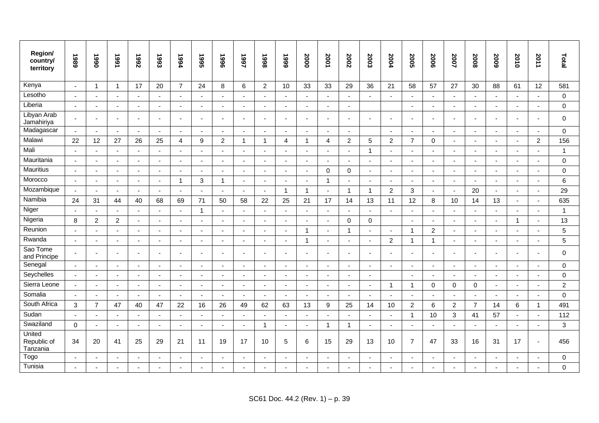| Region/<br>country/<br>territory  | 6861                     | 1990                     | 1991           | 7992                     | 1993                     | 1994                     | 1995                     | 9661                     | 1997                     | 1998                     | 6661                     | 2000           | 2001                     | 2002                     | 2003                     | 2004                     | <b>2005</b>              | 2006           | 2007                     | 2008                     | 2009                     | 2010                     | 2011                  | Total          |
|-----------------------------------|--------------------------|--------------------------|----------------|--------------------------|--------------------------|--------------------------|--------------------------|--------------------------|--------------------------|--------------------------|--------------------------|----------------|--------------------------|--------------------------|--------------------------|--------------------------|--------------------------|----------------|--------------------------|--------------------------|--------------------------|--------------------------|-----------------------|----------------|
| Kenya                             | $\overline{\phantom{a}}$ | $\mathbf{1}$             | $\mathbf{1}$   | 17                       | 20                       | $\overline{7}$           | 24                       | 8                        | $\,6\,$                  | $\overline{c}$           | 10                       | 33             | 33                       | 29                       | 36                       | 21                       | 58                       | 57             | 27                       | 30                       | 88                       | 61                       | 12                    | 581            |
| Lesotho                           | $\sim$                   | $\sim$                   | $\sim$         | $\sim$                   | $\sim$                   | $\blacksquare$           | $\sim$                   | $\sim$                   | $\mathbf{r}$             | $\blacksquare$           | $\sim$                   | $\sim$         | $\sim$                   | $\mathbf{r}$             | $\blacksquare$           |                          | $\sim$                   | $\sim$         | $\mathbf{r}$             | $\sim$                   | $\overline{\phantom{a}}$ | $\sim$                   | $\sim$                | $\Omega$       |
| Liberia                           | $\overline{a}$           | $\overline{\phantom{a}}$ | $\sim$         | $\sim$                   | $\overline{a}$           | $\overline{\phantom{a}}$ | $\sim$                   | $\sim$                   | $\overline{a}$           | $\overline{a}$           | $\sim$                   | $\sim$         | $\sim$                   | $\sim$                   |                          |                          | $\sim$                   | $\blacksquare$ | $\overline{\phantom{a}}$ | $\sim$                   |                          | $\sim$                   | $\sim$                | $\Omega$       |
| Libyan Arab<br>Jamahiriya         | $\tilde{\phantom{a}}$    | $\sim$                   | $\sim$         | $\blacksquare$           |                          | ÷,                       | $\sim$                   | $\sim$                   | $\blacksquare$           |                          | $\blacksquare$           | $\mathbf{r}$   | $\sim$                   | $\overline{\phantom{a}}$ | $\blacksquare$           |                          | $\sim$                   | $\blacksquare$ | $\sim$                   |                          |                          | $\blacksquare$           | ä,                    | $\Omega$       |
| Madagascar                        | $\sim$                   | $\mathbf{r}$             | $\omega$       | $\blacksquare$           | ä,                       | $\overline{\phantom{a}}$ | $\sim$                   | $\sim$                   | ä,                       | $\overline{\phantom{a}}$ | $\sim$                   | $\sim$         | $\sim$                   | $\blacksquare$           |                          | $\sim$                   | $\blacksquare$           | $\mathbf{r}$   | $\blacksquare$           | $\sim$                   |                          | $\sim$                   | $\sim$                | $\mathbf 0$    |
| Malawi                            | 22                       | 12                       | 27             | 26                       | 25                       | 4                        | 9                        | $\overline{2}$           | $\mathbf{1}$             | $\overline{1}$           | 4                        | $\mathbf{1}$   | $\overline{4}$           | $\mathbf{2}$             | 5                        | $\overline{c}$           | $\overline{7}$           | $\mathbf 0$    | $\blacksquare$           | $\blacksquare$           | $\blacksquare$           | $\blacksquare$           | $\overline{2}$        | 156            |
| Mali                              |                          | $\sim$                   | $\sim$         | $\sim$                   |                          |                          |                          | $\sim$                   | $\overline{a}$           |                          |                          | $\sim$         | $\sim$                   | $\sim$                   | $\overline{1}$           |                          | $\sim$                   | $\overline{a}$ | $\sim$                   |                          |                          | $\overline{\phantom{a}}$ | $\sim$                | $\overline{1}$ |
| Mauritania                        | $\tilde{\phantom{a}}$    | $\blacksquare$           | $\sim$         | $\sim$                   | $\sim$                   | $\blacksquare$           | $\blacksquare$           | $\overline{\phantom{a}}$ | $\blacksquare$           | $\blacksquare$           | $\sim$                   | $\Delta$       | $\blacksquare$           | $\mathbf{r}$             | $\blacksquare$           | $\sim$                   | $\blacksquare$           | $\blacksquare$ | $\sim$                   | $\sim$                   |                          | $\sim$                   | $\sim$                | $\Omega$       |
| Mauritius                         | $\sim$                   | $\blacksquare$           | $\sim$         | $\sim$                   | $\overline{\phantom{a}}$ | ÷.                       | $\sim$                   | $\sim$                   | $\overline{a}$           | $\overline{a}$           | $\overline{a}$           | $\Delta$       | $\mathbf 0$              | $\mathbf 0$              | ÷,                       |                          | $\sim$                   | $\blacksquare$ | $\blacksquare$           | $\sim$                   |                          | $\sim$                   | $\blacksquare$        | $\mathbf 0$    |
| Morocco                           | $\sim$                   | $\mathbf{r}$             | $\sim$         | $\sim$                   | $\sim$                   | $\mathbf{1}$             | 3                        | $\overline{1}$           | $\mathbf{r}$             | $\blacksquare$           | $\sim$                   | $\Delta$       | $\mathbf{1}$             | $\mathbf{r}$             | $\blacksquare$           | $\sim$                   | $\sim$                   | $\sim$         | $\blacksquare$           | $\sim$                   | $\sim$                   | $\sim$                   | $\mathbf{r}$          | 6              |
| Mozambique                        | $\overline{a}$           | $\sim$                   | $\sim$         | $\sim$                   | $\sim$                   | J.                       | $\sim$                   | $\sim$                   | $\overline{a}$           | $\overline{a}$           | $\mathbf{1}$             | $\mathbf{1}$   | $\sim$                   | $\overline{1}$           | $\mathbf{1}$             | $\overline{c}$           | 3                        | $\sim$         | $\sim$                   | 20                       | $\overline{a}$           | $\sim$                   | $\sim$                | 29             |
| Namibia                           | 24                       | 31                       | 44             | 40                       | 68                       | 69                       | 71                       | 50                       | 58                       | 22                       | 25                       | 21             | 17                       | 14                       | 13                       | 11                       | 12                       | 8              | 10                       | 14                       | 13                       | $\blacksquare$           | $\overline{a}$        | 635            |
| Niger                             | $\sim$                   | $\overline{\phantom{a}}$ | $\sim$         | $\overline{a}$           | $\blacksquare$           |                          | $\mathbf{1}$             | $\sim$                   | $\blacksquare$           | $\overline{\phantom{a}}$ |                          | $\sim$         | $\sim$                   | ä,                       | $\blacksquare$           |                          | $\sim$                   | $\blacksquare$ | $\blacksquare$           | $\blacksquare$           |                          | $\sim$                   | $\sim$                | $\mathbf{1}$   |
| Nigeria                           | 8                        | $\overline{2}$           | $\overline{2}$ | $\blacksquare$           | $\blacksquare$           | $\blacksquare$           | $\sim$                   | $\blacksquare$           | $\blacksquare$           | $\overline{a}$           | $\blacksquare$           | $\blacksquare$ | $\blacksquare$           | $\mathbf 0$              | $\mathbf 0$              |                          | $\blacksquare$           | $\blacksquare$ | $\blacksquare$           | $\blacksquare$           |                          | $\mathbf{1}$             | $\blacksquare$        | 13             |
| Reunion                           | $\sim$                   | $\sim$                   | $\sim$         | $\sim$                   | ÷.                       | ÷                        | $\sim$                   | $\sim$                   | $\overline{a}$           | $\overline{a}$           | ÷.                       | $\mathbf{1}$   | $\sim$                   | $\overline{1}$           | $\overline{\phantom{a}}$ | $\overline{\phantom{a}}$ | $\overline{1}$           | 2              | $\sim$                   | $\overline{\phantom{a}}$ |                          | $\overline{\phantom{a}}$ | $\sim$                | 5              |
| Rwanda                            | $\sim$                   | $\blacksquare$           | $\mathbf{r}$   | $\blacksquare$           | $\blacksquare$           | ÷                        | $\blacksquare$           | $\overline{\phantom{a}}$ | $\blacksquare$           |                          | $\overline{\phantom{a}}$ | $\mathbf{1}$   | $\sim$                   | $\blacksquare$           | $\overline{\phantom{a}}$ | $\overline{c}$           | $\overline{1}$           | $\mathbf{1}$   | $\blacksquare$           | $\blacksquare$           |                          | $\blacksquare$           | $\tilde{\phantom{a}}$ | 5              |
| Sao Tome<br>and Principe          |                          | $\blacksquare$           | $\sim$         | $\overline{\phantom{a}}$ |                          |                          | $\sim$                   | $\sim$                   | $\blacksquare$           |                          |                          | $\sim$         | $\overline{\phantom{a}}$ | $\blacksquare$           | $\overline{\phantom{a}}$ |                          | $\overline{\phantom{a}}$ | $\sim$         | $\blacksquare$           |                          |                          | $\overline{\phantom{a}}$ | $\overline{a}$        | $\mathbf 0$    |
| Senegal                           | $\sim$                   | $\sim$                   | $\mathbf{r}$   | $\sim$                   | $\sim$                   | $\blacksquare$           | $\blacksquare$           | $\sim$                   | $\blacksquare$           | $\blacksquare$           | $\sim$                   | $\mathcal{L}$  | $\mathbf{r}$             | $\sim$                   | $\blacksquare$           | $\sim$                   | $\sim$                   | $\sim$         | $\sim$                   | $\sim$                   | $\overline{a}$           | $\sim$                   | $\mathbf{r}$          | $\Omega$       |
| Seychelles                        | $\overline{a}$           | $\mathbf{r}$             | $\sim$         | $\sim$                   | $\overline{a}$           | ÷.                       | $\sim$                   | $\sim$                   | $\overline{a}$           | $\overline{\phantom{a}}$ | $\overline{a}$           | $\sim$         | $\mathbf{r}$             | $\overline{a}$           | $\overline{a}$           |                          | $\sim$                   | $\sim$         | $\overline{a}$           | $\overline{a}$           |                          | $\sim$                   | $\sim$                | $\mathbf 0$    |
| Sierra Leone                      | $\overline{a}$           | $\sim$                   | $\sim$         | $\blacksquare$           |                          | $\blacksquare$           | $\overline{\phantom{a}}$ | $\sim$                   | $\blacksquare$           |                          | $\sim$                   | $\sim$         | $\sim$                   | $\sim$                   | $\blacksquare$           | 1                        | $\overline{1}$           | $\Omega$       | $\mathbf 0$              | $\Omega$                 |                          | $\sim$                   | $\blacksquare$        | $\overline{c}$ |
| Somalia                           | $\overline{a}$           | $\mathbf{r}$             | $\sim$         | $\sim$                   | $\blacksquare$           | ÷,                       | $\sim$                   | $\sim$                   | $\mathbf{r}$             | $\overline{\phantom{a}}$ | $\blacksquare$           | $\sim$         | $\mathbf{r}$             | $\sim$                   | $\blacksquare$           |                          | $\sim$                   | $\sim$         | $\mathbf{r}$             |                          |                          | $\sim$                   | $\sim$                | $\Omega$       |
| South Africa                      | 3                        | $\overline{7}$           | 47             | 40                       | 47                       | 22                       | 16                       | 26                       | 49                       | 62                       | 63                       | 13             | 9                        | 25                       | 14                       | 10                       | $\overline{2}$           | 6              | $\overline{2}$           | $\overline{7}$           | 14                       | 6                        | $\mathbf{1}$          | 491            |
| Sudan                             |                          | $\overline{\phantom{a}}$ | $\sim$         | $\overline{\phantom{a}}$ | $\overline{\phantom{a}}$ |                          | $\overline{\phantom{a}}$ | $\blacksquare$           | $\overline{\phantom{a}}$ | $\blacksquare$           |                          | $\sim$         | $\sim$                   | ÷,                       | $\overline{\phantom{a}}$ |                          | $\mathbf 1$              | 10             | 3                        | 41                       | 57                       | $\overline{\phantom{a}}$ | $\sim$                | 112            |
| Swaziland                         | $\Omega$                 | $\blacksquare$           | $\sim$         | $\blacksquare$           | $\overline{a}$           | $\blacksquare$           | $\blacksquare$           | $\sim$                   | $\sim$                   | -1                       | $\blacksquare$           | $\blacksquare$ | $\mathbf{1}$             | $\overline{1}$           | $\blacksquare$           | $\blacksquare$           | $\blacksquare$           | $\mathbf{r}$   | $\blacksquare$           | $\sim$                   |                          | $\blacksquare$           | $\sim$                | 3              |
| United<br>Republic of<br>Tanzania | 34                       | 20                       | 41             | 25                       | 29                       | 21                       | 11                       | 19                       | 17                       | 10                       | 5                        | 6              | 15                       | 29                       | 13                       | 10                       | $\overline{7}$           | 47             | 33                       | 16                       | 31                       | 17                       | $\sim$                | 456            |
| Togo                              | $\sim$                   | $\sim$                   | $\sim$         | $\overline{a}$           | $\overline{a}$           | ÷.                       | $\sim$                   | $\sim$                   | $\overline{a}$           | $\overline{\phantom{a}}$ |                          | $\sim$         | $\sim$                   | $\overline{a}$           | $\overline{\phantom{a}}$ |                          | $\sim$                   | $\overline{a}$ | $\sim$                   | $\overline{\phantom{a}}$ |                          | $\overline{a}$           | $\sim$                | $\mathbf 0$    |
| Tunisia                           |                          |                          |                |                          |                          |                          |                          |                          |                          |                          |                          |                |                          |                          |                          |                          |                          |                |                          |                          |                          | ÷,                       |                       | $\mathbf 0$    |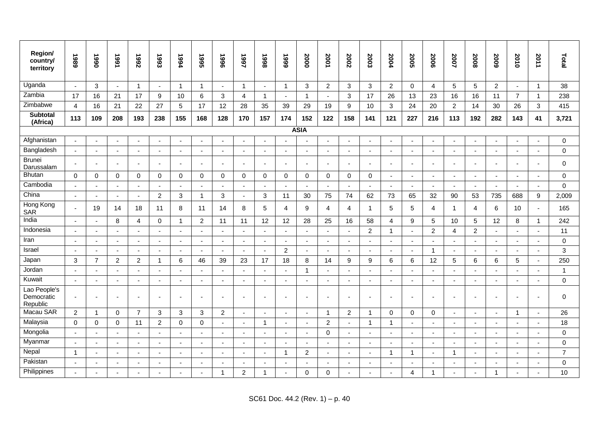| Region/<br>country/<br>territory       | 1989                     | 1990                     | 1661                     | 7992                     | 1993                     | 1994                     | 5661                     | 9661                     | 1997                     | 1998                     | 6661                     | 2000           | 2001                     | 2002                     | 2003                     | 2004           | 2005                     | 2006                     | 2007                     | 2008                     | 5009                     | 2010           | 2011                     | Total          |
|----------------------------------------|--------------------------|--------------------------|--------------------------|--------------------------|--------------------------|--------------------------|--------------------------|--------------------------|--------------------------|--------------------------|--------------------------|----------------|--------------------------|--------------------------|--------------------------|----------------|--------------------------|--------------------------|--------------------------|--------------------------|--------------------------|----------------|--------------------------|----------------|
| Uganda                                 | $\sim$                   | 3                        | $\sim$                   | $\mathbf 1$              | $\sim$                   | $\overline{1}$           | $\mathbf{1}$             | $\sim$                   | -1                       | $\overline{a}$           | -1                       | 3              | $\overline{2}$           | $\mathbf{3}$             | 3                        | $\overline{2}$ | $\mathbf 0$              | $\overline{4}$           | 5                        | 5                        | $\overline{2}$           | $\sim$         | $\mathbf{1}$             | 38             |
| Zambia                                 | 17                       | 16                       | 21                       | 17                       | 9                        | 10                       | 6                        | 3                        | 4                        | $\mathbf{1}$             | $\overline{\phantom{a}}$ | $\mathbf{1}$   | $\blacksquare$           | 3                        | 17                       | 26             | 13                       | 23                       | 16                       | 16                       | 11                       | $\overline{7}$ | $\mathbf{1}$             | 238            |
| Zimbabwe                               | $\overline{4}$           | 16                       | 21                       | 22                       | 27                       | 5                        | 17                       | 12                       | 28                       | 35                       | 39                       | 29             | 19                       | 9                        | 10                       | 3              | 24                       | 20                       | $\overline{2}$           | 14                       | 30                       | 26             | 3                        | 415            |
| Subtotal<br>(Africa)                   | 113                      | 109                      | 208                      | 193                      | 238                      | 155                      | 168                      | 128                      | 170                      | 157                      | 174                      | 152            | 122                      | 158                      | 141                      | 121            | 227                      | 216                      | 113                      | 192                      | 282                      | 143            | 41                       | 3,721          |
|                                        |                          |                          |                          |                          |                          |                          |                          |                          |                          |                          |                          | <b>ASIA</b>    |                          |                          |                          |                |                          |                          |                          |                          |                          |                |                          |                |
| Afghanistan                            | $\sim$                   | $\blacksquare$           |                          |                          |                          |                          | ÷,                       |                          |                          |                          |                          | $\blacksquare$ | $\overline{a}$           |                          |                          |                | $\sim$                   | $\blacksquare$           |                          |                          |                          | $\sim$         | $\blacksquare$           | $\,0\,$        |
| Bangladesh                             | $\sim$                   | $\sim$                   | $\sim$                   | $\overline{\phantom{a}}$ | $\sim$                   | $\blacksquare$           | $\sim$                   | $\sim$                   | $\overline{\phantom{a}}$ | $\blacksquare$           | $\sim$                   | $\sim$         | $\sim$                   | $\sim$                   | $\sim$                   | $\blacksquare$ | $\blacksquare$           | $\sim$                   | $\sim$                   | $\blacksquare$           | $\blacksquare$           | $\mathbf{u}$   | $\sim$                   | $\mathbf 0$    |
| <b>Brunei</b><br>Darussalam            | $\overline{\phantom{a}}$ | $\overline{\phantom{a}}$ | $\overline{\phantom{a}}$ |                          | $\overline{\phantom{a}}$ | $\blacksquare$           | $\blacksquare$           | $\blacksquare$           | $\blacksquare$           | $\blacksquare$           | $\blacksquare$           | $\sim$         | $\overline{\phantom{a}}$ | $\blacksquare$           | $\blacksquare$           | ٠              | $\overline{\phantom{a}}$ | $\overline{\phantom{a}}$ | $\blacksquare$           | $\overline{\phantom{a}}$ |                          | $\sim$         | $\blacksquare$           | $\mathbf 0$    |
| <b>Bhutan</b>                          | $\mathbf 0$              | $\mathbf 0$              | $\mathbf 0$              | $\mathbf 0$              | $\mathbf 0$              | $\mathbf 0$              | $\mathbf 0$              | $\mathbf 0$              | $\mathbf 0$              | $\mathbf 0$              | $\mathbf 0$              | $\mathbf 0$    | $\mathbf 0$              | 0                        | $\mathbf 0$              | $\blacksquare$ | $\sim$                   | $\blacksquare$           | $\blacksquare$           | $\blacksquare$           | $\blacksquare$           | $\blacksquare$ | $\overline{\phantom{a}}$ | $\mathbf 0$    |
| Cambodia                               | L.                       | $\sim$                   | $\mathbf{r}$             |                          | $\overline{\phantom{a}}$ | $\overline{a}$           | $\sim$                   | $\sim$                   | $\overline{a}$           | $\blacksquare$           | $\overline{a}$           | $\sim$         | $\sim$                   | $\overline{\phantom{a}}$ | $\blacksquare$           | ÷,             | $\sim$                   | $\sim$                   | $\sim$                   | $\blacksquare$           | $\blacksquare$           | $\mathbf{u}$   | $\sim$                   | $\Omega$       |
| China                                  | $\sim$                   | $\overline{a}$           | $\sim$                   | $\sim$                   | $\overline{2}$           | 3                        | $\mathbf{1}$             | 3                        | $\overline{\phantom{a}}$ | 3                        | 11                       | 30             | 75                       | 74                       | 62                       | 73             | 65                       | 32                       | 90                       | 53                       | 735                      | 688            | 9                        | 2,009          |
| Hong Kong<br>SAR                       | $\sim$                   | 19                       | 14                       | 18                       | 11                       | 8                        | 11                       | 14                       | 8                        | 5                        | $\overline{4}$           | 9              | $\overline{4}$           | $\overline{4}$           | $\mathbf 1$              | 5              | 5                        | $\overline{4}$           | -1                       | 4                        | 6                        | 10             | $\mathbf{r}$             | 165            |
| India                                  | $\blacksquare$           | $\sim$                   | 8                        | 4                        | $\mathbf 0$              | $\overline{1}$           | $\boldsymbol{2}$         | 11                       | 11                       | 12                       | 12                       | 28             | 25                       | 16                       | 58                       | 4              | 9                        | 5                        | 10                       | 5                        | 12                       | 8              | $\mathbf{1}$             | 242            |
| Indonesia                              | ÷,                       | $\sim$                   |                          |                          | $\blacksquare$           | ä,                       | $\blacksquare$           | $\sim$                   | $\overline{a}$           | $\blacksquare$           |                          | $\sim$         | $\sim$                   | $\overline{a}$           | $\overline{c}$           | 1              | $\sim$                   | $\overline{2}$           | 4                        | $\overline{c}$           |                          | $\sim$         | $\blacksquare$           | 11             |
| Iran                                   | $\sim$                   | $\mathbf{r}$             | $\sim$                   |                          | $\sim$                   | $\blacksquare$           | $\sim$                   | $\sim$                   | $\sim$                   | $\blacksquare$           | $\sim$                   | $\blacksquare$ | $\mathbf{r}$             | $\blacksquare$           | $\blacksquare$           | ÷,             | $\sim$                   | $\sim$                   | $\blacksquare$           | $\overline{\phantom{a}}$ | $\blacksquare$           | $\blacksquare$ | $\sim$                   | $\mathbf 0$    |
| Israel                                 | $\overline{\phantom{a}}$ | $\mathbf{r}$             | $\mathbf{r}$             | $\sim$                   | $\sim$                   | ä,                       | $\blacksquare$           | $\sim$                   | $\sim$                   | $\overline{\phantom{a}}$ | $\overline{2}$           | $\mathbf{r}$   | $\mathbf{r}$             | $\Delta$                 | $\overline{\phantom{a}}$ | $\blacksquare$ | $\mathbf{r}$             | $\overline{1}$           | $\blacksquare$           | $\blacksquare$           | $\sim$                   | $\mathbf{r}$   | $\Delta$                 | 3              |
| Japan                                  | $\mathbf{3}$             | $\overline{7}$           | $\overline{c}$           | $\overline{2}$           | $\overline{1}$           | 6                        | 46                       | 39                       | 23                       | 17                       | 18                       | 8              | 14                       | 9                        | 9                        | 6              | 6                        | 12                       | $\sqrt{5}$               | 6                        | 6                        | 5              | $\blacksquare$           | 250            |
| Jordan                                 | $\overline{\phantom{a}}$ | $\overline{\phantom{a}}$ | $\overline{\phantom{a}}$ | $\overline{\phantom{a}}$ | $\blacksquare$           | $\blacksquare$           | $\overline{\phantom{a}}$ | $\blacksquare$           | $\overline{\phantom{a}}$ | $\overline{a}$           | $\blacksquare$           | $\mathbf{1}$   | $\sim$                   | $\overline{\phantom{a}}$ | $\blacksquare$           | ٠              | $\overline{\phantom{a}}$ | $\overline{\phantom{a}}$ | $\overline{\phantom{a}}$ | $\blacksquare$           |                          | $\blacksquare$ | $\overline{\phantom{a}}$ | $\mathbf{1}$   |
| Kuwait                                 | $\sim$                   | $\sim$                   | $\sim$                   |                          | $\overline{\phantom{a}}$ | $\overline{\phantom{a}}$ | $\sim$                   | $\sim$                   | $\sim$                   | $\blacksquare$           | $\overline{\phantom{a}}$ | $\sim$         | $\sim$                   | $\sim$                   | $\blacksquare$           |                | $\sim$                   | $\sim$                   | $\sim$                   | $\blacksquare$           |                          | $\mathbf{r}$   | $\blacksquare$           | $\mathbf 0$    |
| Lao People's<br>Democratic<br>Republic | $\blacksquare$           | $\blacksquare$           |                          |                          |                          | ÷                        | $\blacksquare$           |                          | $\overline{\phantom{a}}$ |                          |                          | $\overline{a}$ |                          | $\overline{\phantom{a}}$ |                          |                | $\overline{\phantom{a}}$ | $\overline{\phantom{a}}$ | ۰                        |                          |                          | $\sim$         | $\overline{\phantom{a}}$ | $\Omega$       |
| Macau SAR                              | 2                        | $\overline{1}$           | $\mathbf 0$              | $\overline{7}$           | 3                        | 3                        | 3                        | $\overline{2}$           | $\sim$                   | $\blacksquare$           | ÷,                       | $\sim$         | $\mathbf{1}$             | $\overline{2}$           | $\overline{1}$           | 0              | $\mathbf 0$              | $\mathbf 0$              | $\blacksquare$           | $\blacksquare$           |                          | $\mathbf{1}$   | $\blacksquare$           | 26             |
| Malaysia                               | $\Omega$                 | $\mathbf 0$              | $\Omega$                 | 11                       | $\overline{2}$           | $\mathbf 0$              | $\Omega$                 | $\blacksquare$           | $\blacksquare$           | $\overline{1}$           | $\blacksquare$           | $\blacksquare$ | $\overline{c}$           | $\blacksquare$           | $\overline{1}$           | 1              | $\blacksquare$           | $\sim$                   | $\blacksquare$           | $\sim$                   | $\overline{\phantom{a}}$ | $\blacksquare$ | $\blacksquare$           | 18             |
| Mongolia                               |                          | $\overline{\phantom{a}}$ | $\sim$                   |                          | $\overline{\phantom{a}}$ |                          | $\overline{a}$           | $\sim$                   | $\sim$                   | $\overline{\phantom{a}}$ | ÷.                       | $\sim$         | $\Omega$                 | $\sim$                   | $\overline{a}$           |                | $\sim$                   | $\sim$                   | $\overline{a}$           | $\overline{\phantom{a}}$ | $\overline{a}$           | $\sim$         | $\overline{a}$           | $\Omega$       |
| Myanmar                                | $\overline{\phantom{a}}$ | $\blacksquare$           | $\overline{\phantom{a}}$ |                          |                          | $\overline{\phantom{a}}$ | $\overline{\phantom{a}}$ | $\overline{\phantom{a}}$ | $\overline{\phantom{a}}$ |                          | $\overline{\phantom{a}}$ | $\blacksquare$ |                          | $\overline{\phantom{a}}$ |                          | ٠              | $\blacksquare$           | $\blacksquare$           | $\overline{\phantom{a}}$ |                          |                          | $\blacksquare$ |                          | $\Omega$       |
| Nepal                                  | $\mathbf{1}$             | $\blacksquare$           | $\sim$                   | $\overline{a}$           | $\overline{\phantom{a}}$ | $\blacksquare$           | $\blacksquare$           | $\blacksquare$           | $\sim$                   | $\blacksquare$           | -1                       | $\overline{c}$ | $\sim$                   | $\overline{\phantom{a}}$ | $\blacksquare$           | 1              | $\mathbf{1}$             | $\sim$                   | -1                       | $\overline{\phantom{a}}$ | $\overline{\phantom{a}}$ | $\sim$         | $\blacksquare$           | $\overline{7}$ |
| Pakistan                               | Ĭ.                       | $\blacksquare$           |                          |                          |                          |                          | $\blacksquare$           |                          | $\overline{\phantom{a}}$ |                          |                          | $\sim$         | $\sim$                   | $\overline{a}$           |                          |                |                          | $\overline{\phantom{a}}$ | L,                       |                          |                          | $\sim$         | $\overline{\phantom{a}}$ | $\mathbf 0$    |
| Philippines                            | $\tilde{\phantom{a}}$    | $\blacksquare$           |                          |                          | $\blacksquare$           | $\blacksquare$           | $\blacksquare$           | 1                        | $\overline{c}$           | $\overline{1}$           | $\blacksquare$           | $\Omega$       | $\Omega$                 | $\blacksquare$           | ÷                        |                | 4                        | $\blacktriangleleft$     | $\blacksquare$           | $\blacksquare$           | 1                        | $\sim$         | ٠                        | 10             |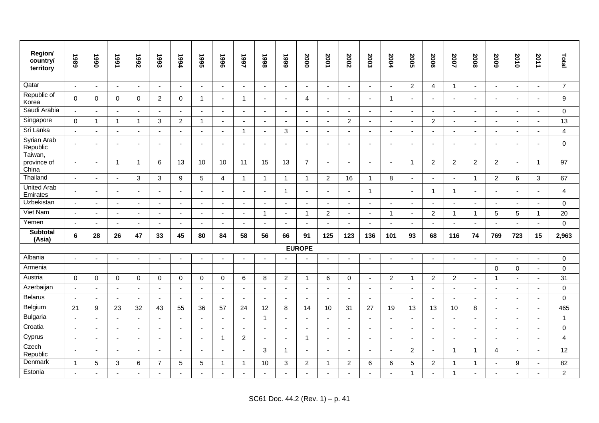| Region/<br>country/<br>territory | 1989                     | 1990                     | 1661                     | 7992                     | 1993                     | 1994                     | 5661                     | 9661           | 1997                     | 8661                     | 6661                     | 2000                     | 2001           | 2002                     | 2003                     | 2004                     | 2005                     | 2006           | 2007                     | 2008                     | 5009                     | 2010                     | 2011                     | Total          |
|----------------------------------|--------------------------|--------------------------|--------------------------|--------------------------|--------------------------|--------------------------|--------------------------|----------------|--------------------------|--------------------------|--------------------------|--------------------------|----------------|--------------------------|--------------------------|--------------------------|--------------------------|----------------|--------------------------|--------------------------|--------------------------|--------------------------|--------------------------|----------------|
| Qatar                            | $\sim$                   | $\mathbf{r}$             | $\blacksquare$           | $\mathbf{r}$             | $\blacksquare$           | $\sim$                   | $\mathbf{r}$             | $\blacksquare$ | $\blacksquare$           | $\blacksquare$           | $\sim$                   | $\blacksquare$           | $\omega$       | $\sim$                   | $\blacksquare$           | $\sim$                   | $\overline{2}$           | 4              | $\mathbf{1}$             | $\blacksquare$           | $\blacksquare$           | $\mathbf{r}$             | $\sim$                   | $\overline{7}$ |
| Republic of<br>Korea             | $\Omega$                 | $\mathbf 0$              | $\Omega$                 | $\mathbf 0$              | $\overline{2}$           | $\Omega$                 | $\mathbf{1}$             | $\sim$         | $\overline{1}$           |                          |                          | $\overline{4}$           | $\blacksquare$ | $\blacksquare$           |                          | $\overline{1}$           | $\blacksquare$           | $\blacksquare$ |                          |                          |                          | ÷,                       |                          | 9              |
| Saudi Arabia                     | $\sim$                   | $\omega$                 | $\sim$                   | $\sim$                   | $\sim$                   | $\sim$                   | $\blacksquare$           | $\sim$         | $\sim$                   | $\sim$                   | $\sim$                   | $\blacksquare$           | $\sim$         | $\sim$                   | $\sim$                   | $\sim$                   | $\sim$                   | $\sim$         | $\sim$                   | $\sim$                   | $\blacksquare$           | $\blacksquare$           | $\sim$                   | $\mathbf 0$    |
| Singapore                        | $\Omega$                 | $\overline{1}$           | $\mathbf{1}$             | $\overline{1}$           | 3                        | $\overline{2}$           | $\mathbf{1}$             | $\sim$         | ÷,                       |                          |                          | $\sim$                   | $\sim$         | $\overline{c}$           | $\overline{a}$           |                          | ä,                       | $\overline{2}$ | $\sim$                   |                          |                          | $\blacksquare$           |                          | 13             |
| Sri Lanka                        |                          | $\blacksquare$           | $\blacksquare$           | $\overline{\phantom{a}}$ | $\overline{\phantom{a}}$ |                          | $\blacksquare$           | $\blacksquare$ | $\overline{1}$           | $\overline{\phantom{a}}$ | 3                        | $\blacksquare$           | $\blacksquare$ | $\blacksquare$           | $\overline{\phantom{a}}$ |                          | $\blacksquare$           | $\blacksquare$ | $\blacksquare$           | $\overline{\phantom{a}}$ | $\blacksquare$           | $\overline{\phantom{a}}$ |                          | $\overline{4}$ |
| Syrian Arab<br>Republic          |                          | $\overline{\phantom{a}}$ | $\blacksquare$           |                          |                          |                          | $\blacksquare$           | ٠              | $\overline{\phantom{a}}$ |                          |                          | $\blacksquare$           | $\blacksquare$ | $\blacksquare$           |                          |                          | $\blacksquare$           | $\blacksquare$ |                          |                          |                          | ÷,                       |                          | $\mathbf 0$    |
| Taiwan,<br>province of<br>China  |                          | $\sim$                   | $\overline{1}$           | $\overline{\mathbf{1}}$  | 6                        | 13                       | 10                       | 10             | 11                       | 15                       | 13                       | $\overline{7}$           | $\blacksquare$ | $\overline{\phantom{a}}$ |                          |                          | $\overline{1}$           | $\overline{c}$ | $\overline{c}$           | $\overline{2}$           | $\overline{2}$           | $\blacksquare$           | $\overline{1}$           | 97             |
| Thailand                         |                          | $\sim$                   | $\mathbf{r}$             | $\mathbf{3}$             | 3                        | 9                        | 5                        | $\overline{4}$ | $\overline{\mathbf{1}}$  | $\mathbf{1}$             | $\mathbf{1}$             | $\mathbf{1}$             | $\overline{2}$ | 16                       | $\overline{1}$           | 8                        | $\blacksquare$           | $\mathbf{r}$   | $\blacksquare$           | $\mathbf{1}$             | $\overline{2}$           | 6                        | 3                        | 67             |
| <b>United Arab</b><br>Emirates   |                          | $\sim$                   | $\sim$                   | ÷                        | ÷.                       |                          | $\blacksquare$           | $\sim$         | $\overline{a}$           | $\sim$                   | $\mathbf{1}$             | $\blacksquare$           | $\mathbf{r}$   | $\sim$                   | $\mathbf{1}$             |                          | $\sim$                   | $\mathbf{1}$   | $\mathbf{1}$             |                          |                          | $\blacksquare$           | $\overline{\phantom{a}}$ | $\overline{4}$ |
| Uzbekistan                       |                          | $\overline{\phantom{a}}$ | $\overline{\phantom{a}}$ | $\blacksquare$           | $\overline{\phantom{a}}$ |                          | $\overline{\phantom{a}}$ | $\sim$         | $\blacksquare$           | $\overline{\phantom{a}}$ |                          | $\overline{\phantom{a}}$ | $\sim$         | $\blacksquare$           | $\overline{\phantom{a}}$ | $\overline{\phantom{a}}$ | $\overline{\phantom{a}}$ | $\blacksquare$ | $\overline{\phantom{a}}$ | $\overline{\phantom{a}}$ | $\overline{\phantom{a}}$ | $\overline{\phantom{a}}$ | $\overline{\phantom{a}}$ | $\Omega$       |
| Viet Nam                         | $\sim$                   | $\sim$                   | $\sim$                   | $\overline{\phantom{a}}$ | ÷                        |                          | $\sim$                   | $\sim$         | $\sim$                   | 1                        | $\sim$                   | $\mathbf{1}$             | $\overline{2}$ | $\mathbf{r}$             | $\blacksquare$           | $\mathbf 1$              | $\sim$                   | $\overline{2}$ | $\mathbf 1$              | -1                       | 5                        | $\sqrt{5}$               | -1                       | 20             |
| Yemen                            | $\sim$                   | $\sim$                   | $\sim$                   | $\mathbf{r}$             | $\sim$                   | $\overline{\phantom{a}}$ | $\blacksquare$           | $\mathbf{r}$   | $\sim$                   | $\sim$                   | $\sim$                   | $\sim$                   | $\mathbf{r}$   | $\sim$                   | $\sim$                   | $\sim$                   | $\sim$                   | $\mathbf{r}$   | $\sim$                   | $\sim$                   | $\sim$                   | $\sim$                   | $\sim$                   | $\mathbf 0$    |
| <b>Subtotal</b><br>(Asia)        | $\bf 6$                  | 28                       | 26                       | 47                       | 33                       | 45                       | 80                       | 84             | 58                       | 56                       | 66                       | 91                       | 125            | 123                      | 136                      | 101                      | 93                       | 68             | 116                      | 74                       | 769                      | 723                      | 15                       | 2,963          |
|                                  |                          |                          |                          |                          |                          |                          |                          |                |                          |                          |                          | <b>EUROPE</b>            |                |                          |                          |                          |                          |                |                          |                          |                          |                          |                          |                |
| Albania                          | $\overline{\phantom{a}}$ | $\sim$                   | $\blacksquare$           | $\blacksquare$           | $\overline{\phantom{a}}$ | $\overline{\phantom{a}}$ | $\overline{\phantom{a}}$ | $\blacksquare$ | $\overline{\phantom{a}}$ | $\overline{\phantom{a}}$ |                          | $\overline{\phantom{a}}$ | $\sim$         | $\sim$                   | $\overline{\phantom{a}}$ | $\blacksquare$           | $\blacksquare$           | $\blacksquare$ | $\overline{\phantom{a}}$ | $\overline{\phantom{0}}$ | $\overline{\phantom{a}}$ | $\blacksquare$           | $\blacksquare$           | $\mathbf 0$    |
| Armenia                          |                          |                          |                          |                          |                          |                          |                          |                |                          |                          |                          |                          |                |                          |                          |                          |                          |                |                          |                          | $\mathbf 0$              | $\mathbf 0$              | $\blacksquare$           | $\mathbf 0$    |
| Austria                          | $\mathbf 0$              | $\mathbf 0$              | $\mathbf 0$              | $\mathbf 0$              | 0                        | 0                        | $\mathbf 0$              | $\mathbf 0$    | 6                        | 8                        | $\overline{c}$           | $\overline{1}$           | 6              | $\mathbf 0$              | $\blacksquare$           | $\overline{2}$           | $\overline{1}$           | 2              | $\overline{2}$           | $\sim$                   | $\overline{1}$           | $\blacksquare$           | $\blacksquare$           | 31             |
| Azerbaijan                       | $\sim$                   | $\sim$                   | $\sim$                   | $\sim$                   | $\overline{\phantom{a}}$ | $\sim$                   | $\sim$                   | $\sim$         | $\sim$                   | $\sim$                   | $\overline{\phantom{a}}$ | $\sim$                   | $\sim$         | $\sim$                   | $\overline{a}$           | $\sim$                   | $\overline{a}$           | $\sim$         | $\sim$                   | $\overline{\phantom{a}}$ | $\overline{\phantom{a}}$ | $\overline{a}$           | $\overline{a}$           | $\mathbf 0$    |
| <b>Belarus</b>                   |                          | $\sim$                   | $\sim$                   | $\mathbf{r}$             |                          |                          | $\sim$                   | $\blacksquare$ | $\sim$                   |                          |                          | $\sim$                   | $\sim$         | $\sim$                   |                          |                          | $\sim$                   | $\sim$         | $\sim$                   |                          |                          | $\blacksquare$           |                          | $\mathbf 0$    |
| Belgium                          | 21                       | $\boldsymbol{9}$         | 23                       | 32                       | 43                       | 55                       | 36                       | 57             | 24                       | 12                       | 8                        | 14                       | 10             | 31                       | 27                       | 19                       | 13                       | 13             | 10                       | 8                        | $\sim$                   | $\blacksquare$           | $\blacksquare$           | 465            |
| Bulgaria                         | $\sim$                   | $\omega$                 | $\omega$                 | $\mathbf{r}$             | ÷                        |                          | $\sim$                   | $\overline{a}$ | $\sim$                   | $\mathbf{1}$             | $\sim$                   | $\sim$                   | $\omega$       | $\sim$                   | $\overline{a}$           |                          | $\sim$                   | $\mathbf{r}$   | $\mathbf{r}$             | $\sim$                   | ÷                        | $\overline{a}$           | $\overline{a}$           | $\overline{1}$ |
| Croatia                          | $\sim$                   | $\sim$                   | $\mathbf{r}$             | $\mathbf{r}$             | $\sim$                   | $\overline{\phantom{a}}$ | $\blacksquare$           | $\mathbf{r}$   | $\sim$                   | $\sim$                   | $\sim$                   | $\blacksquare$           | $\blacksquare$ | $\sim$                   | $\sim$                   | $\overline{a}$           | $\blacksquare$           | $\blacksquare$ | $\blacksquare$           | $\sim$                   | $\blacksquare$           | $\blacksquare$           | $\sim$                   | $\mathbf 0$    |
| Cyprus                           | $\sim$                   | $\overline{a}$           | $\blacksquare$           | $\overline{\phantom{a}}$ | ÷                        | $\sim$                   | $\sim$                   | $\mathbf{1}$   | $\overline{c}$           | $\overline{\phantom{a}}$ | $\sim$                   | $\mathbf{1}$             | $\sim$         | $\sim$                   | $\overline{\phantom{a}}$ | $\overline{\phantom{a}}$ | $\sim$                   | $\sim$         | $\overline{\phantom{a}}$ | $\overline{\phantom{a}}$ | $\overline{a}$           | $\overline{\phantom{a}}$ | $\overline{\phantom{a}}$ | $\overline{4}$ |
| Czech<br>Republic                |                          | $\sim$                   | $\blacksquare$           | $\blacksquare$           | $\overline{\phantom{a}}$ |                          | $\sim$                   | $\blacksquare$ | $\overline{\phantom{a}}$ | 3                        | $\mathbf{1}$             | $\sim$                   | $\mathbf{r}$   | $\blacksquare$           | $\overline{\phantom{a}}$ |                          | $\overline{2}$           | $\sim$         | $\mathbf{1}$             | -1                       | 4                        | $\sim$                   | $\blacksquare$           | 12             |
| Denmark                          | $\overline{1}$           | 5                        | $\mathfrak{Z}$           | 6                        | $\overline{7}$           | 5                        | 5                        | $\mathbf{1}$   | -1                       | 10                       | 3                        | $\overline{2}$           | $\mathbf{1}$   | $\overline{c}$           | 6                        | 6                        | 5                        | $\overline{2}$ | $\mathbf{1}$             | -1                       |                          | 9                        | ÷.                       | 82             |
| Estonia                          |                          |                          |                          |                          |                          |                          |                          |                |                          |                          |                          | $\overline{\phantom{a}}$ |                |                          |                          |                          | $\mathbf{1}$             |                | 1                        |                          |                          |                          |                          | $\overline{2}$ |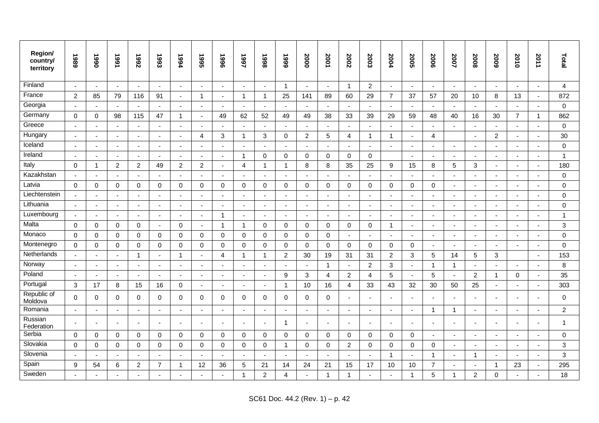| Region/<br>country/<br>territory | 1989                     | 1990                     | 1661                     | 7992           | 1993                     | 1994                     | 1995                     | 9661                     | 1997                     | 8661                     | 6661                     | 2000                     | 2001                     | 2002           | 2003                     | 2004                     | 2005                     | 2006                     | 2007                     | 2008                     | 5009                     | 2010                     | 2011           | Total            |
|----------------------------------|--------------------------|--------------------------|--------------------------|----------------|--------------------------|--------------------------|--------------------------|--------------------------|--------------------------|--------------------------|--------------------------|--------------------------|--------------------------|----------------|--------------------------|--------------------------|--------------------------|--------------------------|--------------------------|--------------------------|--------------------------|--------------------------|----------------|------------------|
| Finland                          | $\sim$                   | $\blacksquare$           | $\sim$                   | $\blacksquare$ | $\blacksquare$           | $\blacksquare$           | $\blacksquare$           | $\sim$                   | $\blacksquare$           | $\blacksquare$           | $\overline{1}$           | $\blacksquare$           | $\sim$                   | $\overline{1}$ | $\overline{2}$           | $\blacksquare$           | $\sim$                   | $\sim$                   | $\sim$                   | $\blacksquare$           | $\sim$                   | $\blacksquare$           | $\blacksquare$ | $\overline{4}$   |
| France                           | $\overline{2}$           | 85                       | 79                       | 116            | 91                       | $\overline{a}$           | $\mathbf{1}$             | $\sim$                   | $\mathbf{1}$             | -1                       | 25                       | 141                      | 89                       | 60             | 29                       | $\overline{7}$           | 37                       | 57                       | 20                       | 10                       | 8                        | 13                       | $\sim$         | 872              |
| Georgia                          | $\sim$                   | $\sim$                   | $\sim$                   |                | $\blacksquare$           | $\sim$                   | $\sim$                   | $\sim$                   | $\blacksquare$           | $\blacksquare$           | $\blacksquare$           | $\sim$                   | $\mathbf{r}$             | $\sim$         | $\blacksquare$           | $\blacksquare$           | $\sim$                   | $\sim$                   |                          | $\sim$                   | $\blacksquare$           | $\sim$                   | $\sim$         | $\mathbf 0$      |
| Germany                          | $\Omega$                 | $\mathbf 0$              | 98                       | 115            | 47                       | $\mathbf{1}$             | $\blacksquare$           | 49                       | 62                       | 52                       | 49                       | 49                       | 38                       | 33             | 39                       | 29                       | 59                       | 48                       | 40                       | 16                       | 30                       | $\overline{7}$           | $\mathbf{1}$   | 862              |
| Greece                           | $\sim$                   | $\sim$                   | $\sim$                   | ÷              | ÷,                       | ۰                        | $\sim$                   | $\sim$                   | ÷                        | $\overline{\phantom{a}}$ | ÷.                       | $\sim$                   | $\sim$                   | $\sim$         | $\overline{\phantom{a}}$ |                          | $\sim$                   | $\overline{\phantom{a}}$ | ÷                        | $\overline{\phantom{a}}$ |                          | $\sim$                   | ÷.             | $\mathbf 0$      |
| Hungary                          | $\sim$                   | $\sim$                   | $\sim$                   | $\blacksquare$ | ÷,                       | $\blacksquare$           | 4                        | 3                        |                          | 3                        | $\mathbf 0$              | $\overline{c}$           | $\sqrt{5}$               | $\overline{4}$ | -1                       | 1                        | $\blacksquare$           | $\overline{4}$           |                          | $\blacksquare$           | $\overline{2}$           | $\overline{\phantom{a}}$ | $\blacksquare$ | 30               |
| Iceland                          | $\overline{\phantom{a}}$ | $\sim$                   | $\sim$                   | $\blacksquare$ | ÷,                       | $\overline{a}$           | $\sim$                   | $\sim$                   | $\overline{\phantom{a}}$ | $\blacksquare$           | $\overline{\phantom{a}}$ | $\mathbf{r}$             | $\mathbf{r}$             | $\blacksquare$ | $\blacksquare$           |                          | $\sim$                   | $\sim$                   | $\sim$                   | ÷.                       |                          | $\sim$                   | $\blacksquare$ | $\mathbf 0$      |
| Ireland                          | $\sim$                   | $\sim$                   | $\blacksquare$           | $\blacksquare$ |                          | $\overline{\phantom{a}}$ | $\sim$                   | $\sim$                   | -1                       | $\mathbf 0$              | 0                        | 0                        | $\mathbf 0$              | 0              | 0                        |                          | $\sim$                   | $\blacksquare$           | $\overline{\phantom{a}}$ |                          |                          | $\sim$                   | $\blacksquare$ | $\mathbf{1}$     |
| Italy                            | $\Omega$                 | $\mathbf{1}$             | 2                        | $\overline{2}$ | 49                       | $\overline{c}$           | $\overline{2}$           | $\blacksquare$           | $\overline{4}$           | $\overline{1}$           | $\overline{1}$           | 8                        | 8                        | 35             | 25                       | 9                        | 15                       | 8                        | $5\phantom{.0}$          | 3                        | $\overline{\phantom{a}}$ | $\blacksquare$           | $\sim$         | 180              |
| Kazakhstan                       | $\overline{\phantom{a}}$ | $\overline{\phantom{a}}$ | $\overline{\phantom{a}}$ | $\overline{a}$ | $\overline{\phantom{a}}$ | $\overline{a}$           | $\sim$                   | $\overline{\phantom{a}}$ |                          | $\overline{\phantom{a}}$ | ۰.                       | $\overline{\phantom{a}}$ | $\overline{\phantom{a}}$ | $\overline{a}$ | $\overline{\phantom{a}}$ | $\overline{\phantom{a}}$ | $\overline{\phantom{a}}$ | $\overline{a}$           | $\sim$                   | $\overline{\phantom{a}}$ |                          | $\overline{\phantom{a}}$ | $\blacksquare$ | $\mathbf 0$      |
| Latvia                           | $\mathbf 0$              | 0                        | $\mathbf 0$              | $\mathbf 0$    | $\mathbf 0$              | $\mathbf 0$              | $\mathbf 0$              | $\mathbf 0$              | 0                        | $\mathbf 0$              | $\mathbf 0$              | $\mathbf 0$              | 0                        | 0              | 0                        | $\mathbf 0$              | $\mathbf 0$              | 0                        | $\blacksquare$           |                          |                          | $\overline{\phantom{a}}$ | ä,             | $\mathbf 0$      |
| Liechtenstein                    | $\overline{\phantom{a}}$ | $\sim$                   | $\sim$                   | $\blacksquare$ | $\blacksquare$           | $\blacksquare$           | $\sim$                   | $\blacksquare$           | $\blacksquare$           | $\blacksquare$           | $\sim$                   | $\sim$                   | $\blacksquare$           | $\blacksquare$ | $\blacksquare$           | $\blacksquare$           | $\sim$                   | $\blacksquare$           | $\sim$                   | $\blacksquare$           | $\blacksquare$           | $\overline{\phantom{a}}$ | $\blacksquare$ | $\mathbf 0$      |
| Lithuania                        | $\sim$                   | $\sim$                   | $\sim$                   | $\blacksquare$ | ÷,                       |                          | $\overline{a}$           | $\blacksquare$           | $\overline{\phantom{a}}$ | $\overline{\phantom{a}}$ |                          | $\sim$                   | $\sim$                   | $\blacksquare$ | $\overline{\phantom{a}}$ |                          | $\overline{a}$           | $\sim$                   | $\blacksquare$           |                          |                          | $\overline{\phantom{a}}$ | $\blacksquare$ | 0                |
| Luxembourg                       | $\blacksquare$           | $\sim$                   | $\blacksquare$           | $\blacksquare$ | $\sim$                   | $\sim$                   | $\blacksquare$           | $\overline{1}$           | ÷,                       | $\blacksquare$           | $\blacksquare$           | $\blacksquare$           | $\blacksquare$           | $\sim$         | $\blacksquare$           | $\overline{\phantom{a}}$ | $\blacksquare$           | $\blacksquare$           | $\sim$                   | $\blacksquare$           | $\overline{\phantom{a}}$ | $\blacksquare$           | $\blacksquare$ | $\mathbf{1}$     |
| Malta                            | $\Omega$                 | $\Omega$                 | $\Omega$                 | $\mathbf 0$    | $\sim$                   | $\Omega$                 | $\sim$                   | $\mathbf{1}$             | $\mathbf{1}$             | $\Omega$                 | $\Omega$                 | $\Omega$                 | $\mathbf 0$              | $\mathbf 0$    | $\Omega$                 | 1                        | $\sim$                   | $\mathbf{r}$             | $\overline{a}$           | $\overline{a}$           |                          | $\sim$                   | $\mathbf{r}$   | 3                |
| Monaco                           | $\mathbf 0$              | 0                        | $\mathbf 0$              | $\mathbf 0$    | $\mathbf 0$              | 0                        | 0                        | $\mathbf 0$              | 0                        | $\mathbf 0$              | $\mathbf 0$              | $\mathbf 0$              | 0                        |                | $\overline{\phantom{a}}$ |                          | $\blacksquare$           | $\blacksquare$           |                          |                          |                          | $\overline{\phantom{a}}$ |                | $\mathbf 0$      |
| Montenegro                       | $\Omega$                 | 0                        | $\mathbf 0$              | $\mathbf 0$    | $\mathbf 0$              | 0                        | 0                        | $\mathbf 0$              | $\mathbf 0$              | $\mathbf 0$              | $\mathbf 0$              | $\mathbf 0$              | $\mathbf 0$              | 0              | 0                        | 0                        | $\mathbf 0$              | $\overline{\phantom{a}}$ | $\blacksquare$           | $\blacksquare$           | $\overline{\phantom{a}}$ | $\blacksquare$           | $\blacksquare$ | $\mathbf 0$      |
| Netherlands                      | $\overline{a}$           | $\sim$                   | $\sim$                   | $\mathbf 1$    | ÷,                       | -1                       | $\overline{\phantom{a}}$ | $\overline{4}$           | -1                       | -1                       | $\overline{2}$           | 30                       | 19                       | 31             | 31                       | 2                        | 3                        | 5                        | 14                       | 5                        | 3                        |                          | $\blacksquare$ | 153              |
| Norway                           | $\sim$                   | $\sim$                   | $\sim$                   | $\sim$         | $\blacksquare$           | $\blacksquare$           | $\sim$                   | $\sim$                   | $\sim$                   | $\blacksquare$           | $\blacksquare$           | $\mathbf{r}$             | $\mathbf{1}$             | $\blacksquare$ | $\overline{2}$           | 3                        | $\blacksquare$           | $\mathbf{1}$             | $\overline{1}$           | $\blacksquare$           | $\overline{\phantom{a}}$ | $\blacksquare$           | $\sim$         | 8                |
| Poland                           | $\sim$                   | $\sim$                   | $\sim$                   | $\blacksquare$ | $\sim$                   | $\blacksquare$           | $\sim$                   | $\sim$                   | $\blacksquare$           | $\blacksquare$           | 9                        | 3                        | $\overline{4}$           | $\overline{2}$ | 4                        | 5                        | $\sim$                   | 5                        | $\blacksquare$           | 2                        | -1                       | $\mathbf 0$              | $\blacksquare$ | 35               |
| Portugal                         | 3                        | 17                       | 8                        | 15             | 16                       | $\Omega$                 | $\sim$                   | $\sim$                   | ۰                        | $\overline{\phantom{a}}$ | 1                        | 10                       | 16                       | 4              | 33                       | 43                       | 32                       | $30\,$                   | 50                       | 25                       |                          | $\overline{a}$           | $\blacksquare$ | 303              |
| Republic of<br>Moldova           | $\Omega$                 | 0                        | $\mathbf{0}$             | $\Omega$       | $\Omega$                 | $\Omega$                 | 0                        | $\Omega$                 | 0                        | $\Omega$                 | $\Omega$                 | $\mathbf 0$              | $\Omega$                 | $\blacksquare$ | $\overline{\phantom{a}}$ |                          | $\overline{\phantom{a}}$ | $\overline{a}$           | $\sim$                   | $\overline{\phantom{a}}$ |                          | $\blacksquare$           | $\blacksquare$ | $\Omega$         |
| Romania                          | $\sim$                   | $\overline{\phantom{a}}$ | $\overline{\phantom{a}}$ | $\blacksquare$ | $\overline{\phantom{a}}$ |                          | $\sim$                   | $\blacksquare$           | $\blacksquare$           | $\blacksquare$           |                          | $\sim$                   | $\blacksquare$           | $\blacksquare$ | $\overline{\phantom{a}}$ |                          | $\sim$                   | $\mathbf{1}$             | $\overline{1}$           | $\overline{\phantom{a}}$ |                          | $\overline{\phantom{a}}$ | $\blacksquare$ | $\boldsymbol{2}$ |
| Russian<br>Federation            |                          | $\overline{\phantom{a}}$ | $\overline{\phantom{a}}$ | $\blacksquare$ | $\overline{\phantom{a}}$ | $\overline{\phantom{a}}$ | $\overline{\phantom{a}}$ | $\blacksquare$           | $\blacksquare$           | $\overline{\phantom{a}}$ | -1                       | $\sim$                   | $\blacksquare$           | $\blacksquare$ | $\overline{\phantom{a}}$ |                          | $\overline{\phantom{a}}$ | $\blacksquare$           | $\overline{\phantom{a}}$ | $\overline{\phantom{a}}$ |                          | $\blacksquare$           | $\blacksquare$ | $\mathbf{1}$     |
| Serbia                           | $\Omega$                 | $\mathbf 0$              | $\Omega$                 | $\mathbf 0$    | $\mathbf 0$              | $\Omega$                 | $\mathbf 0$              | $\Omega$                 | 0                        | $\Omega$                 | $\Omega$                 | $\mathbf 0$              | $\mathbf 0$              | $\mathbf 0$    | $\Omega$                 | $\Omega$                 | $\mathbf{0}$             | $\blacksquare$           | $\sim$                   | $\overline{a}$           |                          | $\overline{\phantom{a}}$ | $\blacksquare$ | $\mathbf 0$      |
| Slovakia                         | $\mathbf 0$              | 0                        | $\mathbf 0$              | $\mathbf 0$    | $\mathbf 0$              | 0                        | $\mathbf 0$              | 0                        | 0                        | 0                        | -1                       | $\mathbf 0$              | 0                        | $\overline{2}$ | 0                        | $\mathbf 0$              | $\mathbf 0$              | 0                        | $\overline{a}$           |                          |                          | $\overline{\phantom{a}}$ | ä,             | 3                |
| Slovenia                         | $\sim$                   | $\sim$                   | $\sim$                   | $\blacksquare$ | $\overline{\phantom{a}}$ | $\blacksquare$           | $\sim$                   | $\sim$                   | $\blacksquare$           | $\blacksquare$           | $\sim$                   | $\mathbf{r}$             | $\sim$                   | $\sim$         | $\blacksquare$           | -1                       | $\sim$                   | $\mathbf{1}$             | $\sim$                   | 1                        | $\overline{\phantom{a}}$ | $\sim$                   | $\sim$         | 3                |
| Spain                            | 9                        | 54                       | 6                        | $\overline{2}$ | $\overline{7}$           | $\overline{1}$           | 12                       | 36                       | 5                        | 21                       | 14                       | 24                       | 21                       | 15             | 17                       | 10                       | 10                       | $\overline{7}$           |                          |                          | $\overline{\phantom{a}}$ | 23                       | $\blacksquare$ | 295              |
| Sweden                           | $\blacksquare$           |                          |                          |                |                          |                          |                          |                          |                          | $\overline{c}$           | 4                        |                          | $\mathbf{1}$             | -1             |                          |                          | $\mathbf 1$              | 5                        | -1                       | $\overline{c}$           | $\mathbf 0$              | ٠                        |                | 18               |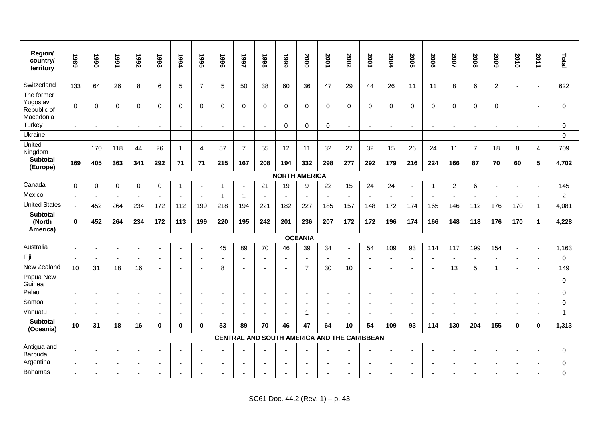| Region/<br>country/<br>territory                   | 1989     | 1990                     | 1991           | 7992           | 1993                     | 1994           | 1995                     | 9661           | 1997           | 1998                                        | 6661                 | 2000                     | 2001                     | 2002           | 2003                     | <b>2004</b>              | 2005                     | 2006                     | 2007           | 2008                     | 5009           | 2010           | 2011                     | Total          |
|----------------------------------------------------|----------|--------------------------|----------------|----------------|--------------------------|----------------|--------------------------|----------------|----------------|---------------------------------------------|----------------------|--------------------------|--------------------------|----------------|--------------------------|--------------------------|--------------------------|--------------------------|----------------|--------------------------|----------------|----------------|--------------------------|----------------|
| Switzerland                                        | 133      | 64                       | 26             | 8              | 6                        | 5              | $\overline{7}$           | 5              | 50             | 38                                          | 60                   | 36                       | 47                       | 29             | 44                       | 26                       | 11                       | 11                       | 8              | 6                        | 2              | $\overline{a}$ | $\overline{a}$           | 622            |
| The former<br>Yugoslav<br>Republic of<br>Macedonia | $\Omega$ | $\mathbf 0$              | $\mathbf{0}$   | 0              | $\Omega$                 | $\Omega$       | $\mathbf 0$              | $\Omega$       | 0              | $\Omega$                                    | $\Omega$             | $\mathbf 0$              | $\Omega$                 | $\mathbf 0$    | $\Omega$                 | $\Omega$                 | $\Omega$                 | $\Omega$                 | $\mathbf 0$    | $\Omega$                 | $\Omega$       |                | ÷,                       | $\mathbf 0$    |
| Turkey                                             |          | $\sim$                   | $\blacksquare$ | $\blacksquare$ | $\blacksquare$           |                | $\overline{\phantom{a}}$ | $\blacksquare$ | $\blacksquare$ | $\blacksquare$                              | $\Omega$             | $\mathbf 0$              | $\mathbf 0$              | $\mathbf{r}$   | $\overline{\phantom{a}}$ |                          | $\blacksquare$           | $\blacksquare$           | $\blacksquare$ | $\sim$                   |                | $\blacksquare$ | $\blacksquare$           | $\mathbf 0$    |
| Ukraine                                            | $\sim$   | $\sim$                   | $\mathbf{r}$   | $\blacksquare$ | $\sim$                   |                | $\sim$                   | $\mathbf{r}$   | $\blacksquare$ | $\sim$                                      | $\sim$               | $\sim$                   | $\sim$                   | $\mathbf{r}$   | $\sim$                   | $\overline{a}$           | $\sim$                   | $\mathbf{r}$             | $\sim$         |                          | $\overline{a}$ | $\sim$         | $\sim$                   | $\mathbf 0$    |
| United<br>Kingdom                                  |          | 170                      | 118            | 44             | 26                       | -1             | 4                        | 57             | $\overline{7}$ | 55                                          | 12                   | 11                       | 32                       | 27             | 32                       | 15                       | 26                       | 24                       | 11             | $\overline{7}$           | 18             | 8              | 4                        | 709            |
| <b>Subtotal</b><br>(Europe)                        | 169      | 405                      | 363            | 341            | 292                      | 71             | 71                       | 215            | 167            | 208                                         | 194                  | 332                      | 298                      | 277            | 292                      | 179                      | 216                      | 224                      | 166            | 87                       | 70             | 60             | 5                        | 4,702          |
|                                                    |          |                          |                |                |                          |                |                          |                |                |                                             | <b>NORTH AMERICA</b> |                          |                          |                |                          |                          |                          |                          |                |                          |                |                |                          |                |
| Canada                                             | $\Omega$ | $\mathbf 0$              | $\mathbf 0$    | 0              | $\mathbf 0$              | -1             | ÷,                       | -1             | $\overline{a}$ | 21                                          | 19                   | 9                        | 22                       | 15             | 24                       | 24                       | $\sim$                   | -1                       | $\overline{2}$ | 6                        |                | $\overline{a}$ | ÷,                       | 145            |
| Mexico                                             | $\sim$   | $\overline{\phantom{a}}$ | $\overline{a}$ | $\sim$         | $\sim$                   |                | $\sim$                   | $\mathbf{1}$   | $\overline{1}$ |                                             |                      | $\sim$                   | $\overline{a}$           | $\mathbf{r}$   |                          | $\overline{a}$           | $\sim$                   | $\overline{a}$           | $\mathbf{r}$   | $\sim$                   | $\sim$         | $\sim$         | $\overline{a}$           | $\overline{2}$ |
| <b>United States</b>                               | $\sim$   | 452                      | 264            | 234            | 172                      | 112            | 199                      | 218            | 194            | 221                                         | 182                  | 227                      | 185                      | 157            | 148                      | 172                      | 174                      | 165                      | 146            | 112                      | 176            | 170            | $\overline{1}$           | 4,081          |
| <b>Subtotal</b><br>(North<br>America)              | $\bf{0}$ | 452                      | 264            | 234            | 172                      | 113            | 199                      | 220            | 195            | 242                                         | 201                  | 236                      | 207                      | 172            | 172                      | 196                      | 174                      | 166                      | 148            | 118                      | 176            | 170            | 1                        | 4,228          |
|                                                    |          |                          |                |                |                          |                |                          |                |                |                                             |                      | <b>OCEANIA</b>           |                          |                |                          |                          |                          |                          |                |                          |                |                |                          |                |
| Australia                                          |          | $\overline{\phantom{a}}$ | ä,             | $\sim$         |                          |                | $\blacksquare$           | 45             | 89             | 70                                          | 46                   | 39                       | 34                       | $\blacksquare$ | 54                       | 109                      | 93                       | 114                      | 117            | 199                      | 154            | ÷,             |                          | 1,163          |
| Fiji                                               | $\sim$   | $\blacksquare$           | $\sim$         | $\sim$         | $\sim$                   | $\sim$         | $\sim$                   | $\blacksquare$ | $\blacksquare$ | $\sim$                                      | $\sim$               | $\sim$                   | $\sim$                   | $\mathbf{r}$   | $\sim$                   | $\overline{a}$           | $\sim$                   | $\mathbf{r}$             | $\sim$         | $\sim$                   | $\sim$         | ä,             | $\sim$                   | $\mathbf 0$    |
| New Zealand                                        | 10       | 31                       | 18             | 16             | $\blacksquare$           |                | $\sim$                   | 8              | $\mathbf{r}$   | $\sim$                                      |                      | $\overline{7}$           | 30                       | 10             | $\overline{\phantom{a}}$ | $\overline{\phantom{a}}$ | ÷,                       | $\overline{\phantom{a}}$ | 13             | 5                        | $\overline{1}$ | ä,             | $\overline{\phantom{a}}$ | 149            |
| Papua New<br>Guinea                                |          | $\overline{\phantom{a}}$ | $\sim$         | $\mathbf{r}$   | $\overline{\phantom{a}}$ | $\blacksquare$ | $\blacksquare$           | $\sim$         | $\blacksquare$ | $\sim$                                      |                      | $\sim$                   | $\sim$                   | $\blacksquare$ | $\sim$                   | $\overline{\phantom{a}}$ | $\blacksquare$           | $\sim$                   | $\sim$         | $\sim$                   | $\blacksquare$ | $\blacksquare$ | $\blacksquare$           | $\Omega$       |
| Palau                                              |          | $\sim$                   | $\blacksquare$ | $\sim$         |                          |                | ÷,                       | $\sim$         | $\blacksquare$ |                                             |                      | $\blacksquare$           | $\overline{\phantom{a}}$ | $\blacksquare$ |                          |                          |                          | ä,                       | $\blacksquare$ |                          |                |                |                          | $\Omega$       |
| Samoa                                              |          | $\sim$                   | $\blacksquare$ | $\blacksquare$ | $\overline{\phantom{a}}$ |                | $\sim$                   | $\blacksquare$ | $\blacksquare$ | $\sim$                                      |                      | $\overline{\phantom{a}}$ | $\blacksquare$           | $\blacksquare$ | $\overline{\phantom{a}}$ | $\overline{\phantom{a}}$ | $\blacksquare$           | $\blacksquare$           | $\blacksquare$ | $\overline{\phantom{a}}$ | $\blacksquare$ | $\overline{a}$ | $\blacksquare$           | $\Omega$       |
| Vanuatu                                            |          | $\sim$                   | $\overline{a}$ | $\sim$         | $\sim$                   |                | $\sim$                   | $\sim$         | $\overline{a}$ | $\blacksquare$                              |                      | $\overline{1}$           | $\sim$                   | $\overline{a}$ | $\sim$                   | $\sim$                   | $\sim$                   | $\sim$                   |                |                          | $\sim$         | $\overline{a}$ | $\overline{a}$           | $\overline{1}$ |
| <b>Subtotal</b><br>(Oceania)                       | 10       | 31                       | 18             | 16             | $\bf{0}$                 | $\bf{0}$       | $\mathbf 0$              | 53             | 89             | 70                                          | 46                   | 47                       | 64                       | 10             | 54                       | 109                      | 93                       | 114                      | 130            | 204                      | 155            | $\mathbf 0$    | $\bf{0}$                 | 1,313          |
|                                                    |          |                          |                |                |                          |                |                          |                |                | CENTRAL AND SOUTH AMERICA AND THE CARIBBEAN |                      |                          |                          |                |                          |                          |                          |                          |                |                          |                |                |                          |                |
| Antigua and<br>Barbuda                             |          | $\blacksquare$           | $\blacksquare$ | $\blacksquare$ |                          |                | $\blacksquare$           | $\sim$         |                |                                             |                      | $\blacksquare$           | $\sim$                   |                |                          |                          | $\overline{\phantom{a}}$ | $\blacksquare$           |                |                          |                | $\blacksquare$ | $\sim$                   | $\mathbf 0$    |
| Argentina                                          |          | $\overline{a}$           | $\overline{a}$ | $\sim$         |                          |                | ÷                        | ÷              | $\sim$         |                                             |                      | $\overline{a}$           | $\overline{a}$           | $\sim$         |                          |                          | $\overline{a}$           | ÷                        |                |                          |                | ÷              |                          | $\pmb{0}$      |
| Bahamas                                            |          | $\overline{\phantom{a}}$ |                |                |                          |                | ÷,                       | ÷.             |                |                                             |                      | $\overline{a}$           |                          |                |                          |                          |                          |                          |                |                          |                |                |                          | $\mathbf 0$    |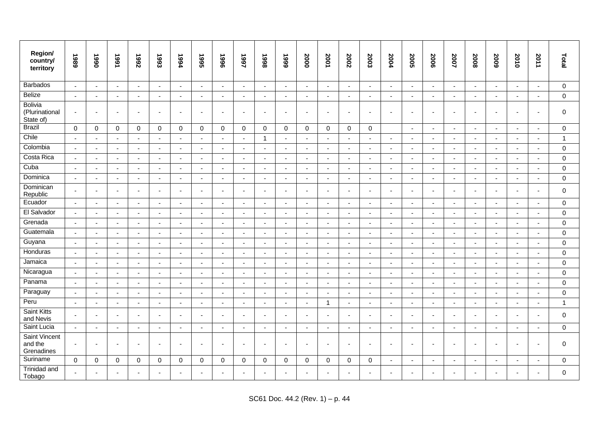| Region/<br>country/<br>territory              | 1989                     | 1990           | 1991                     | <b>Z66L</b>    | 1993                     | 1994                     | 1995                     | 9661                     | 1997                     | 866L                     | 6661                     | 2000                     | 2001                     | 2002           | 2003                     | <b>2004</b>              | <b>2005</b>              | 2006                     | 2007                     | 2008                     | 5009                     | 2010                     | 2011                  | Total        |
|-----------------------------------------------|--------------------------|----------------|--------------------------|----------------|--------------------------|--------------------------|--------------------------|--------------------------|--------------------------|--------------------------|--------------------------|--------------------------|--------------------------|----------------|--------------------------|--------------------------|--------------------------|--------------------------|--------------------------|--------------------------|--------------------------|--------------------------|-----------------------|--------------|
| <b>Barbados</b>                               | $\blacksquare$           | $\blacksquare$ | $\blacksquare$           | $\blacksquare$ | $\blacksquare$           | $\sim$                   | $\blacksquare$           | $\blacksquare$           | $\blacksquare$           | $\sim$                   | $\sim$                   | $\mathbf{r}$             | $\mathbf{r}$             | $\blacksquare$ | $\blacksquare$           | $\blacksquare$           | $\blacksquare$           | $\blacksquare$           | $\blacksquare$           | $\blacksquare$           | $\sim$                   | $\sim$                   | $\blacksquare$        | $\pmb{0}$    |
| <b>Belize</b>                                 | $\sim$                   | $\omega$       | $\sim$                   | $\overline{a}$ | $\sim$                   | $\sim$                   | $\sim$                   | $\sim$                   | $\overline{a}$           | $\sim$                   | $\overline{a}$           | $\omega$                 | $\sim$                   | $\sim$         | $\sim$                   | $\overline{\phantom{a}}$ | $\sim$                   | $\sim$                   | $\mathbf{r}$             | $\sim$                   |                          | $\sim$                   | $\overline{a}$        | $\mathbf 0$  |
| <b>Bolivia</b><br>(Plurinational<br>State of) | $\blacksquare$           | $\blacksquare$ |                          | $\blacksquare$ | $\blacksquare$           | ٠                        | $\sim$                   | $\sim$                   | $\overline{\phantom{a}}$ | ÷,                       | $\overline{\phantom{a}}$ | $\sim$                   | $\blacksquare$           | $\blacksquare$ | ÷,                       | $\overline{\phantom{a}}$ | $\sim$                   | $\blacksquare$           |                          | ÷,                       |                          | $\sim$                   | $\blacksquare$        | $\mathbf 0$  |
| <b>Brazil</b>                                 | $\Omega$                 | $\mathbf 0$    | $\mathbf 0$              | $\mathbf 0$    | $\mathbf 0$              | $\mathbf 0$              | $\mathbf 0$              | $\mathbf 0$              | $\mathbf 0$              | $\mathbf 0$              | $\mathbf 0$              | $\mathbf 0$              | $\mathbf 0$              | $\mathbf 0$    | $\mathbf 0$              |                          | $\mathbf{r}$             | $\sim$                   | $\sim$                   | ÷,                       |                          | $\sim$                   | $\blacksquare$        | $\mathbf 0$  |
| Chile                                         | $\sim$                   | $\sim$         | $\sim$                   | $\sim$         | $\blacksquare$           | $\sim$                   | $\sim$                   | $\sim$                   | $\sim$                   | $\overline{1}$           | $\sim$                   | $\sim$                   | $\sim$                   | $\sim$         | $\sim$                   | $\sim$                   | $\sim$                   | $\sim$                   | $\sim$                   | $\sim$                   | $\overline{\phantom{a}}$ | $\sim$                   | $\sim$                | $\mathbf{1}$ |
| Colombia                                      | $\overline{\phantom{a}}$ | $\overline{a}$ | $\sim$                   | $\sim$         | $\overline{\phantom{a}}$ | $\overline{a}$           | $\sim$                   | $\sim$                   | $\overline{a}$           | $\overline{\phantom{a}}$ | $\overline{\phantom{a}}$ | $\sim$                   | $\overline{a}$           | $\blacksquare$ | $\sim$                   | $\overline{\phantom{a}}$ | $\sim$                   | $\overline{a}$           | $\overline{a}$           | $\overline{\phantom{a}}$ | $\overline{a}$           | $\sim$                   | $\overline{a}$        | $\mathbf 0$  |
| Costa Rica                                    |                          | $\blacksquare$ | $\sim$                   | $\blacksquare$ |                          | ٠                        | $\overline{\phantom{a}}$ | $\sim$                   | $\blacksquare$           |                          | $\blacksquare$           | $\sim$                   | $\sim$                   | $\blacksquare$ | $\overline{\phantom{a}}$ | ÷                        | $\sim$                   | $\sim$                   | $\blacksquare$           |                          |                          | $\sim$                   |                       | $\pmb{0}$    |
| Cuba                                          | $\sim$                   | $\blacksquare$ | $\sim$                   | $\blacksquare$ | $\overline{\phantom{a}}$ | $\blacksquare$           | $\sim$                   | $\sim$                   | $\blacksquare$           | $\blacksquare$           | $\blacksquare$           | $\sim$                   | $\blacksquare$           | $\blacksquare$ | $\sim$                   | $\blacksquare$           | $\sim$                   | $\blacksquare$           | $\sim$                   | $\blacksquare$           | $\blacksquare$           | $\blacksquare$           | $\tilde{\phantom{a}}$ | $\mathbf 0$  |
| Dominica                                      | $\sim$                   | $\sim$         | $\sim$                   | $\overline{a}$ | $\overline{a}$           | J.                       | $\sim$                   | $\sim$                   | $\overline{a}$           | $\sim$                   | $\overline{a}$           | $\sim$                   | $\sim$                   | $\mathbf{r}$   | $\overline{a}$           |                          | $\sim$                   | $\sim$                   | $\sim$                   | $\overline{a}$           |                          | $\sim$                   | $\overline{a}$        | $\mathbf 0$  |
| Dominican<br>Republic                         | $\sim$                   | $\sim$         | $\sim$                   | $\blacksquare$ | $\blacksquare$           | $\overline{\phantom{a}}$ | $\sim$                   | $\overline{\phantom{a}}$ | $\blacksquare$           | $\blacksquare$           | $\overline{\phantom{a}}$ | $\overline{\phantom{a}}$ | $\sim$                   | $\blacksquare$ | $\overline{a}$           | $\overline{\phantom{a}}$ | $\sim$                   | $\blacksquare$           | $\overline{\phantom{a}}$ | $\blacksquare$           |                          | $\sim$                   | $\blacksquare$        | $\Omega$     |
| Ecuador                                       | $\sim$                   | $\sim$         | $\sim$                   | $\sim$         | $\sim$                   | ÷.                       | $\sim$                   | $\sim$                   | $\sim$                   | $\overline{a}$           | $\overline{\phantom{a}}$ | $\sim$                   | $\overline{\phantom{a}}$ | $\sim$         | $\sim$                   |                          | $\sim$                   | $\overline{\phantom{a}}$ | $\sim$                   | ÷.                       |                          | $\sim$                   | $\sim$                | $\mathbf 0$  |
| El Salvador                                   |                          | $\blacksquare$ | $\sim$                   | $\blacksquare$ | $\overline{\phantom{a}}$ | ÷                        | $\overline{\phantom{a}}$ | $\sim$                   | $\overline{\phantom{a}}$ | ÷,                       | ÷,                       | $\blacksquare$           | $\sim$                   | $\blacksquare$ | $\overline{a}$           |                          | $\overline{\phantom{a}}$ | $\blacksquare$           | $\blacksquare$           |                          |                          | $\blacksquare$           |                       | $\mathbf 0$  |
| Grenada                                       | $\sim$                   | $\sim$         | $\sim$                   | $\sim$         | $\blacksquare$           | $\blacksquare$           | $\sim$                   | $\sim$                   | $\sim$                   | $\blacksquare$           | $\blacksquare$           | $\sim$                   | $\sim$                   | $\sim$         | $\blacksquare$           | $\sim$                   | $\sim$                   | $\sim$                   | $\sim$                   | $\blacksquare$           | $\overline{\phantom{a}}$ | $\sim$                   | $\blacksquare$        | $\mathbf 0$  |
| Guatemala                                     | $\sim$                   | $\sim$         | $\sim$                   | $\overline{a}$ | $\overline{a}$           | ÷,                       | $\sim$                   | $\sim$                   | $\overline{a}$           | $\blacksquare$           | ÷,                       | $\sim$                   | $\sim$                   | $\sim$         | $\sim$                   | $\overline{\phantom{a}}$ | $\sim$                   | $\sim$                   | $\sim$                   | ÷,                       |                          | $\sim$                   | $\tilde{\phantom{a}}$ | $\mathbf 0$  |
| Guyana                                        | $\sim$                   | $\sim$         | $\sim$                   | $\sim$         | $\sim$                   | $\blacksquare$           | $\sim$                   | $\mathbf{r}$             | $\blacksquare$           | $\sim$                   | $\sim$                   | $\sim$                   | $\blacksquare$           | $\sim$         | $\mathbf{r}$             | $\blacksquare$           | $\sim$                   | $\blacksquare$           | $\sim$                   | $\sim$                   | $\blacksquare$           | $\blacksquare$           | $\mathbf{r}$          | $\Omega$     |
| Honduras                                      | $\sim$                   | $\sim$         | $\sim$                   | $\sim$         | $\overline{a}$           | $\overline{a}$           | $\sim$                   | $\sim$                   | $\sim$                   | $\sim$                   | $\sim$                   | $\sim$                   | $\sim$                   | $\sim$         | $\sim$                   | $\sim$                   | $\sim$                   | $\overline{a}$           | $\overline{a}$           | $\overline{\phantom{a}}$ | $\blacksquare$           | $\sim$                   | $\sim$                | $\mathbf 0$  |
| Jamaica                                       | $\sim$                   | $\sim$         | $\sim$                   | $\sim$         | $\overline{a}$           | ÷,                       | $\sim$                   | $\sim$                   | $\blacksquare$           | ÷,                       | ÷,                       | $\sim$                   | $\sim$                   | $\sim$         | ÷,                       | $\overline{\phantom{a}}$ | $\sim$                   | $\sim$                   | $\overline{a}$           | ÷,                       |                          | $\overline{a}$           | $\tilde{\phantom{a}}$ | $\Omega$     |
| Nicaragua                                     | $\sim$                   | $\blacksquare$ | $\overline{a}$           | $\blacksquare$ | $\overline{\phantom{a}}$ | $\blacksquare$           | $\sim$                   | $\overline{\phantom{a}}$ | $\blacksquare$           | ÷,                       | $\blacksquare$           | $\sim$                   | $\sim$                   | $\blacksquare$ | $\overline{\phantom{a}}$ | $\overline{\phantom{a}}$ | $\sim$                   | $\blacksquare$           | $\sim$                   | $\blacksquare$           |                          | $\sim$                   | $\blacksquare$        | $\mathbf 0$  |
| Panama                                        | $\sim$                   | $\sim$         | $\sim$                   | $\overline{a}$ | $\overline{a}$           | ٠.                       | $\sim$                   | $\sim$                   | $\overline{a}$           | ÷,                       | ÷                        | $\sim$                   | $\sim$                   | $\sim$         | $\overline{\phantom{a}}$ |                          | $\sim$                   | $\sim$                   | $\overline{a}$           | $\overline{\phantom{a}}$ |                          | $\sim$                   | $\tilde{\phantom{a}}$ | $\mathbf 0$  |
| Paraguay                                      | $\sim$                   | $\sim$         | $\overline{a}$           | $\sim$         | $\overline{\phantom{a}}$ | $\overline{\phantom{a}}$ | $\sim$                   | $\sim$                   | $\blacksquare$           | ÷,                       | $\overline{\phantom{a}}$ | $\sim$                   | $\sim$                   | $\sim$         | ÷,                       | $\overline{\phantom{a}}$ | $\overline{a}$           | $\sim$                   | $\overline{a}$           | ٠                        |                          | $\sim$                   | $\tilde{\phantom{a}}$ | $\pmb{0}$    |
| Peru                                          | $\blacksquare$           | $\blacksquare$ | $\omega$                 | $\sim$         | $\blacksquare$           | $\overline{\phantom{a}}$ | $\blacksquare$           | $\blacksquare$           | $\blacksquare$           | $\blacksquare$           | $\blacksquare$           | $\blacksquare$           | $\overline{1}$           | $\blacksquare$ | $\blacksquare$           | $\blacksquare$           | $\blacksquare$           | $\tilde{\phantom{a}}$    | $\blacksquare$           | $\blacksquare$           | $\blacksquare$           | $\blacksquare$           | $\blacksquare$        | $\mathbf{1}$ |
| Saint Kitts<br>and Nevis                      | $\overline{\phantom{a}}$ | $\sim$         | $\overline{\phantom{a}}$ | $\blacksquare$ | $\blacksquare$           | $\overline{\phantom{a}}$ | $\sim$                   | $\blacksquare$           | $\blacksquare$           | ÷,                       | $\blacksquare$           | $\sim$                   | $\sim$                   | $\blacksquare$ | $\overline{a}$           | ÷                        | $\sim$                   | $\sim$                   | $\sim$                   | $\overline{\phantom{a}}$ |                          | $\sim$                   | $\blacksquare$        | $\pmb{0}$    |
| Saint Lucia                                   | $\sim$                   | $\blacksquare$ | $\sim$                   | $\blacksquare$ | $\sim$                   | $\overline{\phantom{a}}$ | $\blacksquare$           | $\sim$                   | $\blacksquare$           | $\sim$                   | $\blacksquare$           | $\mathbf{r}$             | $\sim$                   | $\blacksquare$ | $\sim$                   | $\blacksquare$           | $\sim$                   | $\sim$                   | $\blacksquare$           | $\overline{\phantom{a}}$ |                          | $\blacksquare$           | $\tilde{\phantom{a}}$ | $\mathbf 0$  |
| Saint Vincent<br>and the<br>Grenadines        | $\blacksquare$           | $\sim$         |                          | $\blacksquare$ | $\overline{\phantom{a}}$ | $\overline{\phantom{a}}$ | $\blacksquare$           | $\sim$                   | $\blacksquare$           | $\blacksquare$           | $\overline{\phantom{a}}$ | $\sim$                   | $\blacksquare$           | $\blacksquare$ | $\blacksquare$           | $\overline{\phantom{a}}$ | $\overline{\phantom{a}}$ | $\blacksquare$           | $\overline{\phantom{a}}$ | ٠                        |                          | $\overline{\phantom{a}}$ |                       | $\Omega$     |
| Suriname                                      | $\Omega$                 | $\mathbf 0$    | $\mathbf 0$              | 0              | $\mathbf 0$              | $\mathbf 0$              | $\mathbf 0$              | $\mathbf 0$              | 0                        | $\mathbf 0$              | $\mathbf 0$              | $\mathbf 0$              | $\mathbf 0$              | $\mathbf 0$    | 0                        | $\sim$                   | $\sim$                   | $\sim$                   | $\sim$                   | $\sim$                   |                          | $\sim$                   | $\blacksquare$        | $\mathbf 0$  |
| <b>Trinidad and</b><br>Tobago                 |                          | $\sim$         |                          |                |                          |                          |                          |                          |                          | ÷,                       | $\overline{\phantom{a}}$ | $\sim$                   | $\sim$                   | $\sim$         | $\overline{a}$           |                          | $\sim$                   | $\overline{\phantom{a}}$ |                          |                          |                          |                          |                       | $\mathbf 0$  |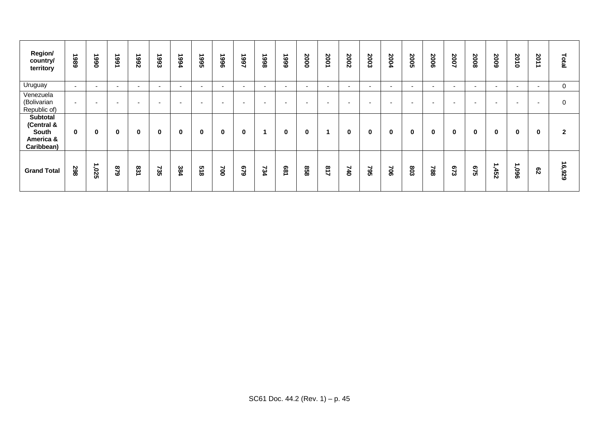| Region/<br>country/<br>territory                                  | 886                      | ∸<br>066                 | 1991                     | ∸<br><b>Z66</b>          | 1993                     | ∸<br>766                 | ∸<br>366                 | 9661                     | 1997                     | 866L                     | 666                      | 2000                     | 2001                     | 2002                     | 2003                     | 7004                     | 2005   | 2006     | 2007                     | 2008                     | 5002                     | 2010                     | 201<br>ᅩ                 | Total          |
|-------------------------------------------------------------------|--------------------------|--------------------------|--------------------------|--------------------------|--------------------------|--------------------------|--------------------------|--------------------------|--------------------------|--------------------------|--------------------------|--------------------------|--------------------------|--------------------------|--------------------------|--------------------------|--------|----------|--------------------------|--------------------------|--------------------------|--------------------------|--------------------------|----------------|
| Uruguay                                                           | $\overline{\phantom{a}}$ | $\overline{\phantom{0}}$ | $\sim$                   | $\overline{\phantom{0}}$ | $\overline{\phantom{a}}$ | $\overline{\phantom{a}}$ | $\overline{\phantom{0}}$ | $\overline{\phantom{0}}$ | $\overline{\phantom{0}}$ | $\overline{\phantom{0}}$ | $\overline{\phantom{0}}$ | $\overline{\phantom{a}}$ | $\overline{\phantom{0}}$ | $\sim$                   | $\overline{\phantom{0}}$ | $\overline{\phantom{0}}$ | $\sim$ | $\sim$   | $\overline{\phantom{a}}$ | $\overline{\phantom{0}}$ | $\overline{\phantom{a}}$ | $\sim$                   | $\overline{\phantom{0}}$ | 0              |
| Venezuela<br>(Bolivarian<br>Republic of)                          | $\overline{\phantom{0}}$ | $\overline{\phantom{a}}$ | $\overline{\phantom{0}}$ | $\overline{\phantom{0}}$ | . .                      |                          | $\overline{\phantom{0}}$ | $\overline{\phantom{a}}$ | $\overline{\phantom{a}}$ | $\overline{\phantom{a}}$ | $\overline{\phantom{0}}$ | $\overline{\phantom{a}}$ | $\overline{\phantom{a}}$ | $\overline{\phantom{a}}$ | $\overline{\phantom{a}}$ | $\overline{\phantom{a}}$ | $\sim$ | $\sim$   | $\overline{\phantom{a}}$ | -                        | $\overline{\phantom{a}}$ | $\overline{\phantom{0}}$ | $\overline{\phantom{0}}$ | $\mathbf 0$    |
| <b>Subtotal</b><br>(Central &<br>South<br>America &<br>Caribbean) | $\mathbf{0}$             | $\mathbf 0$              | $\bf{0}$                 | 0                        | $\mathbf{0}$             | 0                        | $\bf{0}$                 | 0                        | $\bf{0}$                 |                          | $\bf{0}$                 | $\bf{0}$                 |                          | $\mathbf 0$              | $\mathbf 0$              | $\mathbf 0$              | 0      | $\bf{0}$ | $\mathbf 0$              | $\mathbf 0$              | 0                        | 0                        | $\bf{0}$                 | $\overline{2}$ |
| <b>Grand Total</b>                                                | 298                      | ∸<br>520'                | 628                      | 831                      | 735                      | 384                      | <b>518</b>               | $\approx$                | 679                      | 734                      | <b>681</b>               | 858                      | 718                      | 740                      | 795                      | $\approx$                | 603    | 788      | 673                      | <b>SVS</b>               | -452                     | 1,096                    | $\mathbf{g}$             | 16,929         |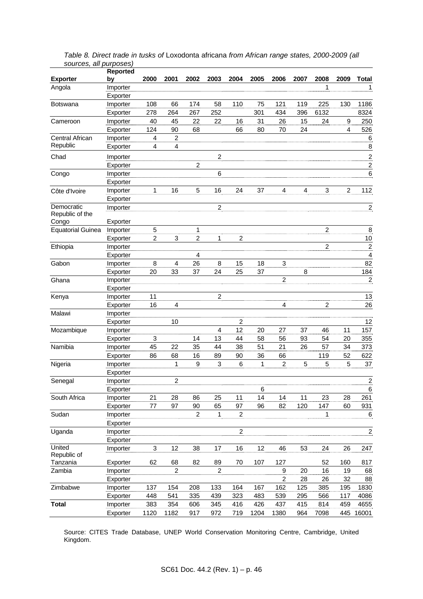|                          | Reported | 2000                      | 2001                    | 2002                    |                |                         | 2005 | 2006                    |                | 2008                    |                  | <b>Total</b>             |
|--------------------------|----------|---------------------------|-------------------------|-------------------------|----------------|-------------------------|------|-------------------------|----------------|-------------------------|------------------|--------------------------|
| <b>Exporter</b>          | bv       |                           |                         |                         | 2003           | 2004                    |      |                         | 2007           |                         | 2009             |                          |
| Angola                   | Importer |                           |                         |                         |                |                         |      |                         |                | 1                       |                  | 1                        |
|                          | Exporter |                           |                         |                         |                |                         |      |                         |                |                         |                  |                          |
| <b>Botswana</b>          | Importer | 108                       | 66                      | 174                     | 58             | 110                     | 75   | 121                     | 119            | 225                     | 130              | 1186                     |
|                          | Exporter | 278                       | 264                     | 267                     | 252            |                         | 301  | 434                     | 396            | 6132                    |                  | 8324                     |
| Cameroon                 | Importer | 40                        | 45                      | 22                      | 22             | 16                      | 31   | 26                      | 15             | 24                      | $\boldsymbol{9}$ | 250                      |
|                          | Exporter | 124                       | 90                      | 68                      |                | 66                      | 80   | 70                      | 24             |                         | $\overline{4}$   | 526                      |
| Central African          | Importer | 4                         | $\overline{c}$          |                         |                |                         |      |                         |                |                         |                  | 6                        |
| Republic                 | Exporter | $\overline{4}$            | $\overline{\mathbf{4}}$ |                         |                |                         |      |                         |                |                         |                  | 8                        |
| Chad                     | Importer |                           |                         |                         | $\overline{c}$ |                         |      |                         |                |                         |                  | $\overline{2}$           |
|                          | Exporter |                           |                         | $\overline{c}$          |                |                         |      |                         |                |                         |                  | $\overline{c}$           |
| Congo                    | Importer |                           |                         |                         | 6              |                         |      |                         |                |                         |                  | 6                        |
|                          | Exporter |                           |                         |                         |                |                         |      |                         |                |                         |                  |                          |
| Côte d'Ivoire            | Importer | 1                         | 16                      | 5                       | 16             | 24                      | 37   | $\overline{\mathbf{4}}$ | $\overline{4}$ | 3                       | $\overline{2}$   | 112                      |
|                          | Exporter |                           |                         |                         |                |                         |      |                         |                |                         |                  |                          |
| Democratic               | Importer |                           |                         |                         | $\overline{c}$ |                         |      |                         |                |                         |                  | $\overline{\mathbf{c}}$  |
| Republic of the          |          |                           |                         |                         |                |                         |      |                         |                |                         |                  |                          |
| Congo                    | Exporter |                           |                         |                         |                |                         |      |                         |                |                         |                  |                          |
| <b>Equatorial Guinea</b> | Importer | 5                         |                         | 1                       |                |                         |      |                         |                | $\boldsymbol{2}$        |                  | 8                        |
|                          | Exporter | $\overline{\mathbf{c}}$   | 3                       | $\overline{\mathbf{c}}$ | 1              | $\overline{\mathbf{c}}$ |      |                         |                |                         |                  | 10                       |
| Ethiopia                 | Importer |                           |                         |                         |                |                         |      |                         |                | $\overline{\mathbf{c}}$ |                  | $\overline{2}$           |
|                          | Exporter |                           |                         | 4                       |                |                         |      |                         |                |                         |                  | $\overline{\mathcal{A}}$ |
| Gabon                    | Importer | 8                         | 4                       | 26                      | 8              | 15                      | 18   | 3                       |                |                         |                  | 82                       |
|                          | Exporter | 20                        | 33                      | 37                      | 24             | 25                      | 37   |                         | 8              |                         |                  | 184                      |
| Ghana                    | Importer |                           |                         |                         |                |                         |      | $\overline{2}$          |                |                         |                  | $\overline{2}$           |
|                          | Exporter |                           |                         |                         |                |                         |      |                         |                |                         |                  |                          |
| Kenya                    | Importer | 11                        |                         |                         | $\overline{c}$ |                         |      |                         |                |                         |                  | 13                       |
|                          | Exporter | 16                        | 4                       |                         |                |                         |      | 4                       |                | $\overline{\mathbf{c}}$ |                  | 26                       |
| Malawi                   | Importer |                           |                         |                         |                |                         |      |                         |                |                         |                  |                          |
|                          | Exporter |                           | 10                      |                         |                | 2                       |      |                         |                |                         |                  | 12                       |
| Mozambique               | Importer |                           |                         |                         | 4              | 12                      | 20   | 27                      | 37             | 46                      | 11               | 157                      |
|                          | Exporter | 3                         |                         | 14                      | 13             | 44                      | 58   | 56                      | 93             | 54                      | 20               | 355                      |
| Namibia                  | Importer | 45                        | 22                      | 35                      | 44             | 38                      | 51   | 21                      | 26             | 57                      | 34               | 373                      |
|                          | Exporter | 86                        | 68                      | 16                      | 89             | 90                      | 36   | 66                      |                | 119                     | 52               | 622                      |
| Nigeria                  | Importer |                           | 1                       | 9                       | 3              | 6                       | 1    | $\overline{c}$          | 5              | 5                       | 5                | 37                       |
|                          | Exporter |                           |                         |                         |                |                         |      |                         |                |                         |                  |                          |
| Senegal                  | Importer |                           | $\overline{c}$          |                         |                |                         |      |                         |                |                         |                  | $\overline{c}$           |
|                          | Exporter |                           |                         |                         |                |                         | 6    |                         |                |                         |                  | 6                        |
| South Africa             | Importer | 21                        | 28                      | 86                      | 25             | 11                      | 14   | 14                      | 11             | 23                      | 28               | 261                      |
|                          | Exporter | 77                        | 97                      | 90                      | 65             | 97                      | 96   | 82                      | 120            | 147                     | 60               | 931                      |
| Sudan                    | Importer |                           |                         | $\overline{c}$          | 1              | $\overline{c}$          |      |                         |                | 1                       |                  | 6                        |
|                          | Exporter |                           |                         |                         |                |                         |      |                         |                |                         |                  |                          |
| Uganda                   | Importer |                           |                         |                         |                | $\boldsymbol{2}$        |      |                         |                |                         |                  | $\overline{\mathbf{c}}$  |
|                          | Exporter |                           |                         |                         |                |                         |      |                         |                |                         |                  |                          |
| United                   | Importer | $\ensuremath{\mathsf{3}}$ | 12                      | 38                      | 17             | 16                      | 12   | 46                      | 53             | 24                      | 26               | 247                      |
| Republic of<br>Tanzania  | Exporter | 62                        | 68                      | 82                      | 89             | 70                      | 107  | 127                     |                | 52                      | 160              | 817                      |
| Zambia                   | Importer |                           | $\boldsymbol{2}$        |                         | $\overline{c}$ |                         |      | 9                       | 20             | 16                      | 19               | 68                       |
|                          | Exporter |                           |                         |                         |                |                         |      | $\mathbf 2$             | 28             | 26                      | 32               | 88                       |
| Zimbabwe                 | Importer | 137                       | 154                     | 208                     | 133            | 164                     | 167  | 162                     | 125            | 385                     | 195              | 1830                     |
|                          | Exporter | 448                       | 541                     | 335                     | 439            | 323                     | 483  | 539                     | 295            | 566                     | 117              | 4086                     |
| <b>Total</b>             | Importer | 383                       | 354                     | 606                     | 345            | 416                     | 426  | 437                     | 415            | 814                     | 459              | 4655                     |
|                          | Exporter | 1120                      | 1182                    | 917                     | 972            | 719                     | 1204 | 1380                    | 964            | 7098                    | 445              | 16001                    |
|                          |          |                           |                         |                         |                |                         |      |                         |                |                         |                  |                          |

*Table 8. Direct trade in tusks of* Loxodonta africana *from African range states, 2000-2009 (all sources, all purposes)* 

Source: CITES Trade Database, UNEP World Conservation Monitoring Centre, Cambridge, United Kingdom.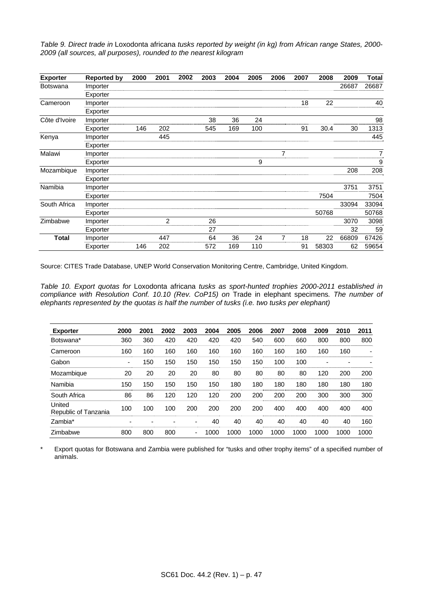*Table 9. Direct trade in* Loxodonta africana *tusks reported by weight (in kg) from African range States, 2000- 2009 (all sources, all purposes), rounded to the nearest kilogram* 

| <b>Exporter</b> | <b>Reported by</b> | 2000 | 2001           | 2002 | 2003 | 2004 | 2005 | 2006           | 2007 | 2008  | 2009  | Total |
|-----------------|--------------------|------|----------------|------|------|------|------|----------------|------|-------|-------|-------|
| Botswana        | Importer           |      |                |      |      |      |      |                |      |       | 26687 | 26687 |
|                 | Exporter           |      |                |      |      |      |      |                |      |       |       |       |
| Cameroon        | Importer           |      |                |      |      |      |      |                | 18   | 22    |       | 40    |
|                 | Exporter           |      |                |      |      |      |      |                |      |       |       |       |
| Côte d'Ivoire   | Importer           |      |                |      | 38   | 36   | 24   |                |      |       |       | 98    |
|                 | Exporter           | 146  | 202            |      | 545  | 169  | 100  |                | 91   | 30.4  | 30    | 1313  |
| Kenya           | Importer           |      | 445            |      |      |      |      |                |      |       |       | 445   |
|                 | Exporter           |      |                |      |      |      |      |                |      |       |       |       |
| Malawi          | Importer           |      |                |      |      |      |      | $\overline{7}$ |      |       |       | 7     |
|                 | Exporter           |      |                |      |      |      | 9    |                |      |       |       | 9     |
| Mozambique      | Importer           |      |                |      |      |      |      |                |      |       | 208   | 208   |
|                 | Exporter           |      |                |      |      |      |      |                |      |       |       |       |
| Namibia         | Importer           |      |                |      |      |      |      |                |      |       | 3751  | 3751  |
|                 | Exporter           |      |                |      |      |      |      |                |      | 7504  |       | 7504  |
| South Africa    | Importer           |      |                |      |      |      |      |                |      |       | 33094 | 33094 |
|                 | Exporter           |      |                |      |      |      |      |                |      | 50768 |       | 50768 |
| Zimbabwe        | Importer           |      | $\overline{2}$ |      | 26   |      |      |                |      |       | 3070  | 3098  |
|                 | Exporter           |      |                |      | 27   |      |      |                |      |       | 32    | 59    |
| <b>Total</b>    | Importer           |      | 447            |      | 64   | 36   | 24   | 7              | 18   | 22    | 66809 | 67426 |
|                 | Exporter           | 146  | 202            |      | 572  | 169  | 110  |                | 91   | 58303 | 62    | 59654 |

Source: CITES Trade Database, UNEP World Conservation Monitoring Centre, Cambridge, United Kingdom.

*Table 10. Export quotas for* Loxodonta africana *tusks as sport-hunted trophies 2000-2011 established in compliance with Resolution Conf. 10.10 (Rev. CoP15) on* Trade in elephant specimens*. The number of elephants represented by the quotas is half the number of tusks (i.e. two tusks per elephant)* 

| <b>Exporter</b>                | 2000 | 2001 | 2002 | 2003                     | 2004 | 2005 | 2006 | 2007 | 2008 | 2009 | 2010 | 2011 |
|--------------------------------|------|------|------|--------------------------|------|------|------|------|------|------|------|------|
| Botswana*                      | 360  | 360  | 420  | 420                      | 420  | 420  | 540  | 600  | 660  | 800  | 800  | 800  |
| Cameroon                       | 160  | 160  | 160  | 160                      | 160  | 160  | 160  | 160  | 160  | 160  | 160  |      |
| Gabon                          | ۰    | 150  | 150  | 150                      | 150  | 150  | 150  | 100  | 100  |      |      |      |
| Mozambique                     | 20   | 20   | 20   | 20                       | 80   | 80   | 80   | 80   | 80   | 120  | 200  | 200  |
| Namibia                        | 150  | 150  | 150  | 150                      | 150  | 180  | 180  | 180  | 180  | 180  | 180  | 180  |
| South Africa                   | 86   | 86   | 120  | 120                      | 120  | 200  | 200  | 200  | 200  | 300  | 300  | 300  |
| United<br>Republic of Tanzania | 100  | 100  | 100  | 200                      | 200  | 200  | 200  | 400  | 400  | 400  | 400  | 400  |
| Zambia*                        |      |      |      | -                        | 40   | 40   | 40   | 40   | 40   | 40   | 40   | 160  |
| Zimbabwe                       | 800  | 800  | 800  | $\overline{\phantom{0}}$ | 1000 | 1000 | 1000 | 1000 | 1000 | 1000 | 1000 | 1000 |

\* Export quotas for Botswana and Zambia were published for "tusks and other trophy items" of a specified number of animals.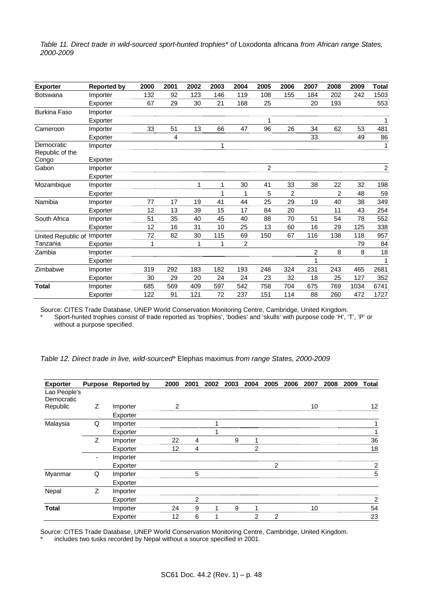*Table 11. Direct trade in wild-sourced sport-hunted trophies\* of Loxodonta africana from African range States, 2000-2009* 

| <b>Exporter</b>               | <b>Reported by</b> | 2000 | 2001 | 2002 | 2003 | 2004           | 2005             | 2006 | 2007 | 2008           | 2009 | <b>Total</b>   |
|-------------------------------|--------------------|------|------|------|------|----------------|------------------|------|------|----------------|------|----------------|
| <b>Botswana</b>               | Importer           | 132  | 92   | 123  | 146  | 119            | 108              | 155  | 184  | 202            | 242  | 1503           |
|                               | Exporter           | 67   | 29   | 30   | 21   | 168            | 25               |      | 20   | 193            |      | 553            |
| <b>Burkina Faso</b>           | Importer           |      |      |      |      |                |                  |      |      |                |      |                |
|                               | Exporter           |      |      |      |      |                | 1                |      |      |                |      | 1              |
| Cameroon                      | Importer           | 33   | 51   | 13   | 66   | 47             | 96               | 26   | 34   | 62             | 53   | 481            |
|                               | Exporter           |      | 4    |      |      |                |                  |      | 33   |                | 49   | 86             |
| Democratic<br>Republic of the | Importer           |      |      |      | 1    |                |                  |      |      |                |      | 1              |
| Congo                         | Exporter           |      |      |      |      |                |                  |      |      |                |      |                |
| Gabon                         | Importer           |      |      |      |      |                | $\boldsymbol{2}$ |      |      |                |      | $\overline{c}$ |
|                               | Exporter           |      |      |      |      |                |                  |      |      |                |      |                |
| Mozambique                    | Importer           |      |      | 1    | 1    | 30             | 41               | 33   | 38   | 22             | 32   | 198            |
|                               | Exporter           |      |      |      |      | 1              | 5                | 2    |      | $\overline{2}$ | 48   | 59             |
| Namibia                       | Importer           | 77   | 17   | 19   | 41   | 44             | 25               | 29   | 19   | 40             | 38   | 349            |
|                               | Exporter           | 12   | 13   | 39   | 15   | 17             | 84               | 20   |      | 11             | 43   | 254            |
| South Africa                  | Importer           | 51   | 35   | 40   | 45   | 40             | 88               | 70   | 51   | 54             | 78   | 552            |
|                               | Exporter           | 12   | 16   | 31   | 10   | 25             | 13               | 60   | 16   | 29             | 125  | 338            |
| United Republic of            | Importer           | 72   | 82   | 30   | 115  | 69             | 150              | 67   | 116  | 138            | 118  | 957            |
| Tanzania                      | Exporter           |      |      | 1    |      | $\overline{c}$ |                  |      |      |                | 79   | 84             |
| Zambia                        | Importer           |      |      |      |      |                |                  |      | 2    | 8              | 8    | 18             |
|                               | Exporter           |      |      |      |      |                |                  |      |      |                |      | 1              |
| Zimbabwe                      | Importer           | 319  | 292  | 183  | 182  | 193            | 248              | 324  | 231  | 243            | 465  | 2681           |
|                               | Exporter           | 30   | 29   | 20   | 24   | 24             | 23               | 32   | 18   | 25             | 127  | 352            |
| <b>Total</b>                  | Importer           | 685  | 569  | 409  | 597  | 542            | 758              | 704  | 675  | 769            | 1034 | 6741           |
|                               | Exporter           | 122  | 91   | 121  | 72   | 237            | 151              | 114  | 88   | 260            | 472  | 1727           |

Source: CITES Trade Database, UNEP World Conservation Monitoring Centre, Cambridge, United Kingdom.

Sport-hunted trophies consist of trade reported as 'trophies', 'bodies' and 'skulls' with purpose code 'H', 'T', 'P' or without a purpose specified.

| Table 12. Direct trade in live, wild-sourced* Elephas maximus from range States, 2000-2009 |  |  |  |  |
|--------------------------------------------------------------------------------------------|--|--|--|--|
|--------------------------------------------------------------------------------------------|--|--|--|--|

| <b>Exporter</b>            |    | Purpose Reported by | 2000 | 2001 | 2002 | 2003 | 2004           | 2005 | 2006 | 2007 | 2008 | 2009 | <b>Total</b>   |
|----------------------------|----|---------------------|------|------|------|------|----------------|------|------|------|------|------|----------------|
| Lao People's<br>Democratic |    |                     |      |      |      |      |                |      |      |      |      |      |                |
| Republic                   | Z  | Importer            | 2    |      |      |      |                |      |      | 10   |      |      | 12             |
|                            |    | Exporter            |      |      |      |      |                |      |      |      |      |      |                |
| Malaysia                   | Q  | Importer            |      |      |      |      |                |      |      |      |      |      |                |
|                            |    | Exporter            |      |      |      |      |                |      |      |      |      |      |                |
|                            | Z. | Importer            | 22   | 4    |      | 9    |                |      |      |      |      |      | 36             |
|                            |    | Exporter            | 12   | 4    |      |      | $\overline{2}$ |      |      |      |      |      | 18             |
|                            | -  | Importer            |      |      |      |      |                |      |      |      |      |      |                |
|                            |    | Exporter            |      |      |      |      |                | 2    |      |      |      |      | $\overline{c}$ |
| Myanmar                    | Q  | Importer            |      | 5    |      |      |                |      |      |      |      |      | 5              |
|                            |    | Exporter            |      |      |      |      |                |      |      |      |      |      |                |
| Nepal                      | Ζ  | Importer            |      |      |      |      |                |      |      |      |      |      |                |
|                            |    | Exporter            |      | 2    |      |      |                |      |      |      |      |      | $\overline{2}$ |
| <b>Total</b>               |    | Importer            | 24   | 9    | 1    | 9    |                |      |      | 10   |      |      | 54             |
|                            |    | Exporter            | 12   | 6    | 4    |      | 2              | 2    |      |      |      |      | 23             |

Source: CITES Trade Database, UNEP World Conservation Monitoring Centre, Cambridge, United Kingdom.

includes two tusks recorded by Nepal without a source specified in 2001.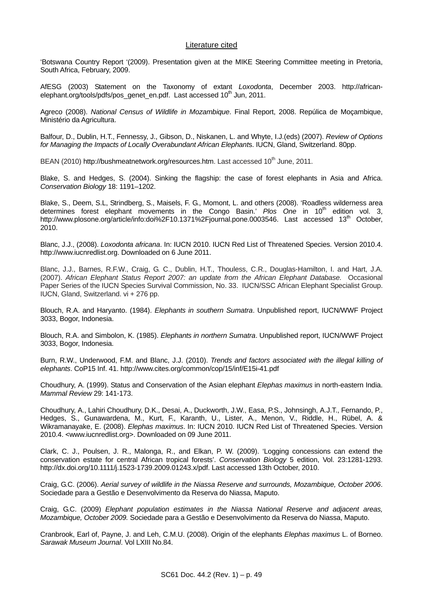## Literature cited

'Botswana Country Report '(2009). Presentation given at the MIKE Steering Committee meeting in Pretoria, South Africa, February, 2009.

AfESG (2003) Statement on the Taxonomy of extant *Loxodonta*, December 2003. http://africanelephant.org/tools/pdfs/pos\_genet\_en.pdf. Last accessed 10<sup>th</sup> Jun, 2011.

Agreco (2008). *National Census of Wildlife in Mozambique*. Final Report, 2008. Repúlica de Moçambique, Ministério da Agricultura.

Balfour, D., Dublin, H.T., Fennessy, J., Gibson, D., Niskanen, L. and Whyte, I.J.(eds) (2007). *Review of Options for Managing the Impacts of Locally Overabundant African Elephant*s. IUCN, Gland, Switzerland. 80pp.

BEAN (2010) http://bushmeatnetwork.org/resources.htm. Last accessed 10<sup>th</sup> June, 2011.

Blake, S. and Hedges, S. (2004). Sinking the flagship: the case of forest elephants in Asia and Africa. *Conservation Biology* 18: 1191–1202.

Blake, S., Deem, S.L, Strindberg, S., Maisels, F. G., Momont, L. and others (2008). 'Roadless wilderness area determines forest elephant movements in the Congo Basin.' Plos One in 10<sup>th</sup> edition vol. 3, http://www.plosone.org/article/info:doi%2F10.1371%2Fjournal.pone.0003546. Last accessed 13<sup>th</sup> October, 2010.

Blanc, J.J., (2008). *Loxodonta africana*. In: IUCN 2010. IUCN Red List of Threatened Species. Version 2010.4. http://www.iucnredlist.org. Downloaded on 6 June 2011.

Blanc, J.J., Barnes, R.F.W., Craig, G. C., Dublin, H.T., Thouless, C.R., Douglas-Hamilton, I. and Hart, J.A. (2007). *African Elephant Status Report 2007: an update from the African Elephant Database.* Occasional Paper Series of the IUCN Species Survival Commission, No. 33. IUCN/SSC African Elephant Specialist Group. IUCN, Gland, Switzerland. vi + 276 pp.

Blouch, R.A. and Haryanto. (1984). *Elephants in southern Sumatra*. Unpublished report, IUCN/WWF Project 3033, Bogor, Indonesia.

Blouch, R.A. and Simbolon, K. (1985). *Elephants in northern Sumatra*. Unpublished report, IUCN/WWF Project 3033, Bogor, Indonesia.

Burn, R.W., Underwood, F.M. and Blanc, J.J. (2010). *Trends and factors associated with the illegal killing of elephants*. CoP15 Inf. 41. http://www.cites.org/common/cop/15/inf/E15i-41.pdf

Choudhury, A. (1999). Status and Conservation of the Asian elephant *Elephas maximus* in north-eastern India. *Mammal Review* 29: 141-173.

Choudhury, A., Lahiri Choudhury, D.K., Desai, A., Duckworth, J.W., Easa, P.S., Johnsingh, A.J.T., Fernando, P., Hedges, S., Gunawardena, M., Kurt, F., Karanth, U., Lister, A., Menon, V., Riddle, H., Rübel, A. & Wikramanayake, E. (2008). *Elephas maximus*. In: IUCN 2010. IUCN Red List of Threatened Species. Version 2010.4. <www.iucnredlist.org>. Downloaded on 09 June 2011.

Clark, C. J., Poulsen, J. R., Malonga, R., and Elkan, P. W. (2009). 'Logging concessions can extend the conservation estate for central African tropical forests'. *Conservation Biology* 5 edition, Vol. 23:1281-1293. http://dx.doi.org/10.1111/j.1523-1739.2009.01243.x/pdf. Last accessed 13th October, 2010.

Craig, G.C. (2006). *Aerial survey of wildlife in the Niassa Reserve and surrounds, Mozambique, October 2006*. Sociedade para a Gestão e Desenvolvimento da Reserva do Niassa, Maputo.

Craig, G.C. (2009) *Elephant population estimates in the Niassa National Reserve and adjacent areas, Mozambique, October 2009.* Sociedade para a Gestão e Desenvolvimento da Reserva do Niassa, Maputo.

Cranbrook, Earl of, Payne, J. and Leh, C.M.U. (2008). Origin of the elephants *Elephas maximus* L. of Borneo. *Sarawak Museum Journal*. Vol LXIII No.84.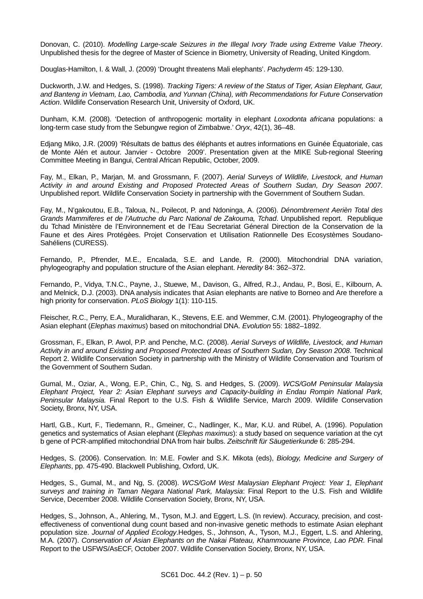Donovan, C. (2010). *Modelling Large-scale Seizures in the Illegal Ivory Trade using Extreme Value Theory*. Unpublished thesis for the degree of Master of Science in Biometry, University of Reading, United Kingdom.

Douglas-Hamilton, I. & Wall, J. (2009) 'Drought threatens Mali elephants'. *Pachyderm* 45: 129-130.

Duckworth, J.W. and Hedges, S. (1998). *Tracking Tigers: A review of the Status of Tiger, Asian Elephant, Gaur, and Banteng in Vietnam, Lao, Cambodia, and Yunnan (China), with Recommendations for Future Conservation Action*. Wildlife Conservation Research Unit, University of Oxford, UK.

Dunham, K.M. (2008). 'Detection of anthropogenic mortality in elephant *Loxodonta africana* populations: a long-term case study from the Sebungwe region of Zimbabwe.' *Oryx*, 42(1), 36–48.

Edjang Miko, J.R. (2009) 'Résultats de battus des éléphants et autres informations en Guinée Équatoriale, cas de Monte Alén et autour. Janvier - Octobre 2009'. Presentation given at the MIKE Sub-regional Steering Committee Meeting in Bangui, Central African Republic, October, 2009.

Fay, M., Elkan, P., Marjan, M. and Grossmann, F. (2007). *Aerial Surveys of Wildlife, Livestock, and Human Activity in and around Existing and Proposed Protected Areas of Southern Sudan, Dry Season 2007*. Unpublished report. Wildlife Conservation Society in partnership with the Government of Southern Sudan.

Fay, M., N'gakoutou, E.B., Taloua, N., Poilecot, P. and Ndoninga, A. (2006). *Dénombrement Aerièn Total des Grands Mammiferes et de l'Autruche du Parc National de Zakouma, Tchad*. Unpublished report. Republique du Tchad Ministère de l'Environnement et de l'Eau Secretariat Géneral Direction de la Conservation de la Faune et des Aires Protégèes. Projet Conservation et Utilisation Rationnelle Des Ecosystèmes Soudano-Sahéliens (CURESS).

Fernando, P., Pfrender, M.E., Encalada, S.E. and Lande, R. (2000). Mitochondrial DNA variation, phylogeography and population structure of the Asian elephant. *Heredity* 84: 362–372.

Fernando, P., Vidya, T.N.C., Payne, J., Stuewe, M., Davison, G., Alfred, R.J., Andau, P., Bosi, E., Kilbourn, A. and Melnick, D.J. (2003). DNA analysis indicates that Asian elephants are native to Borneo and Are therefore a high priority for conservation. *PLoS Biology* 1(1): 110-115.

Fleischer, R.C., Perry, E.A., Muralidharan, K., Stevens, E.E. and Wemmer, C.M. (2001). Phylogeography of the Asian elephant (*Elephas maximus*) based on mitochondrial DNA. *Evolution* 55: 1882–1892.

Grossman, F., Elkan, P. Awol, P.P. and Penche, M.C. (2008). *Aerial Surveys of Wildlife, Livestock, and Human Activity in and around Existing and Proposed Protected Areas of Southern Sudan, Dry Season 2008*. Technical Report 2. Wildlife Conservation Society in partnership with the Ministry of Wildlife Conservation and Tourism of the Government of Southern Sudan.

Gumal, M., Oziar, A., Wong, E.P., Chin, C., Ng, S. and Hedges, S. (2009). *WCS/GoM Peninsular Malaysia Elephant Project, Year 2: Asian Elephant surveys and Capacity-building in Endau Rompin National Park, Peninsular Malaysia.* Final Report to the U.S. Fish & Wildlife Service, March 2009. Wildlife Conservation Society, Bronx, NY, USA.

Hartl, G.B., Kurt, F., Tiedemann, R., Gmeiner, C., Nadlinger, K., Mar, K.U. and Rübel, A. (1996). Population genetics and systematics of Asian elephant (*Elephas maximus*): a study based on sequence variation at the cyt b gene of PCR-amplified mitochondrial DNA from hair bulbs. *Zeitschrift für Säugetierkunde* 6: 285-294.

Hedges, S. (2006). Conservation. In: M.E. Fowler and S.K. Mikota (eds), *Biology, Medicine and Surgery of Elephants*, pp. 475-490. Blackwell Publishing, Oxford, UK.

Hedges, S., Gumal, M., and Ng, S. (2008). *WCS/GoM West Malaysian Elephant Project: Year 1, Elephant surveys and training in Taman Negara National Park, Malaysia*: Final Report to the U.S. Fish and Wildlife Service, December 2008. Wildlife Conservation Society, Bronx, NY, USA.

Hedges, S., Johnson, A., Ahlering, M., Tyson, M.J. and Eggert, L.S. (In review). Accuracy, precision, and costeffectiveness of conventional dung count based and non-invasive genetic methods to estimate Asian elephant population size. *Journal of Applied Ecology*.Hedges, S., Johnson, A., Tyson, M.J., Eggert, L.S. and Ahlering, M.A. (2007). *Conservation of Asian Elephants on the Nakai Plateau, Khammouane Province, Lao PDR.* Final Report to the USFWS/AsECF, October 2007. Wildlife Conservation Society, Bronx, NY, USA.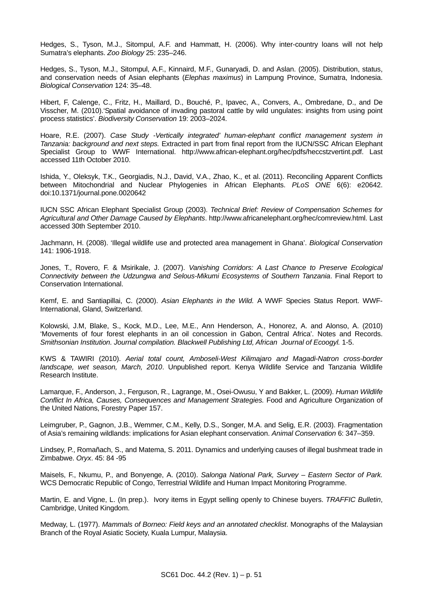Hedges, S., Tyson, M.J., Sitompul, A.F. and Hammatt, H. (2006). Why inter-country loans will not help Sumatra's elephants. *Zoo Biology* 25: 235–246.

Hedges, S., Tyson, M.J., Sitompul, A.F., Kinnaird, M.F., Gunaryadi, D. and Aslan. (2005). Distribution, status, and conservation needs of Asian elephants (*Elephas maximus*) in Lampung Province, Sumatra, Indonesia. *Biological Conservation* 124: 35–48.

Hibert, F, Calenge, C., Fritz, H., Maillard, D., Bouché, P., Ipavec, A., Convers, A., Ombredane, D., and De Visscher, M. (2010).'Spatial avoidance of invading pastoral cattle by wild ungulates: insights from using point process statistics'. *Biodiversity Conservation* 19: 2003–2024.

Hoare, R.E. (2007). *Case Study -Vertically integrated' human-elephant conflict management system in Tanzania: background and next steps.* Extracted in part from final report from the IUCN/SSC African Elephant Specialist Group to WWF International. http://www.african-elephant.org/hec/pdfs/heccstzvertint.pdf. Last accessed 11th October 2010.

Ishida, Y., Oleksyk, T.K., Georgiadis, N.J., David, V.A., Zhao, K., et al. (2011). Reconciling Apparent Conflicts between Mitochondrial and Nuclear Phylogenies in African Elephants. *PLoS ONE* 6(6): e20642. doi:10.1371/journal.pone.0020642

IUCN SSC African Elephant Specialist Group (2003). *Technical Brief: Review of Compensation Schemes for Agricultural and Other Damage Caused by Elephants*. http://www.africanelephant.org/hec/comreview.html. Last accessed 30th September 2010.

Jachmann, H. (2008). 'Illegal wildlife use and protected area management in Ghana'. *Biological Conservation* 141: 1906-1918.

Jones, T., Rovero, F. & Msirikale, J. (2007). *Vanishing Corridors: A Last Chance to Preserve Ecological Connectivity between the Udzungwa and Selous-Mikumi Ecosystems of Southern Tanzania*. Final Report to Conservation International.

Kemf, E. and Santiapillai, C. (2000). *Asian Elephants in the Wild.* A WWF Species Status Report. WWF-International, Gland, Switzerland.

Kolowski, J.M, Blake, S., Kock, M.D., Lee, M.E., Ann Henderson, A., Honorez, A. and Alonso, A. (2010) 'Movements of four forest elephants in an oil concession in Gabon, Central Africa'. Notes and Records. *Smithsonian Institution. Journal compilation. Blackwell Publishing Ltd, African Journal of Ecoogyl.* 1-5.

KWS & TAWIRI (2010). *Aerial total count, Amboseli-West Kilimajaro and Magadi-Natron cross-border landscape, wet season, March, 2010*. Unpublished report. Kenya Wildlife Service and Tanzania Wildlife Research Institute.

Lamarque, F., Anderson, J., Ferguson, R., Lagrange, M., Osei-Owusu, Y and Bakker, L. (2009). *Human Wildlife Conflict In Africa, Causes, Consequences and Management Strategies.* Food and Agriculture Organization of the United Nations, Forestry Paper 157.

Leimgruber, P., Gagnon, J.B., Wemmer, C.M., Kelly, D.S., Songer, M.A. and Selig, E.R. (2003). Fragmentation of Asia's remaining wildlands: implications for Asian elephant conservation. *Animal Conservation* 6: 347–359.

Lindsey, P., Romañach, S., and Matema, S. 2011. Dynamics and underlying causes of illegal bushmeat trade in Zimbabwe. *Oryx*. 45: 84 -95

Maisels, F., Nkumu, P., and Bonyenge, A. (2010). *Salonga National Park, Survey – Eastern Sector of Park.* WCS Democratic Republic of Congo, Terrestrial Wildlife and Human Impact Monitoring Programme.

Martin, E. and Vigne, L. (In prep.). Ivory items in Egypt selling openly to Chinese buyers. *TRAFFIC Bulletin*, Cambridge, United Kingdom.

Medway, L. (1977). *Mammals of Borneo: Field keys and an annotated checklist*. Monographs of the Malaysian Branch of the Royal Asiatic Society, Kuala Lumpur, Malaysia.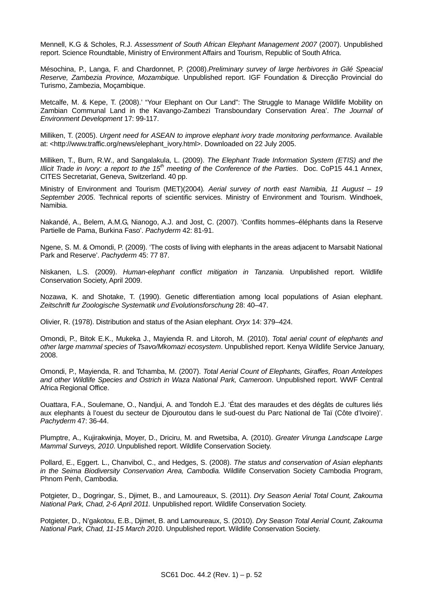Mennell, K.G & Scholes, R.J. *Assessment of South African Elephant Management 2007* (2007). Unpublished report. Science Roundtable, Ministry of Environment Affairs and Tourism, Republic of South Africa.

Mésochina, P., Langa, F. and Chardonnet, P. (2008).*Preliminary survey of large herbivores in Gilé Speacial Reserve, Zambezia Province, Mozambique.* Unpublished report. IGF Foundation & Direcção Provincial do Turismo, Zambezia, Moçambique.

Metcalfe, M. & Kepe, T. (2008).' "Your Elephant on Our Land": The Struggle to Manage Wildlife Mobility on Zambian Communal Land in the Kavango-Zambezi Transboundary Conservation Area'. *The Journal of Environment Development* 17: 99-117.

Milliken, T. (2005). *Urgent need for ASEAN to improve elephant ivory trade monitoring performance.* Available at: <http://www.traffic.org/news/elephant\_ivory.html>. Downloaded on 22 July 2005.

Milliken, T., Burn, R.W., and Sangalakula, L. (2009). *The Elephant Trade Information System (ETIS) and the Illicit Trade in Ivory: a report to the 15th meeting of the Conference of the Parties*. Doc. CoP15 44.1 Annex, CITES Secretariat, Geneva, Switzerland. 40 pp.

Ministry of Environment and Tourism (MET)(2004)*. Aerial survey of north east Namibia, 11 August – 19 September 2005*. Technical reports of scientific services. Ministry of Environment and Tourism. Windhoek, Namibia.

Nakandé, A., Belem, A.M.G, Nianogo, A.J. and Jost, C. (2007). 'Conflits hommes–éléphants dans la Reserve Partielle de Pama, Burkina Faso'. *Pachyderm* 42: 81-91.

Ngene, S. M. & Omondi, P. (2009). 'The costs of living with elephants in the areas adjacent to Marsabit National Park and Reserve'. *Pachyderm* 45: 77 87.

Niskanen, L.S. (2009). *Human-elephant conflict mitigation in Tanzania.* Unpublished report. Wildlife Conservation Society, April 2009.

Nozawa, K. and Shotake, T. (1990). Genetic differentiation among local populations of Asian elephant. *Zeitschrift fur Zoologische Systematik und Evolutionsforschung* 28: 40–47.

Olivier, R. (1978). Distribution and status of the Asian elephant. *Oryx* 14: 379–424.

Omondi, P., Bitok E.K., Mukeka J., Mayienda R. and Litoroh, M. (2010). *Total aerial count of elephants and other large mammal species of Tsavo/Mkomazi ecosystem*. Unpublished report. Kenya Wildlife Service January, 2008.

Omondi, P., Mayienda, R. and Tchamba, M. (2007). *Total Aerial Count of Elephants, Giraffes, Roan Antelopes and other Wildlife Species and Ostrich in Waza National Park, Cameroon*. Unpublished report. WWF Central Africa Regional Office.

Ouattara, F.A., Soulemane, O., Nandjui, A. and Tondoh E.J. 'État des maraudes et des dégâts de cultures liés aux elephants à l'ouest du secteur de Djouroutou dans le sud-ouest du Parc National de Taï (Côte d'Ivoire)'. *Pachyderm* 47: 36-44.

Plumptre, A., Kujirakwinja, Moyer, D., Driciru, M. and Rwetsiba, A. (2010). *Greater Virunga Landscape Large Mammal Surveys, 2010*. Unpublished report. Wildlife Conservation Society.

Pollard, E., Eggert. L., Chanvibol, C., and Hedges, S. (2008). *The status and conservation of Asian elephants in the Seima Biodiversity Conservation Area, Cambodia.* Wildlife Conservation Society Cambodia Program, Phnom Penh, Cambodia.

Potgieter, D., Dogringar, S., Djimet, B., and Lamoureaux, S. (2011). *Dry Season Aerial Total Count, Zakouma National Park, Chad, 2-6 April 2011.* Unpublished report. Wildlife Conservation Society.

Potgieter, D., N'gakotou, E.B., Djimet, B. and Lamoureaux, S. (2010). *Dry Season Total Aerial Count, Zakouma National Park, Chad, 11-15 March 201*0. Unpublished report. Wildlife Conservation Society.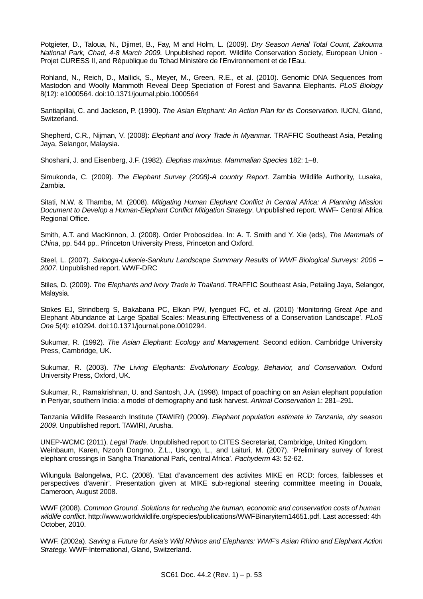Potgieter, D., Taloua, N., Djimet, B., Fay, M and Holm, L. (2009). *Dry Season Aerial Total Count, Zakouma National Park, Chad, 4-8 March 2009.* Unpublished report. Wildlife Conservation Society, European Union - Projet CURESS II, and République du Tchad Ministère de l'Environnement et de l'Eau.

Rohland, N., Reich, D., Mallick, S., Meyer, M., Green, R.E., et al. (2010). Genomic DNA Sequences from Mastodon and Woolly Mammoth Reveal Deep Speciation of Forest and Savanna Elephants. *PLoS Biology* 8(12): e1000564. doi:10.1371/journal.pbio.1000564

Santiapillai, C. and Jackson, P. (1990). *The Asian Elephant: An Action Plan for its Conservation.* IUCN, Gland, Switzerland.

Shepherd, C.R., Nijman, V. (2008): *Elephant and Ivory Trade in Myanmar.* TRAFFIC Southeast Asia, Petaling Jaya, Selangor, Malaysia.

Shoshani, J. and Eisenberg, J.F. (1982). *Elephas maximus*. *Mammalian Species* 182: 1–8.

Simukonda, C. (2009). *The Elephant Survey (2008)-A country Report*. Zambia Wildlife Authority, Lusaka, Zambia.

Sitati, N.W. & Thamba, M. (2008). *Mitigating Human Elephant Conflict in Central Africa: A Planning Mission Document to Develop a Human-Elephant Conflict Mitigation Strategy*. Unpublished report. WWF- Central Africa Regional Office.

Smith, A.T. and MacKinnon, J. (2008). Order Proboscidea. In: A. T. Smith and Y. Xie (eds), *The Mammals of China*, pp. 544 pp.. Princeton University Press, Princeton and Oxford.

Steel, L. (2007). *Salonga-Lukenie-Sankuru Landscape Summary Results of WWF Biological Surveys: 2006 – 2007*. Unpublished report. WWF-DRC

Stiles, D. (2009). *The Elephants and Ivory Trade in Thailand*. TRAFFIC Southeast Asia, Petaling Jaya, Selangor, Malaysia.

Stokes EJ, Strindberg S, Bakabana PC, Elkan PW, Iyenguet FC, et al. (2010) 'Monitoring Great Ape and Elephant Abundance at Large Spatial Scales: Measuring Effectiveness of a Conservation Landscape'. *PLoS One* 5(4): e10294. doi:10.1371/journal.pone.0010294.

Sukumar, R. (1992). *The Asian Elephant: Ecology and Management.* Second edition. Cambridge University Press, Cambridge, UK.

Sukumar, R. (2003). *The Living Elephants: Evolutionary Ecology, Behavior, and Conservation.* Oxford University Press, Oxford, UK.

Sukumar, R., Ramakrishnan, U. and Santosh, J.A. (1998). Impact of poaching on an Asian elephant population in Periyar, southern India: a model of demography and tusk harvest. *Animal Conservation* 1: 281–291.

Tanzania Wildlife Research Institute (TAWIRI) (2009). *Elephant population estimate in Tanzania, dry season 2009*. Unpublished report. TAWIRI, Arusha.

UNEP-WCMC (2011). *Legal Trade.* Unpublished report to CITES Secretariat, Cambridge, United Kingdom. Weinbaum, Karen, Nzooh Dongmo, Z.L., Usongo, L., and Laituri, M. (2007). 'Preliminary survey of forest elephant crossings in Sangha Trianational Park, central Africa'. *Pachyderm* 43: 52-62.

Wilungula Balongelwa, P.C. (2008). 'Etat d'avancement des activites MIKE en RCD: forces, faiblesses et perspectives d'avenir'. Presentation given at MIKE sub-regional steering committee meeting in Douala, Cameroon, August 2008.

WWF (2008). *Common Ground. Solutions for reducing the human, economic and conservation costs of human wildlife conflict*. http://www.worldwildlife.org/species/publications/WWFBinaryitem14651.pdf. Last accessed: 4th October, 2010.

WWF. (2002a). *Saving a Future for Asia's Wild Rhinos and Elephants: WWF's Asian Rhino and Elephant Action Strategy.* WWF-International, Gland, Switzerland.